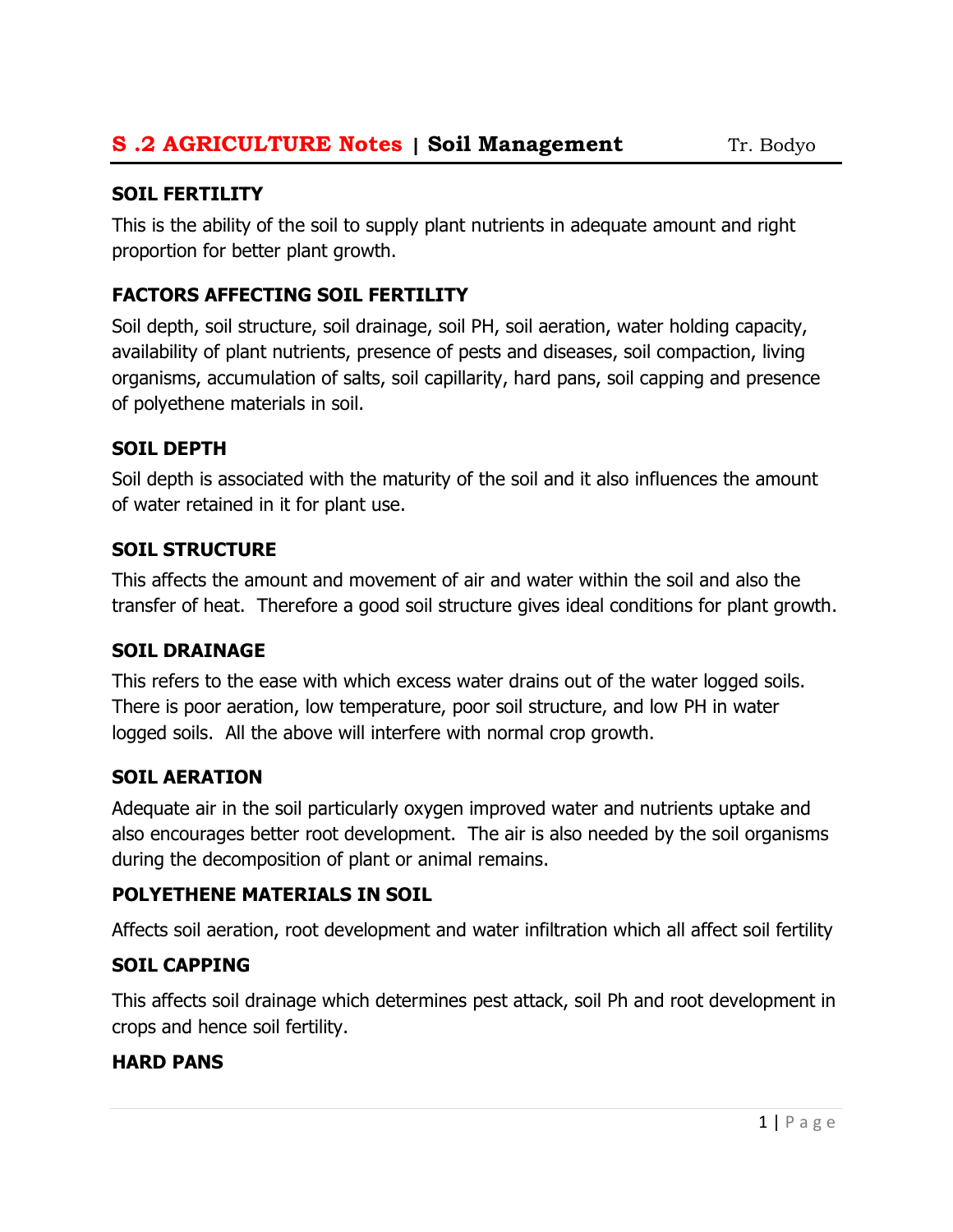## SOIL FERTILITY

This is the ability of the soil to supply plant nutrients in adequate amount and right proportion for better plant growth.

## FACTORS AFFECTING SOIL FERTILITY

Soil depth, soil structure, soil drainage, soil PH, soil aeration, water holding capacity, availability of plant nutrients, presence of pests and diseases, soil compaction, living organisms, accumulation of salts, soil capillarity, hard pans, soil capping and presence of polyethene materials in soil.

## SOIL DEPTH

Soil depth is associated with the maturity of the soil and it also influences the amount of water retained in it for plant use.

## SOIL STRUCTURE

This affects the amount and movement of air and water within the soil and also the transfer of heat. Therefore a good soil structure gives ideal conditions for plant growth.

## SOIL DRAINAGE

This refers to the ease with which excess water drains out of the water logged soils. There is poor aeration, low temperature, poor soil structure, and low PH in water logged soils. All the above will interfere with normal crop growth.

## SOIL AERATION

Adequate air in the soil particularly oxygen improved water and nutrients uptake and also encourages better root development. The air is also needed by the soil organisms during the decomposition of plant or animal remains.

## POLYETHENE MATERIALS IN SOIL

Affects soil aeration, root development and water infiltration which all affect soil fertility

## SOIL CAPPING

This affects soil drainage which determines pest attack, soil Ph and root development in crops and hence soil fertility.

## HARD PANS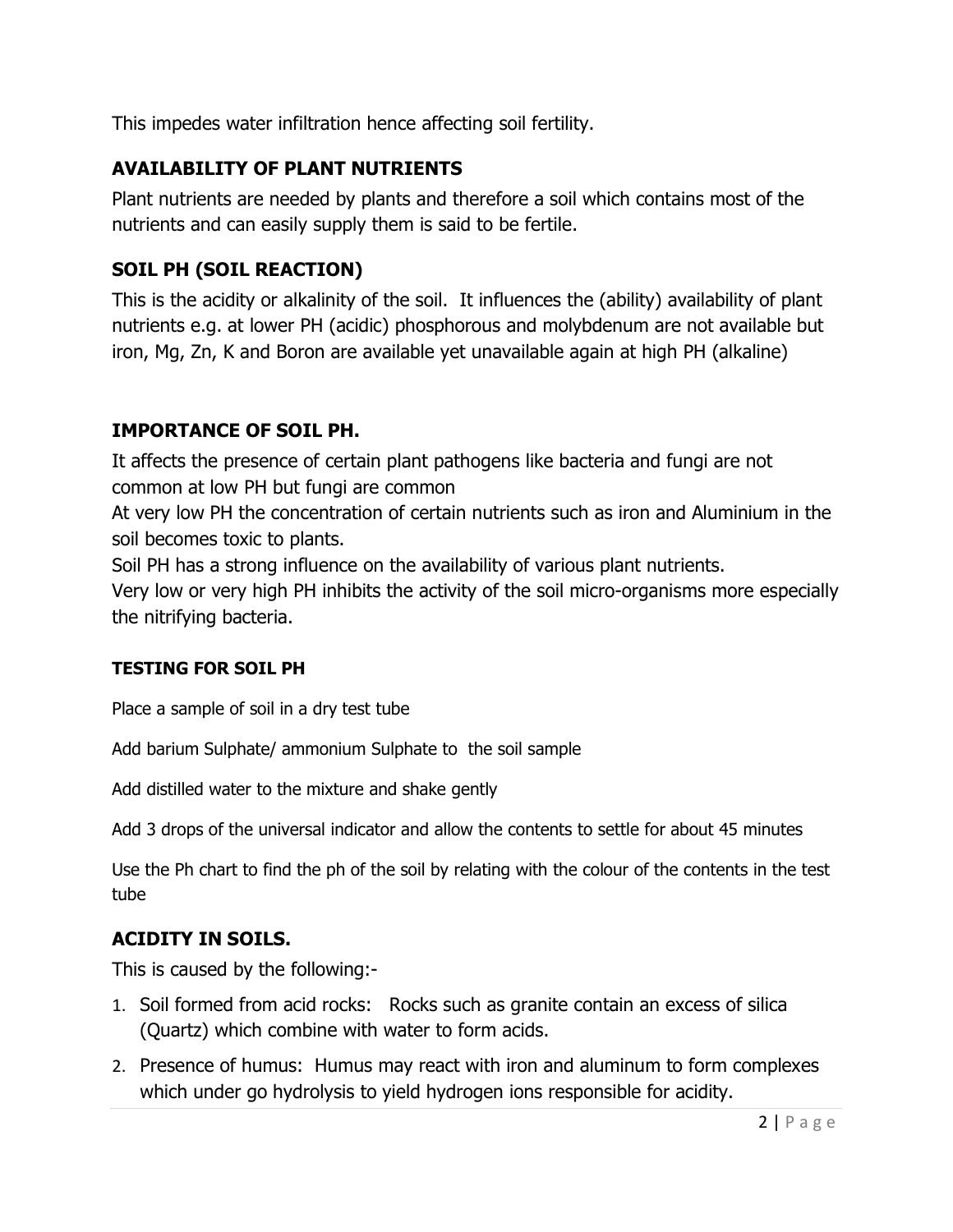This impedes water infiltration hence affecting soil fertility.

## AVAILABILITY OF PLANT NUTRIENTS

Plant nutrients are needed by plants and therefore a soil which contains most of the nutrients and can easily supply them is said to be fertile.

## SOIL PH (SOIL REACTION)

This is the acidity or alkalinity of the soil. It influences the (ability) availability of plant nutrients e.g. at lower PH (acidic) phosphorous and molybdenum are not available but iron, Mg, Zn, K and Boron are available yet unavailable again at high PH (alkaline)

## IMPORTANCE OF SOIL PH.

It affects the presence of certain plant pathogens like bacteria and fungi are not common at low PH but fungi are common

At very low PH the concentration of certain nutrients such as iron and Aluminium in the soil becomes toxic to plants.

Soil PH has a strong influence on the availability of various plant nutrients.

Very low or very high PH inhibits the activity of the soil micro-organisms more especially the nitrifying bacteria.

## TESTING FOR SOIL PH

Place a sample of soil in a dry test tube

Add barium Sulphate/ ammonium Sulphate to the soil sample

Add distilled water to the mixture and shake gently

Add 3 drops of the universal indicator and allow the contents to settle for about 45 minutes

Use the Ph chart to find the ph of the soil by relating with the colour of the contents in the test tube

# ACIDITY IN SOILS.

This is caused by the following:-

- 1. Soil formed from acid rocks: Rocks such as granite contain an excess of silica (Quartz) which combine with water to form acids.
- 2. Presence of humus: Humus may react with iron and aluminum to form complexes which under go hydrolysis to yield hydrogen ions responsible for acidity.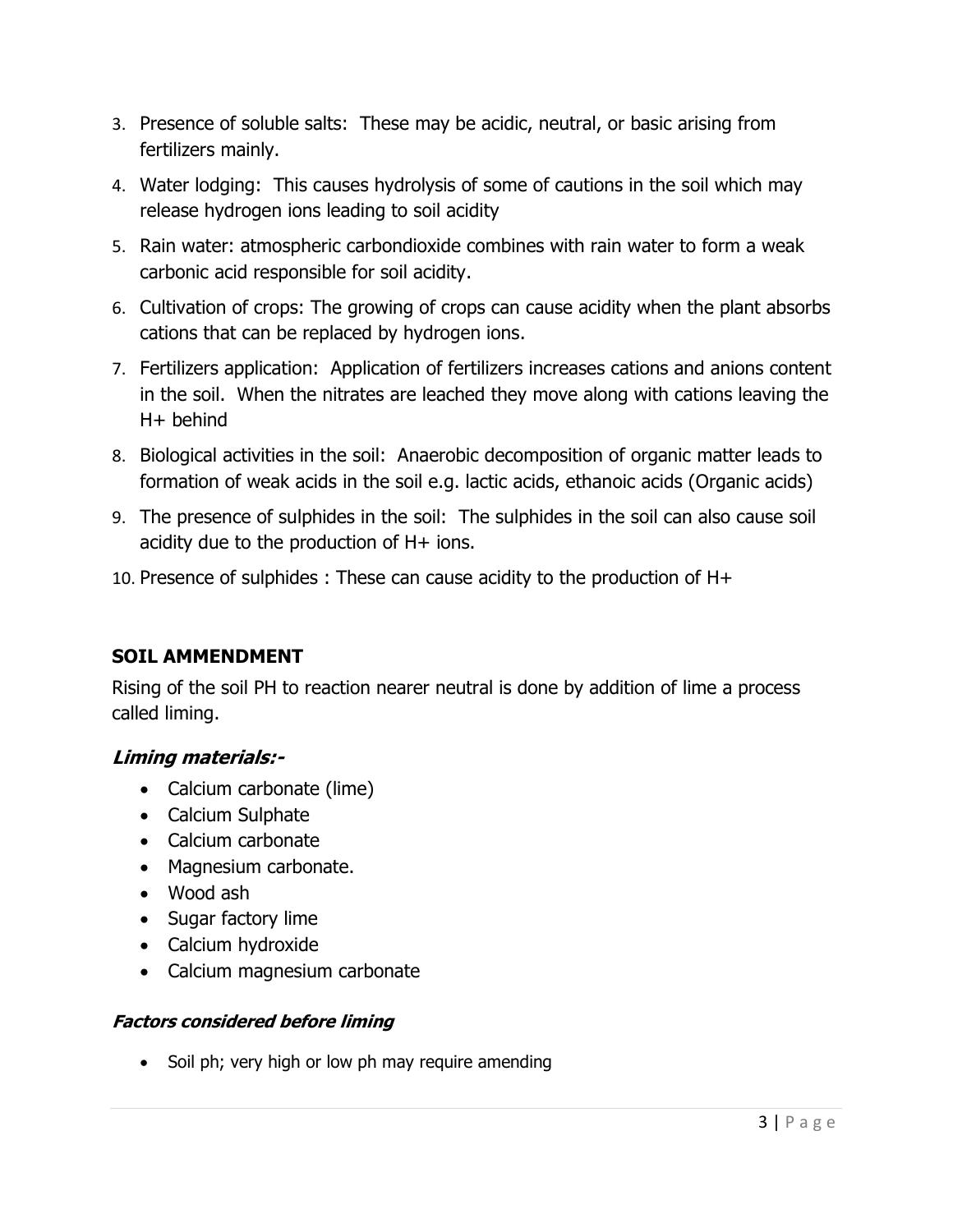- 3. Presence of soluble salts: These may be acidic, neutral, or basic arising from fertilizers mainly.
- 4. Water lodging: This causes hydrolysis of some of cautions in the soil which may release hydrogen ions leading to soil acidity
- 5. Rain water: atmospheric carbondioxide combines with rain water to form a weak carbonic acid responsible for soil acidity.
- 6. Cultivation of crops: The growing of crops can cause acidity when the plant absorbs cations that can be replaced by hydrogen ions.
- 7. Fertilizers application: Application of fertilizers increases cations and anions content in the soil. When the nitrates are leached they move along with cations leaving the H+ behind
- 8. Biological activities in the soil: Anaerobic decomposition of organic matter leads to formation of weak acids in the soil e.g. lactic acids, ethanoic acids (Organic acids)
- 9. The presence of sulphides in the soil: The sulphides in the soil can also cause soil acidity due to the production of H+ ions.
- 10. Presence of sulphides : These can cause acidity to the production of H+

## SOIL AMMENDMENT

Rising of the soil PH to reaction nearer neutral is done by addition of lime a process called liming.

## Liming materials:-

- Calcium carbonate (lime)
- Calcium Sulphate
- Calcium carbonate
- Magnesium carbonate.
- Wood ash
- Sugar factory lime
- Calcium hydroxide
- Calcium magnesium carbonate

## Factors considered before liming

• Soil ph; very high or low ph may require amending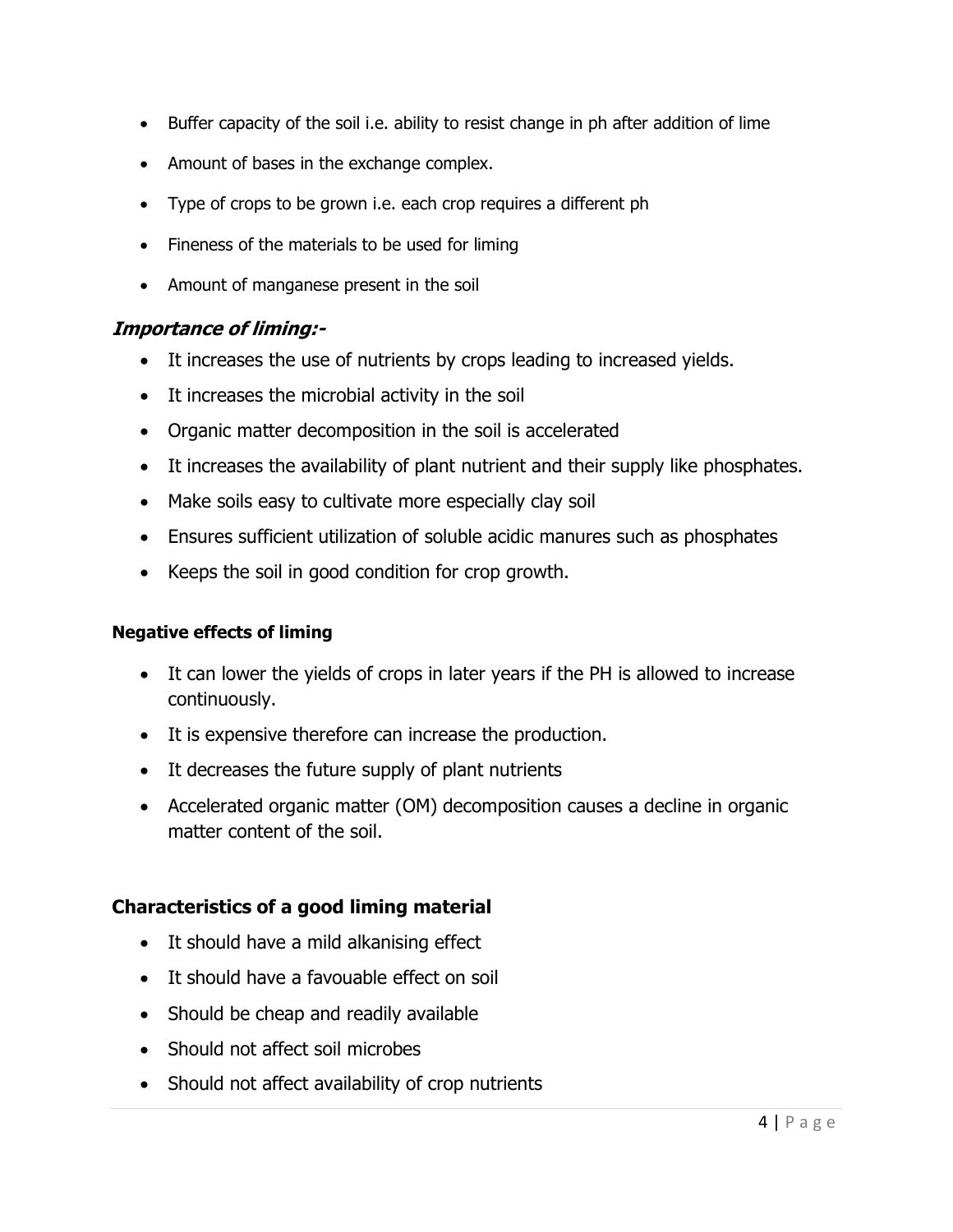- Buffer capacity of the soil i.e. ability to resist change in ph after addition of lime
- Amount of bases in the exchange complex.
- Type of crops to be grown i.e. each crop requires a different ph
- Fineness of the materials to be used for liming
- Amount of manganese present in the soil

### Importance of liming:-

- It increases the use of nutrients by crops leading to increased yields.
- It increases the microbial activity in the soil
- Organic matter decomposition in the soil is accelerated
- It increases the availability of plant nutrient and their supply like phosphates.
- Make soils easy to cultivate more especially clay soil
- Ensures sufficient utilization of soluble acidic manures such as phosphates
- Keeps the soil in good condition for crop growth.

### Negative effects of liming

- It can lower the yields of crops in later years if the PH is allowed to increase continuously.
- It is expensive therefore can increase the production.
- It decreases the future supply of plant nutrients
- Accelerated organic matter (OM) decomposition causes a decline in organic matter content of the soil.

## Characteristics of a good liming material

- It should have a mild alkanising effect
- It should have a favouable effect on soil
- Should be cheap and readily available
- Should not affect soil microbes
- Should not affect availability of crop nutrients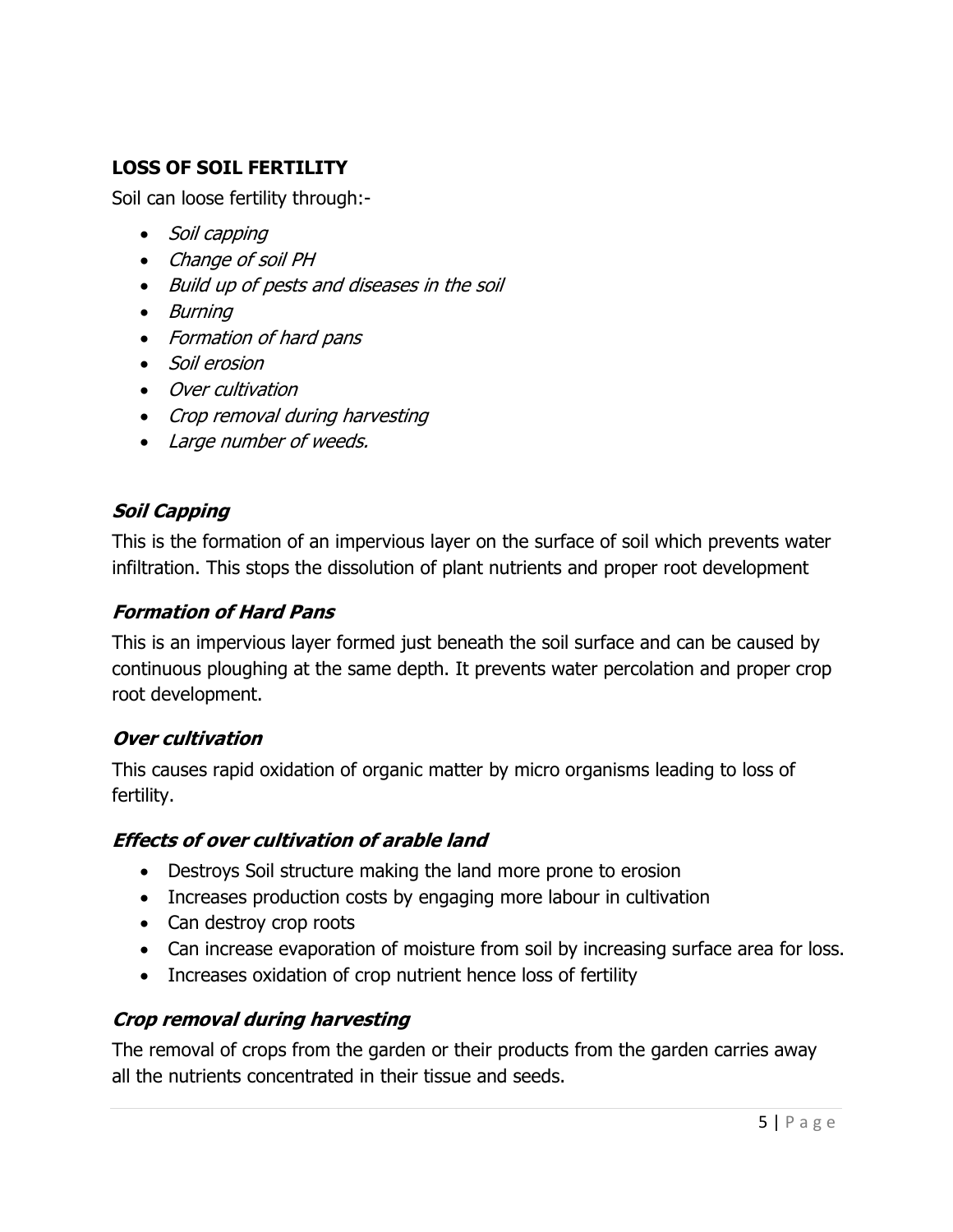## LOSS OF SOIL FERTILITY

Soil can loose fertility through:-

- Soil capping
- Change of soil PH
- Build up of pests and diseases in the soil
- Burning
- Formation of hard pans
- Soil erosion
- Over cultivation
- Crop removal during harvesting
- Large number of weeds.

## Soil Capping

This is the formation of an impervious layer on the surface of soil which prevents water infiltration. This stops the dissolution of plant nutrients and proper root development

### Formation of Hard Pans

This is an impervious layer formed just beneath the soil surface and can be caused by continuous ploughing at the same depth. It prevents water percolation and proper crop root development.

## Over cultivation

This causes rapid oxidation of organic matter by micro organisms leading to loss of fertility.

### Effects of over cultivation of arable land

- Destroys Soil structure making the land more prone to erosion
- Increases production costs by engaging more labour in cultivation
- Can destroy crop roots
- Can increase evaporation of moisture from soil by increasing surface area for loss.
- Increases oxidation of crop nutrient hence loss of fertility

## Crop removal during harvesting

The removal of crops from the garden or their products from the garden carries away all the nutrients concentrated in their tissue and seeds.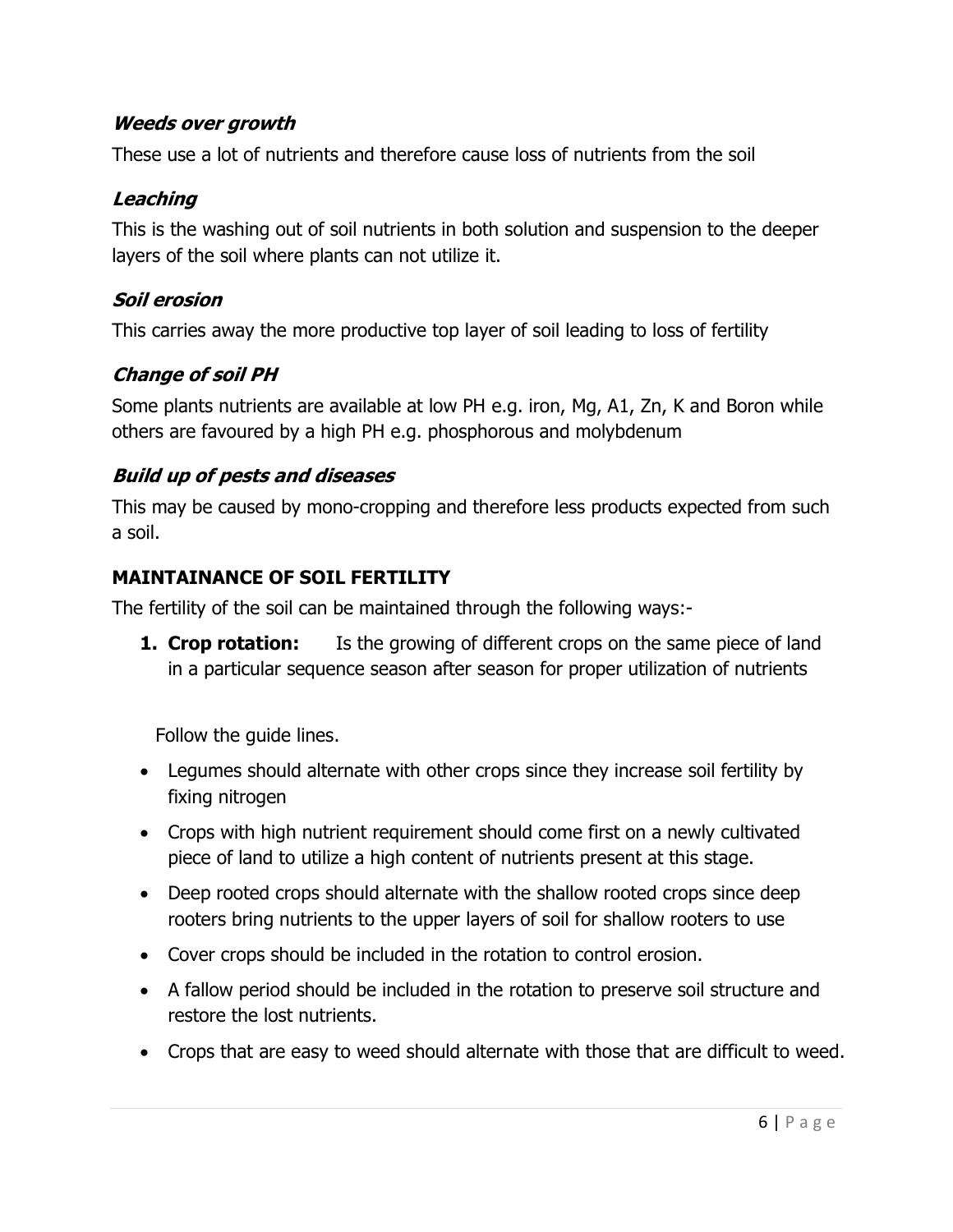## Weeds over growth

These use a lot of nutrients and therefore cause loss of nutrients from the soil

## Leaching

This is the washing out of soil nutrients in both solution and suspension to the deeper layers of the soil where plants can not utilize it.

## Soil erosion

This carries away the more productive top layer of soil leading to loss of fertility

## Change of soil PH

Some plants nutrients are available at low PH e.g. iron, Mg, A1, Zn, K and Boron while others are favoured by a high PH e.g. phosphorous and molybdenum

## Build up of pests and diseases

This may be caused by mono-cropping and therefore less products expected from such a soil.

## MAINTAINANCE OF SOIL FERTILITY

The fertility of the soil can be maintained through the following ways:-

**1. Crop rotation:** Is the growing of different crops on the same piece of land in a particular sequence season after season for proper utilization of nutrients

Follow the guide lines.

- Legumes should alternate with other crops since they increase soil fertility by fixing nitrogen
- Crops with high nutrient requirement should come first on a newly cultivated piece of land to utilize a high content of nutrients present at this stage.
- Deep rooted crops should alternate with the shallow rooted crops since deep rooters bring nutrients to the upper layers of soil for shallow rooters to use
- Cover crops should be included in the rotation to control erosion.
- A fallow period should be included in the rotation to preserve soil structure and restore the lost nutrients.
- Crops that are easy to weed should alternate with those that are difficult to weed.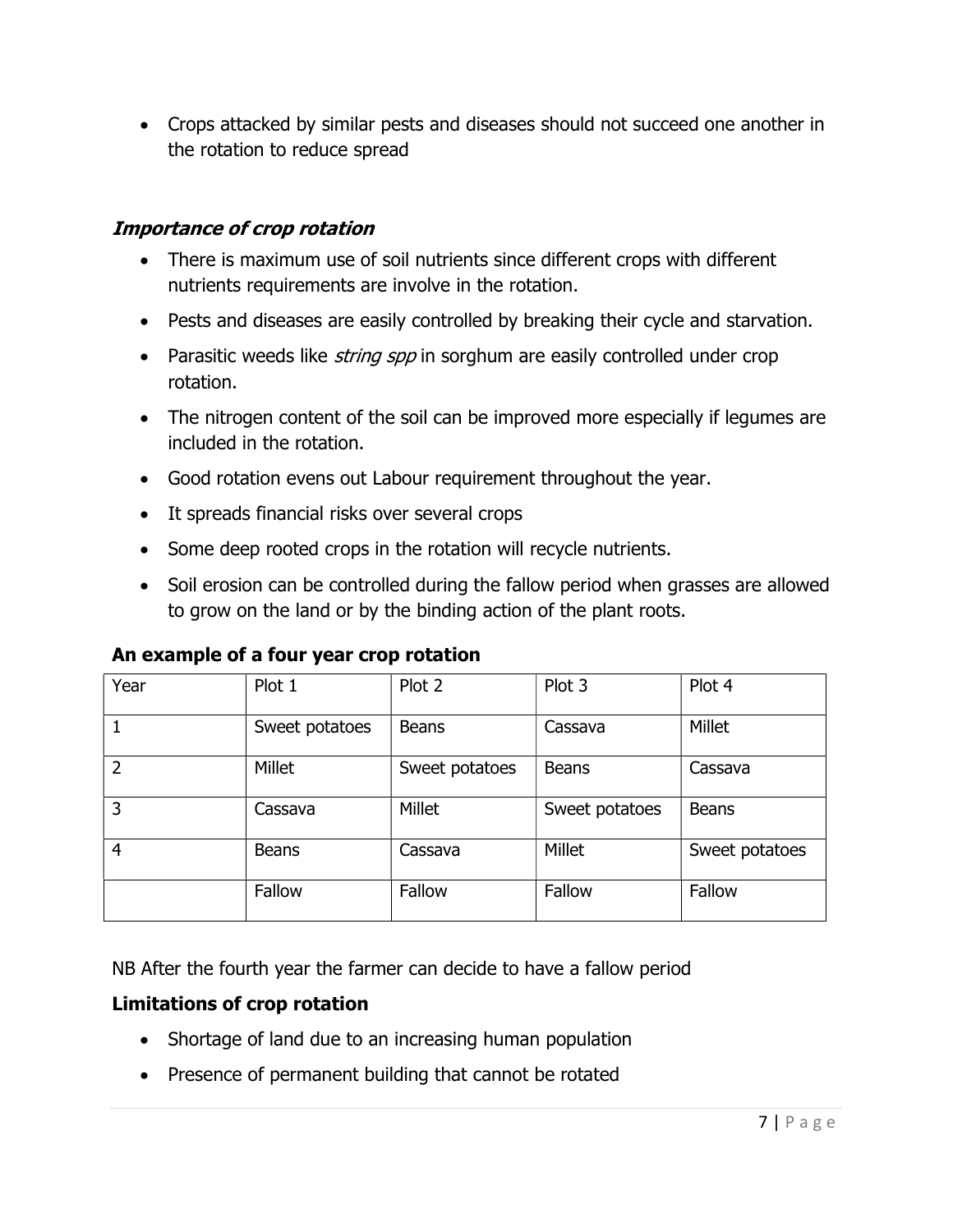Crops attacked by similar pests and diseases should not succeed one another in the rotation to reduce spread

## Importance of crop rotation

- There is maximum use of soil nutrients since different crops with different nutrients requirements are involve in the rotation.
- Pests and diseases are easily controlled by breaking their cycle and starvation.
- Parasitic weeds like *string spp* in sorghum are easily controlled under crop rotation.
- The nitrogen content of the soil can be improved more especially if legumes are included in the rotation.
- Good rotation evens out Labour requirement throughout the year.
- It spreads financial risks over several crops
- Some deep rooted crops in the rotation will recycle nutrients.
- Soil erosion can be controlled during the fallow period when grasses are allowed to grow on the land or by the binding action of the plant roots.

| Year           | Plot 1         | Plot 2         | Plot 3         | Plot 4         |
|----------------|----------------|----------------|----------------|----------------|
|                | Sweet potatoes | <b>Beans</b>   | Cassava        | <b>Millet</b>  |
| $\overline{2}$ | Millet         | Sweet potatoes | <b>Beans</b>   | Cassava        |
| 3              | Cassava        | Millet         | Sweet potatoes | <b>Beans</b>   |
| $\overline{4}$ | <b>Beans</b>   | Cassava        | Millet         | Sweet potatoes |
|                | Fallow         | Fallow         | Fallow         | Fallow         |

## An example of a four year crop rotation

NB After the fourth year the farmer can decide to have a fallow period

## Limitations of crop rotation

- Shortage of land due to an increasing human population
- Presence of permanent building that cannot be rotated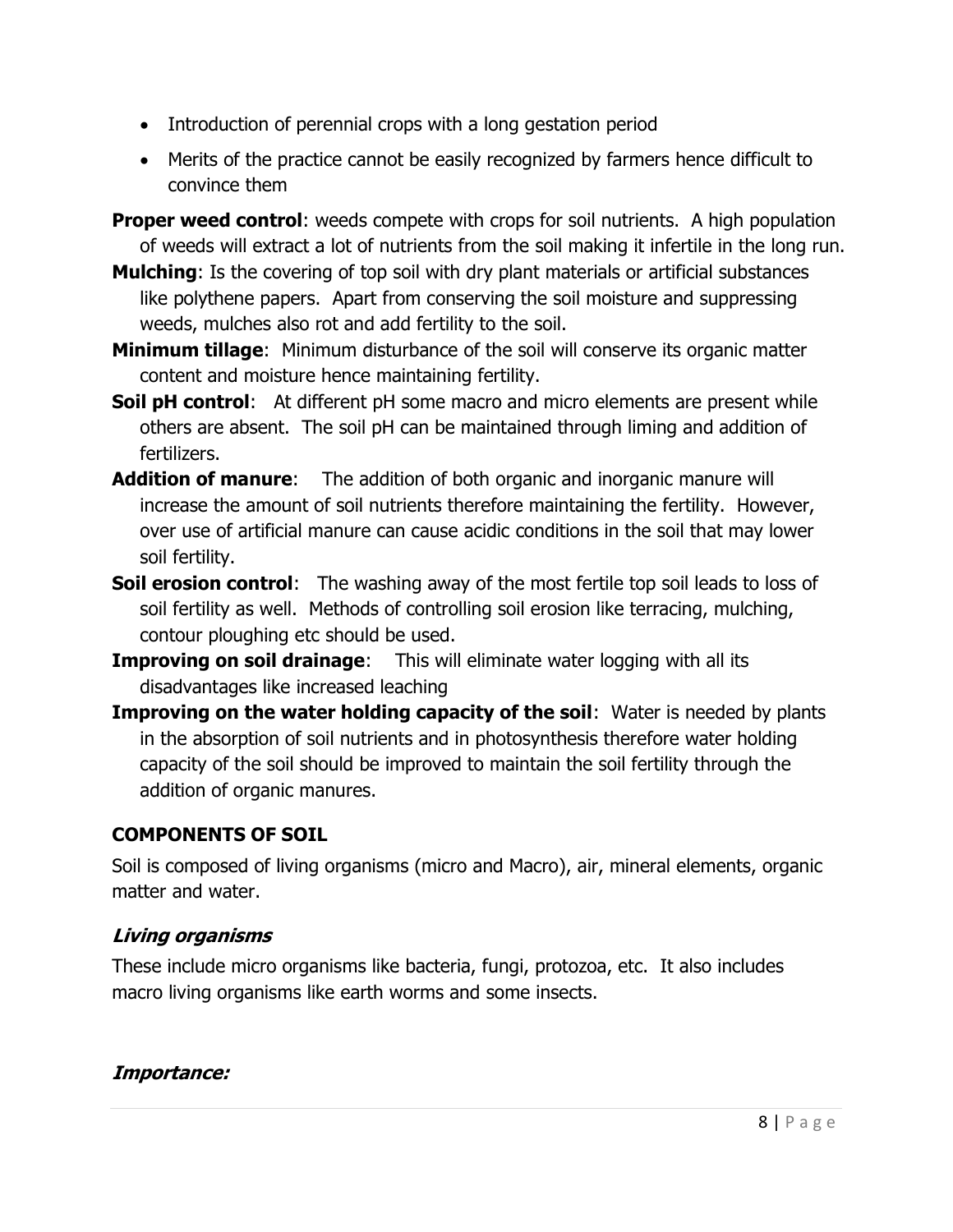- Introduction of perennial crops with a long gestation period
- Merits of the practice cannot be easily recognized by farmers hence difficult to convince them
- **Proper weed control:** weeds compete with crops for soil nutrients. A high population of weeds will extract a lot of nutrients from the soil making it infertile in the long run.
- **Mulching:** Is the covering of top soil with dry plant materials or artificial substances like polythene papers. Apart from conserving the soil moisture and suppressing weeds, mulches also rot and add fertility to the soil.
- **Minimum tillage:** Minimum disturbance of the soil will conserve its organic matter content and moisture hence maintaining fertility.
- **Soil pH control:** At different pH some macro and micro elements are present while others are absent. The soil pH can be maintained through liming and addition of fertilizers.
- Addition of manure: The addition of both organic and inorganic manure will increase the amount of soil nutrients therefore maintaining the fertility. However, over use of artificial manure can cause acidic conditions in the soil that may lower soil fertility.
- **Soil erosion control:** The washing away of the most fertile top soil leads to loss of soil fertility as well. Methods of controlling soil erosion like terracing, mulching, contour ploughing etc should be used.
- **Improving on soil drainage:** This will eliminate water logging with all its disadvantages like increased leaching
- **Improving on the water holding capacity of the soil:** Water is needed by plants in the absorption of soil nutrients and in photosynthesis therefore water holding capacity of the soil should be improved to maintain the soil fertility through the addition of organic manures.

## COMPONENTS OF SOIL

Soil is composed of living organisms (micro and Macro), air, mineral elements, organic matter and water.

# Living organisms

These include micro organisms like bacteria, fungi, protozoa, etc. It also includes macro living organisms like earth worms and some insects.

## Importance: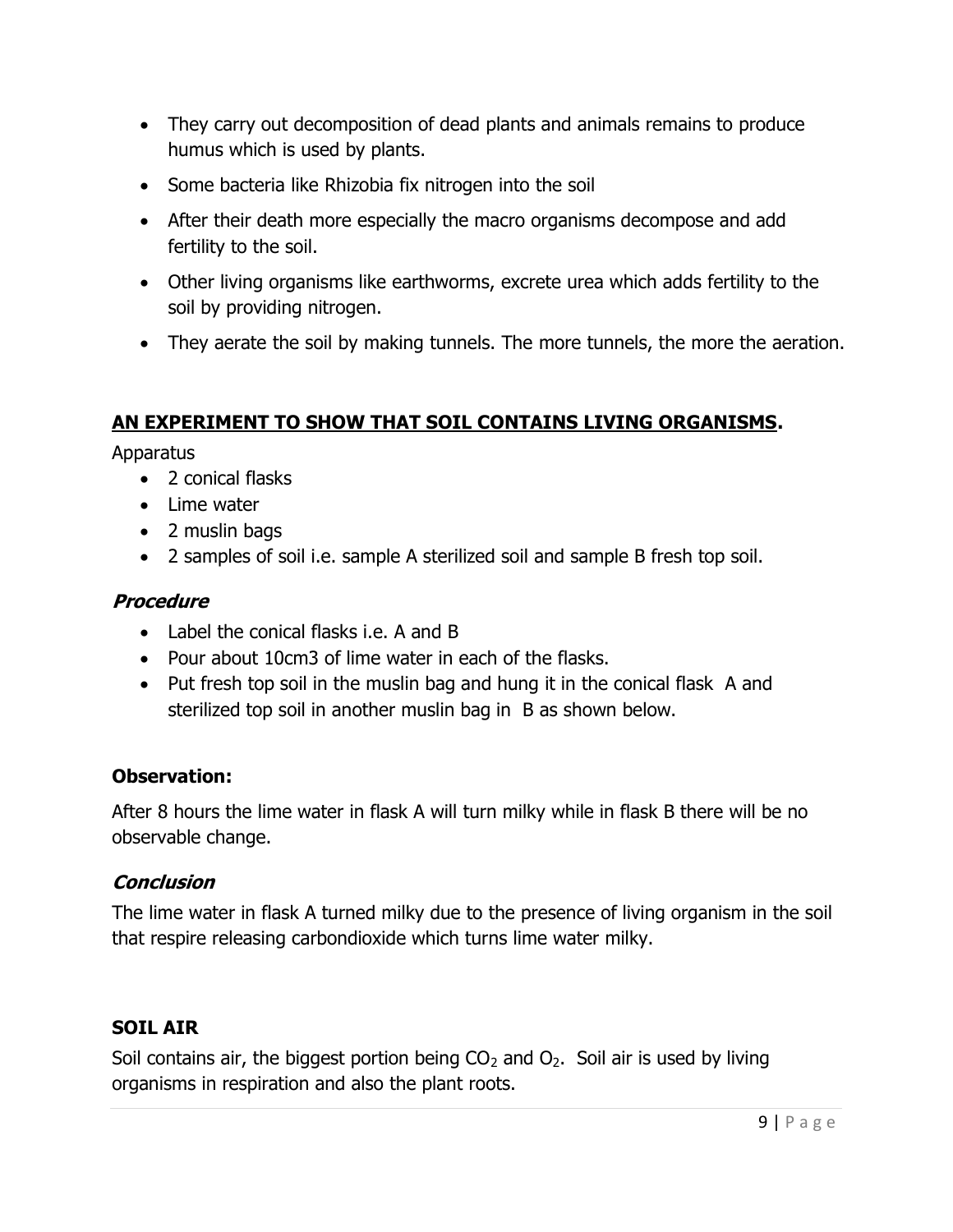- They carry out decomposition of dead plants and animals remains to produce humus which is used by plants.
- Some bacteria like Rhizobia fix nitrogen into the soil
- After their death more especially the macro organisms decompose and add fertility to the soil.
- Other living organisms like earthworms, excrete urea which adds fertility to the soil by providing nitrogen.
- They aerate the soil by making tunnels. The more tunnels, the more the aeration.

## AN EXPERIMENT TO SHOW THAT SOIL CONTAINS LIVING ORGANISMS.

Apparatus

- 2 conical flasks
- Lime water
- 2 muslin bags
- 2 samples of soil i.e. sample A sterilized soil and sample B fresh top soil.

## **Procedure**

- Label the conical flasks i.e. A and B
- Pour about 10cm3 of lime water in each of the flasks.
- Put fresh top soil in the muslin bag and hung it in the conical flask A and sterilized top soil in another muslin bag in B as shown below.

## Observation:

After 8 hours the lime water in flask A will turn milky while in flask B there will be no observable change.

## **Conclusion**

The lime water in flask A turned milky due to the presence of living organism in the soil that respire releasing carbondioxide which turns lime water milky.

# SOIL AIR

Soil contains air, the biggest portion being  $CO<sub>2</sub>$  and  $O<sub>2</sub>$ . Soil air is used by living organisms in respiration and also the plant roots.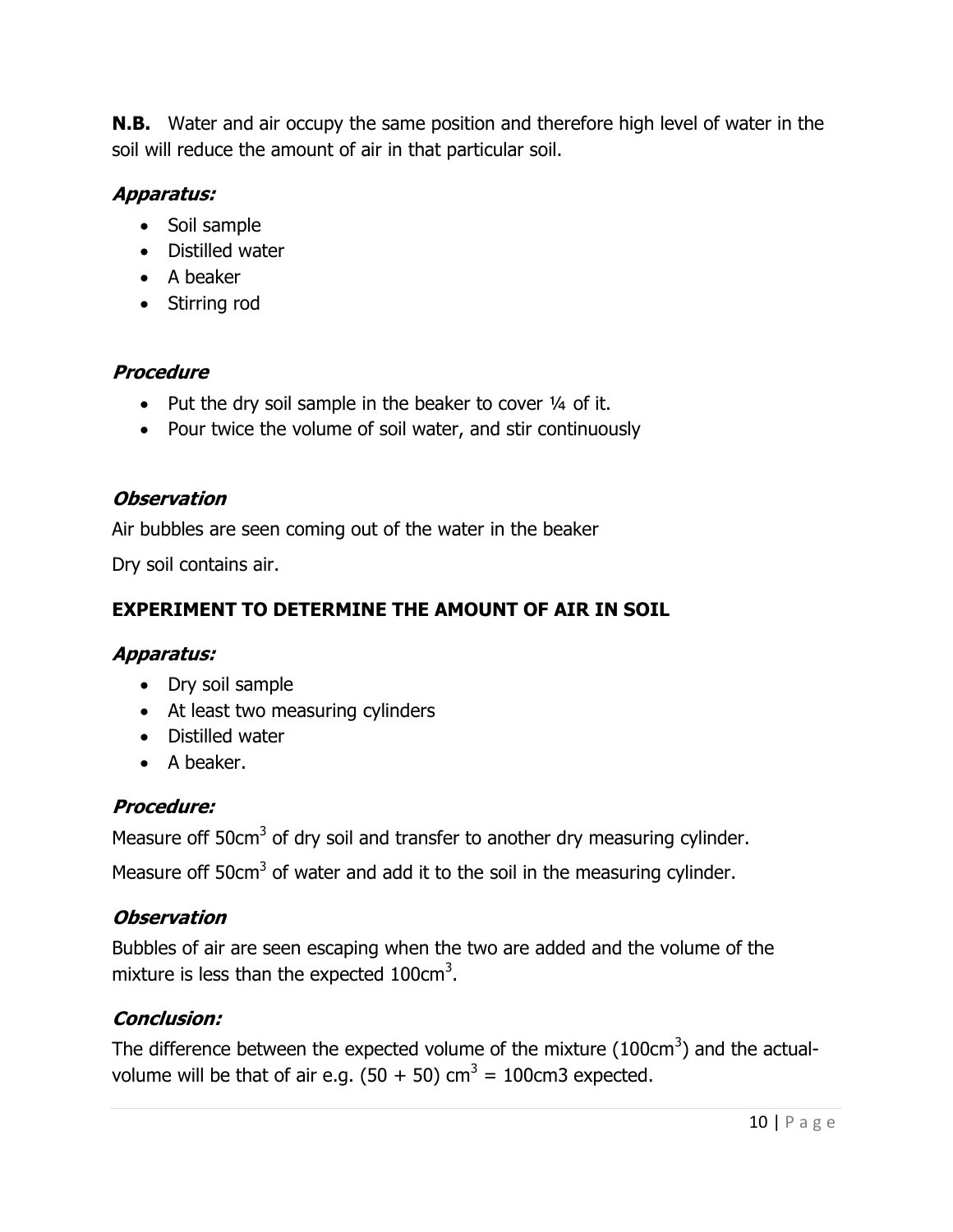**N.B.** Water and air occupy the same position and therefore high level of water in the soil will reduce the amount of air in that particular soil.

# Apparatus:

- Soil sample
- Distilled water
- A beaker
- Stirring rod

# **Procedure**

- Put the dry soil sample in the beaker to cover  $\frac{1}{4}$  of it.
- Pour twice the volume of soil water, and stir continuously

## **Observation**

Air bubbles are seen coming out of the water in the beaker

Dry soil contains air.

# EXPERIMENT TO DETERMINE THE AMOUNT OF AIR IN SOIL

# Apparatus:

- Dry soil sample
- At least two measuring cylinders
- Distilled water
- A beaker.

# Procedure:

Measure off 50cm<sup>3</sup> of dry soil and transfer to another dry measuring cylinder.

Measure off 50 $cm<sup>3</sup>$  of water and add it to the soil in the measuring cylinder.

# **Observation**

Bubbles of air are seen escaping when the two are added and the volume of the mixture is less than the expected  $100 \text{cm}^3$ .

# Conclusion:

The difference between the expected volume of the mixture (100cm<sup>3</sup>) and the actualvolume will be that of air e.g.  $(50 + 50)$  cm<sup>3</sup> = 100cm3 expected.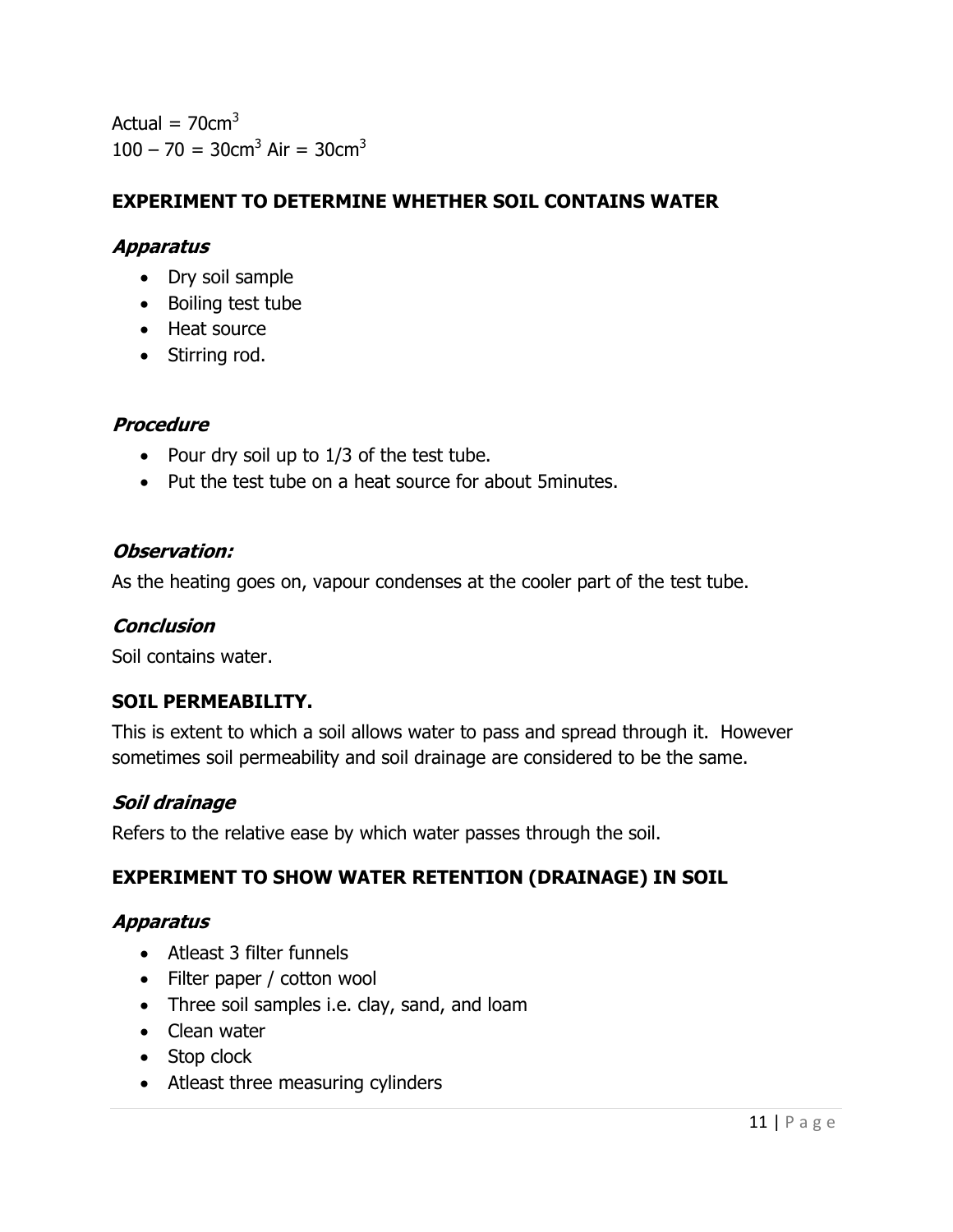Actual =  $70 \text{cm}^3$  $100 - 70 = 30$ cm<sup>3</sup> Air = 30cm<sup>3</sup>

## EXPERIMENT TO DETERMINE WHETHER SOIL CONTAINS WATER

## Apparatus

- Dry soil sample
- Boiling test tube
- Heat source
- Stirring rod.

### **Procedure**

- Pour dry soil up to  $1/3$  of the test tube.
- Put the test tube on a heat source for about 5minutes.

### Observation:

As the heating goes on, vapour condenses at the cooler part of the test tube.

#### **Conclusion**

Soil contains water.

### SOIL PERMEABILITY.

This is extent to which a soil allows water to pass and spread through it. However sometimes soil permeability and soil drainage are considered to be the same.

### Soil drainage

Refers to the relative ease by which water passes through the soil.

### EXPERIMENT TO SHOW WATER RETENTION (DRAINAGE) IN SOIL

### Apparatus

- Atleast 3 filter funnels
- Filter paper / cotton wool
- Three soil samples i.e. clay, sand, and loam
- Clean water
- Stop clock
- Atleast three measuring cylinders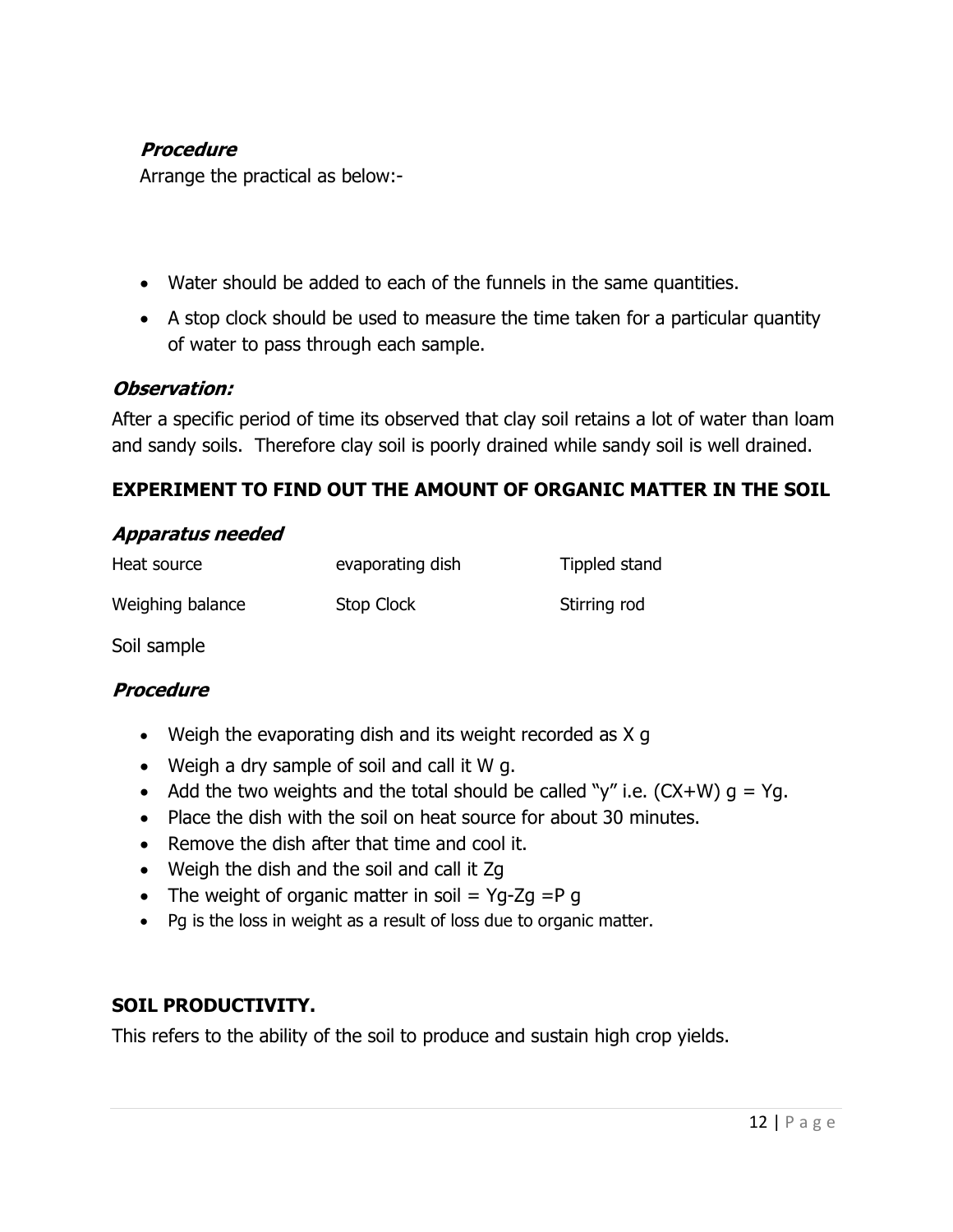## Procedure

Arrange the practical as below:-

- Water should be added to each of the funnels in the same quantities.
- A stop clock should be used to measure the time taken for a particular quantity of water to pass through each sample.

## Observation:

After a specific period of time its observed that clay soil retains a lot of water than loam and sandy soils. Therefore clay soil is poorly drained while sandy soil is well drained.

## EXPERIMENT TO FIND OUT THE AMOUNT OF ORGANIC MATTER IN THE SOIL

### Apparatus needed

| Heat source      | evaporating dish | Tippled stand |
|------------------|------------------|---------------|
| Weighing balance | Stop Clock       | Stirring rod  |

Soil sample

## **Procedure**

- Weigh the evaporating dish and its weight recorded as X g
- Weigh a dry sample of soil and call it W g.
- Add the two weights and the total should be called "y" i.e.  $(CX+W)$   $q = Yq$ .
- Place the dish with the soil on heat source for about 30 minutes.
- Remove the dish after that time and cool it.
- Weigh the dish and the soil and call it Zg
- The weight of organic matter in soil  $=$  Yg-Zg  $=$ P g
- Pg is the loss in weight as a result of loss due to organic matter.

## SOIL PRODUCTIVITY.

This refers to the ability of the soil to produce and sustain high crop yields.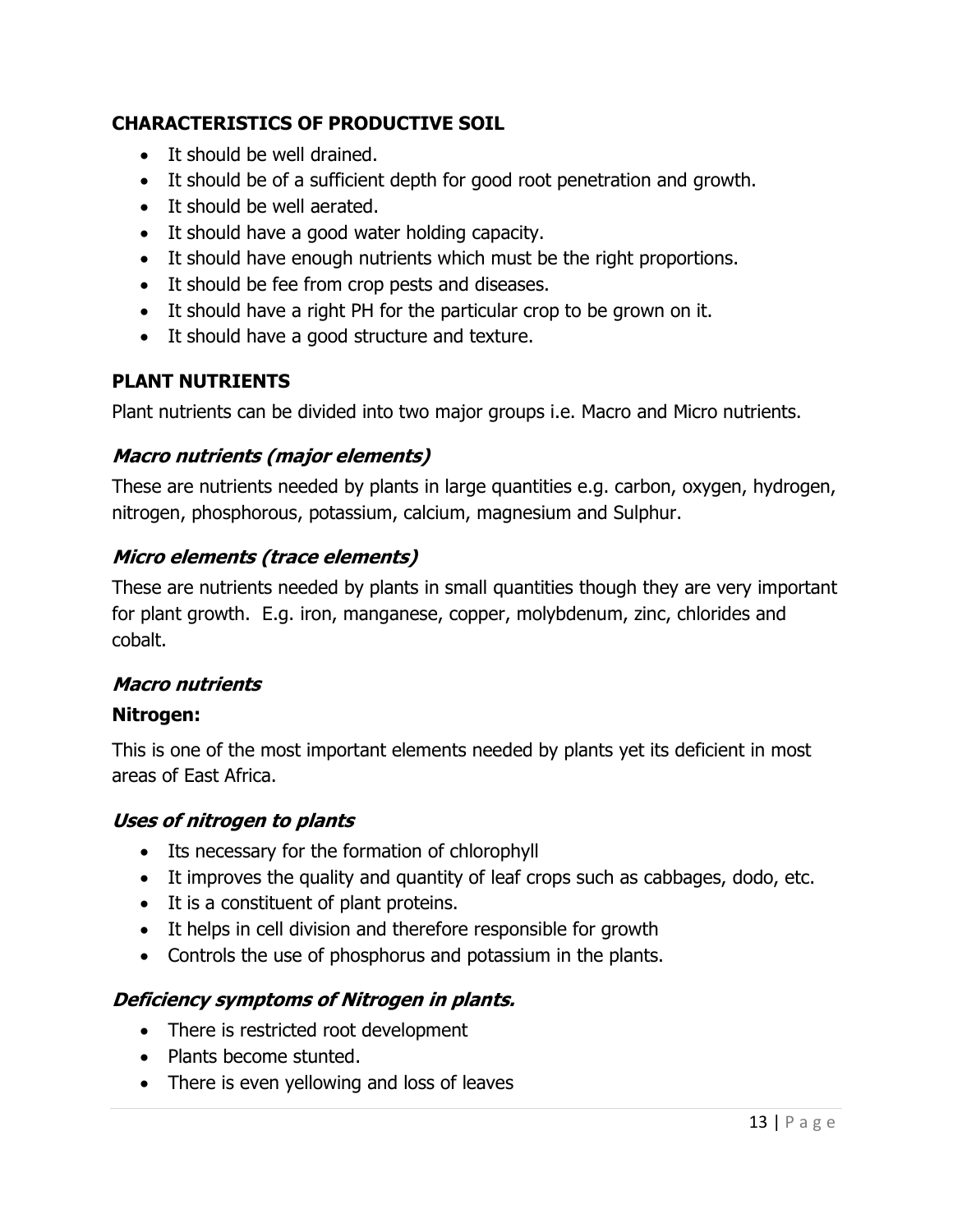## CHARACTERISTICS OF PRODUCTIVE SOIL

- It should be well drained.
- It should be of a sufficient depth for good root penetration and growth.
- It should be well aerated.
- It should have a good water holding capacity.
- It should have enough nutrients which must be the right proportions.
- It should be fee from crop pests and diseases.
- It should have a right PH for the particular crop to be grown on it.
- It should have a good structure and texture.

## PLANT NUTRIENTS

Plant nutrients can be divided into two major groups i.e. Macro and Micro nutrients.

## Macro nutrients (major elements)

These are nutrients needed by plants in large quantities e.g. carbon, oxygen, hydrogen, nitrogen, phosphorous, potassium, calcium, magnesium and Sulphur.

## Micro elements (trace elements)

These are nutrients needed by plants in small quantities though they are very important for plant growth. E.g. iron, manganese, copper, molybdenum, zinc, chlorides and cobalt.

## Macro nutrients

## Nitrogen:

This is one of the most important elements needed by plants yet its deficient in most areas of East Africa.

## Uses of nitrogen to plants

- Its necessary for the formation of chlorophyll
- It improves the quality and quantity of leaf crops such as cabbages, dodo, etc.
- It is a constituent of plant proteins.
- It helps in cell division and therefore responsible for growth
- Controls the use of phosphorus and potassium in the plants.

## Deficiency symptoms of Nitrogen in plants.

- There is restricted root development
- Plants become stunted.
- There is even yellowing and loss of leaves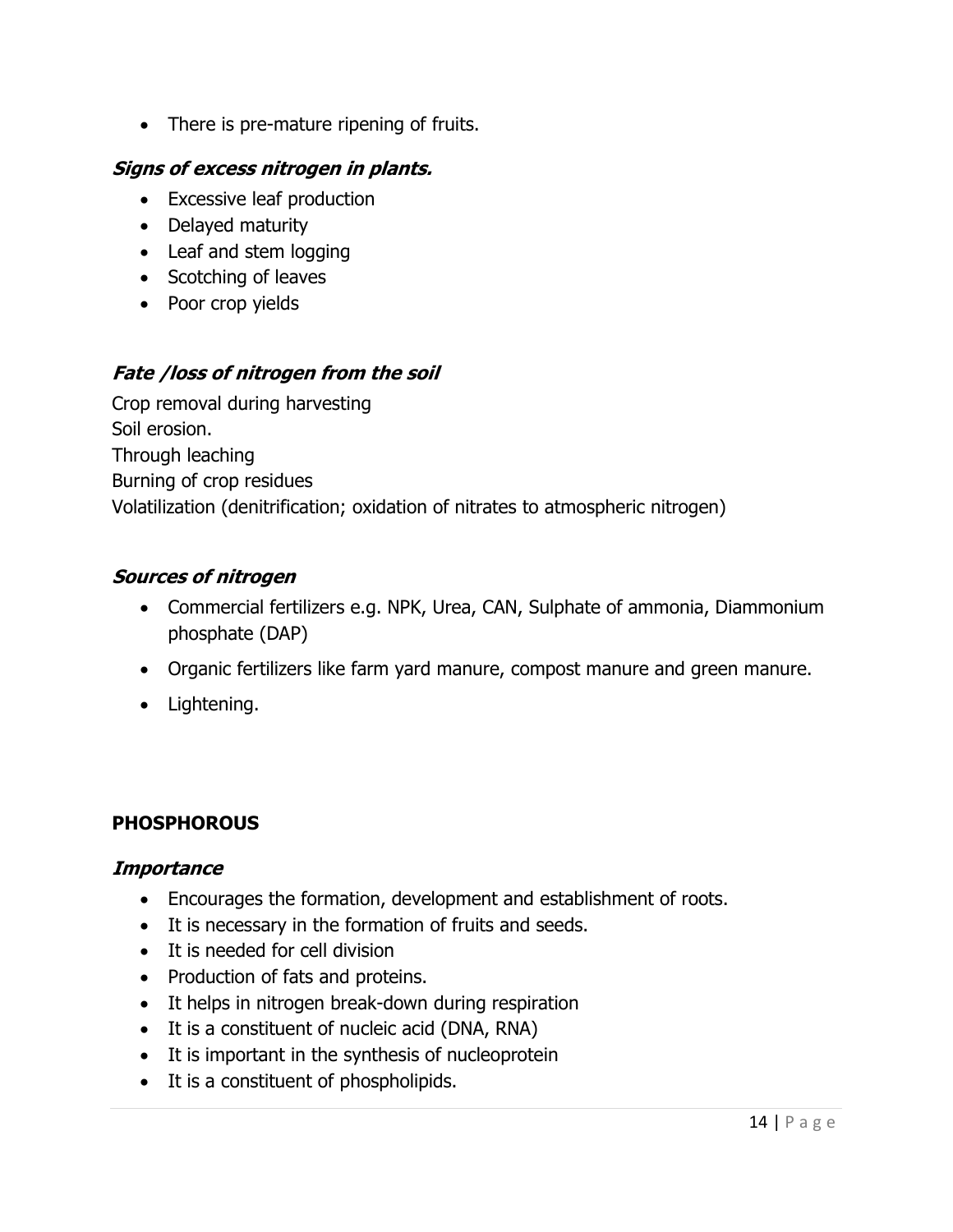• There is pre-mature ripening of fruits.

## Signs of excess nitrogen in plants.

- Excessive leaf production
- Delayed maturity
- Leaf and stem logging
- Scotching of leaves
- Poor crop yields

## Fate /loss of nitrogen from the soil

Crop removal during harvesting Soil erosion. Through leaching Burning of crop residues Volatilization (denitrification; oxidation of nitrates to atmospheric nitrogen)

## Sources of nitrogen

- Commercial fertilizers e.g. NPK, Urea, CAN, Sulphate of ammonia, Diammonium phosphate (DAP)
- Organic fertilizers like farm yard manure, compost manure and green manure.
- Lightening.

# **PHOSPHOROUS**

## **Importance**

- Encourages the formation, development and establishment of roots.
- It is necessary in the formation of fruits and seeds.
- It is needed for cell division
- Production of fats and proteins.
- It helps in nitrogen break-down during respiration
- It is a constituent of nucleic acid (DNA, RNA)
- It is important in the synthesis of nucleoprotein
- It is a constituent of phospholipids.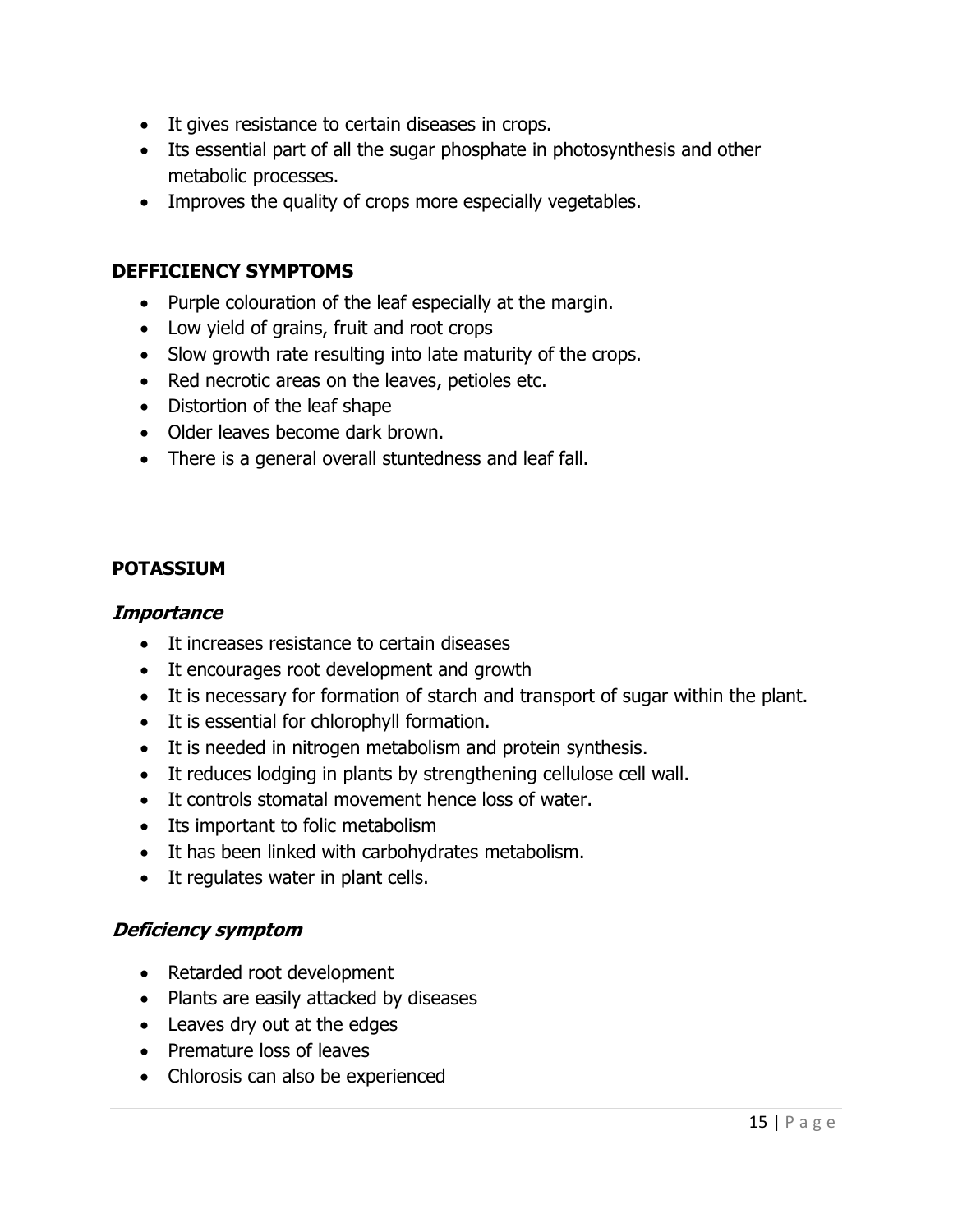- It gives resistance to certain diseases in crops.
- Its essential part of all the sugar phosphate in photosynthesis and other metabolic processes.
- Improves the quality of crops more especially vegetables.

### DEFFICIENCY SYMPTOMS

- Purple colouration of the leaf especially at the margin.
- Low yield of grains, fruit and root crops
- Slow growth rate resulting into late maturity of the crops.
- Red necrotic areas on the leaves, petioles etc.
- Distortion of the leaf shape
- Older leaves become dark brown.
- There is a general overall stuntedness and leaf fall.

### POTASSIUM

#### **Importance**

- It increases resistance to certain diseases
- It encourages root development and growth
- It is necessary for formation of starch and transport of sugar within the plant.
- It is essential for chlorophyll formation.
- It is needed in nitrogen metabolism and protein synthesis.
- It reduces lodging in plants by strengthening cellulose cell wall.
- It controls stomatal movement hence loss of water.
- Its important to folic metabolism
- It has been linked with carbohydrates metabolism.
- It regulates water in plant cells.

### Deficiency symptom

- Retarded root development
- Plants are easily attacked by diseases
- Leaves dry out at the edges
- Premature loss of leaves
- Chlorosis can also be experienced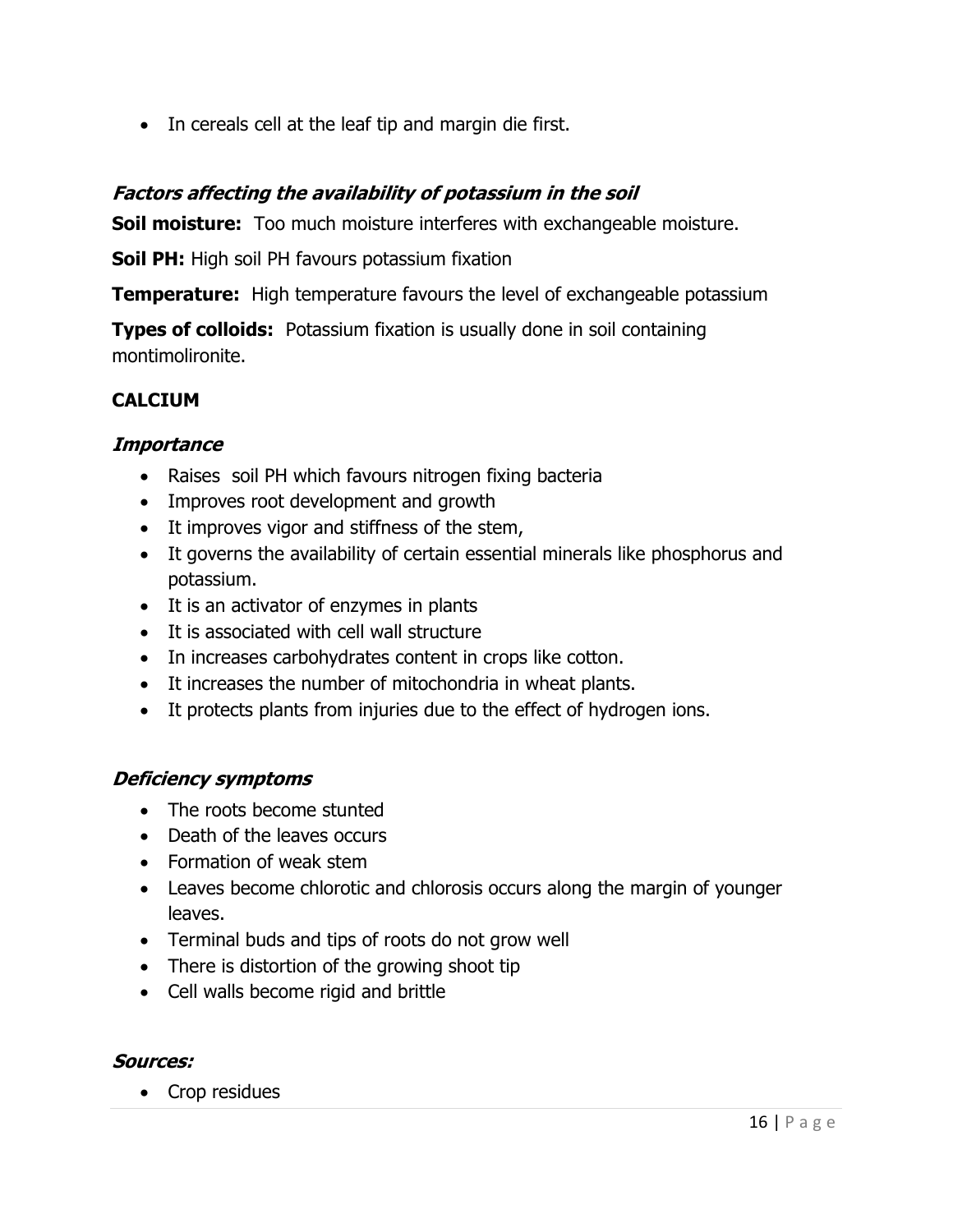• In cereals cell at the leaf tip and margin die first.

## Factors affecting the availability of potassium in the soil

**Soil moisture:** Too much moisture interferes with exchangeable moisture.

Soil PH: High soil PH favours potassium fixation

**Temperature:** High temperature favours the level of exchangeable potassium

**Types of colloids:** Potassium fixation is usually done in soil containing montimolironite.

## **CALCIUM**

## **Importance**

- Raises soil PH which favours nitrogen fixing bacteria
- Improves root development and growth
- It improves vigor and stiffness of the stem,
- It governs the availability of certain essential minerals like phosphorus and potassium.
- It is an activator of enzymes in plants
- It is associated with cell wall structure
- In increases carbohydrates content in crops like cotton.
- It increases the number of mitochondria in wheat plants.
- It protects plants from injuries due to the effect of hydrogen ions.

## Deficiency symptoms

- The roots become stunted
- Death of the leaves occurs
- Formation of weak stem
- Leaves become chlorotic and chlorosis occurs along the margin of younger leaves.
- Terminal buds and tips of roots do not grow well
- There is distortion of the growing shoot tip
- Cell walls become rigid and brittle

## Sources:

• Crop residues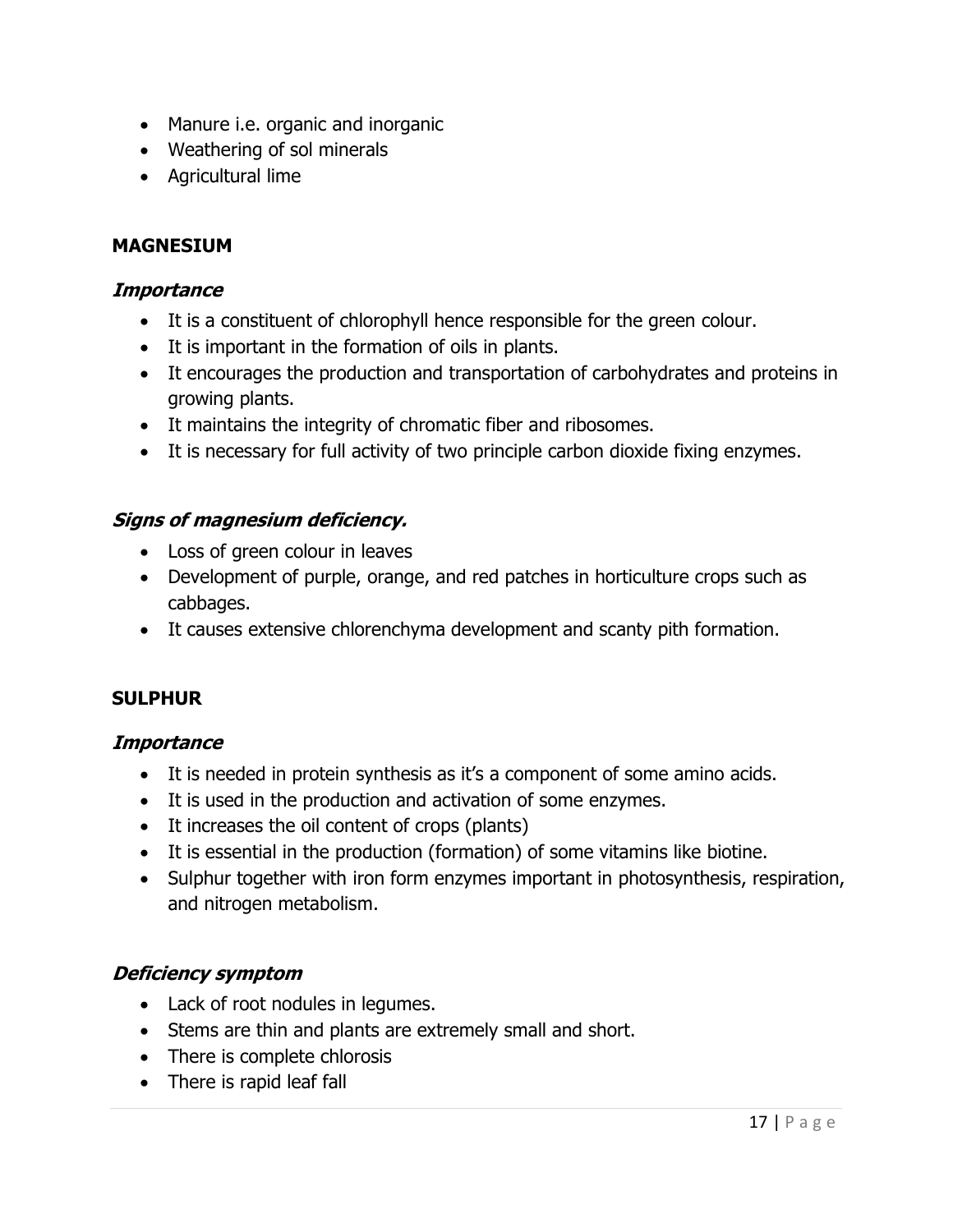- Manure i.e. organic and inorganic
- Weathering of sol minerals
- Agricultural lime

## MAGNESIUM

### **Importance**

- It is a constituent of chlorophyll hence responsible for the green colour.
- It is important in the formation of oils in plants.
- It encourages the production and transportation of carbohydrates and proteins in growing plants.
- It maintains the integrity of chromatic fiber and ribosomes.
- It is necessary for full activity of two principle carbon dioxide fixing enzymes.

## Signs of magnesium deficiency.

- Loss of green colour in leaves
- Development of purple, orange, and red patches in horticulture crops such as cabbages.
- It causes extensive chlorenchyma development and scanty pith formation.

## **SULPHUR**

## **Importance**

- It is needed in protein synthesis as it's a component of some amino acids.
- It is used in the production and activation of some enzymes.
- It increases the oil content of crops (plants)
- It is essential in the production (formation) of some vitamins like biotine.
- Sulphur together with iron form enzymes important in photosynthesis, respiration, and nitrogen metabolism.

## Deficiency symptom

- Lack of root nodules in legumes.
- Stems are thin and plants are extremely small and short.
- There is complete chlorosis
- There is rapid leaf fall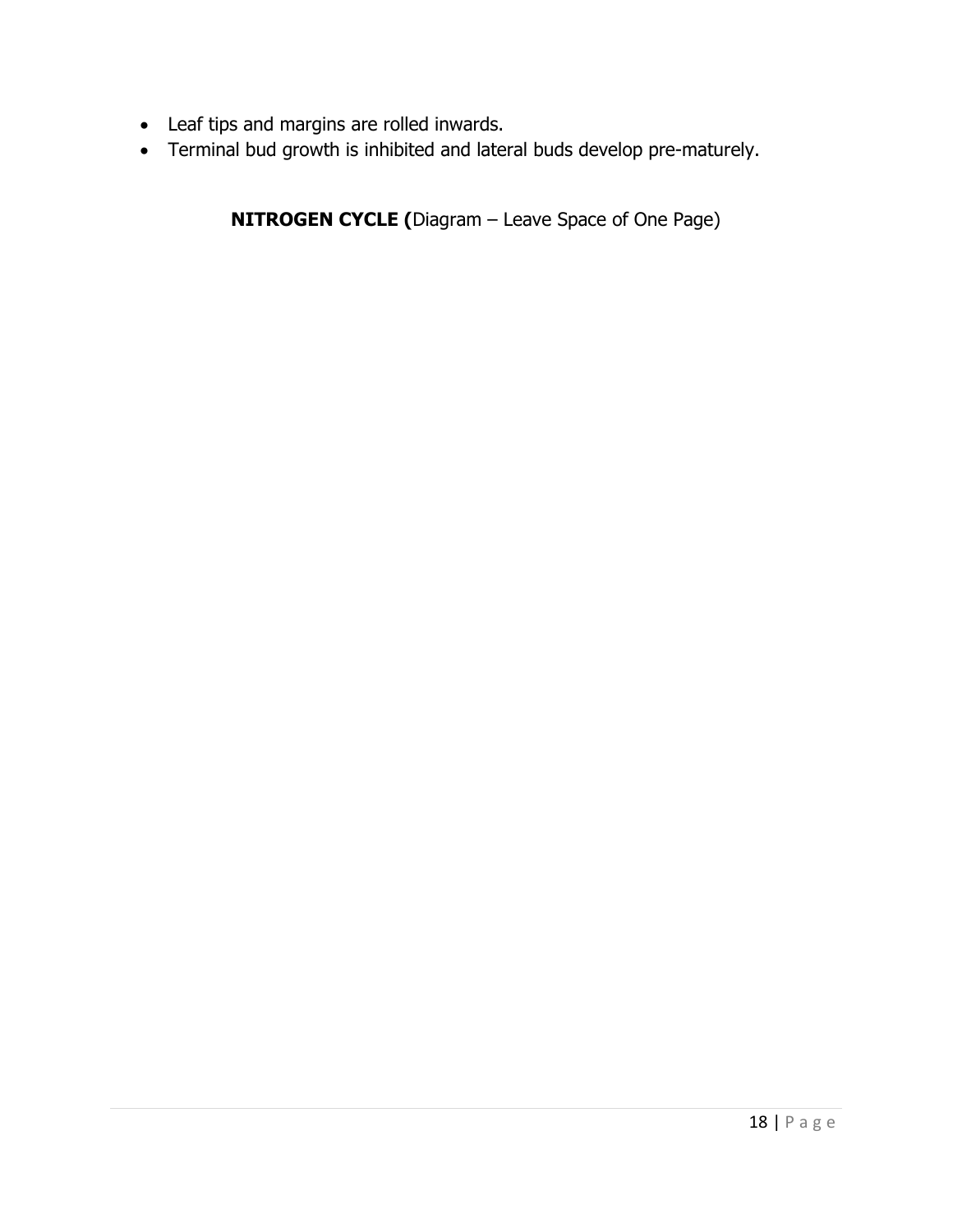- Leaf tips and margins are rolled inwards.
- Terminal bud growth is inhibited and lateral buds develop pre-maturely.

NITROGEN CYCLE (Diagram – Leave Space of One Page)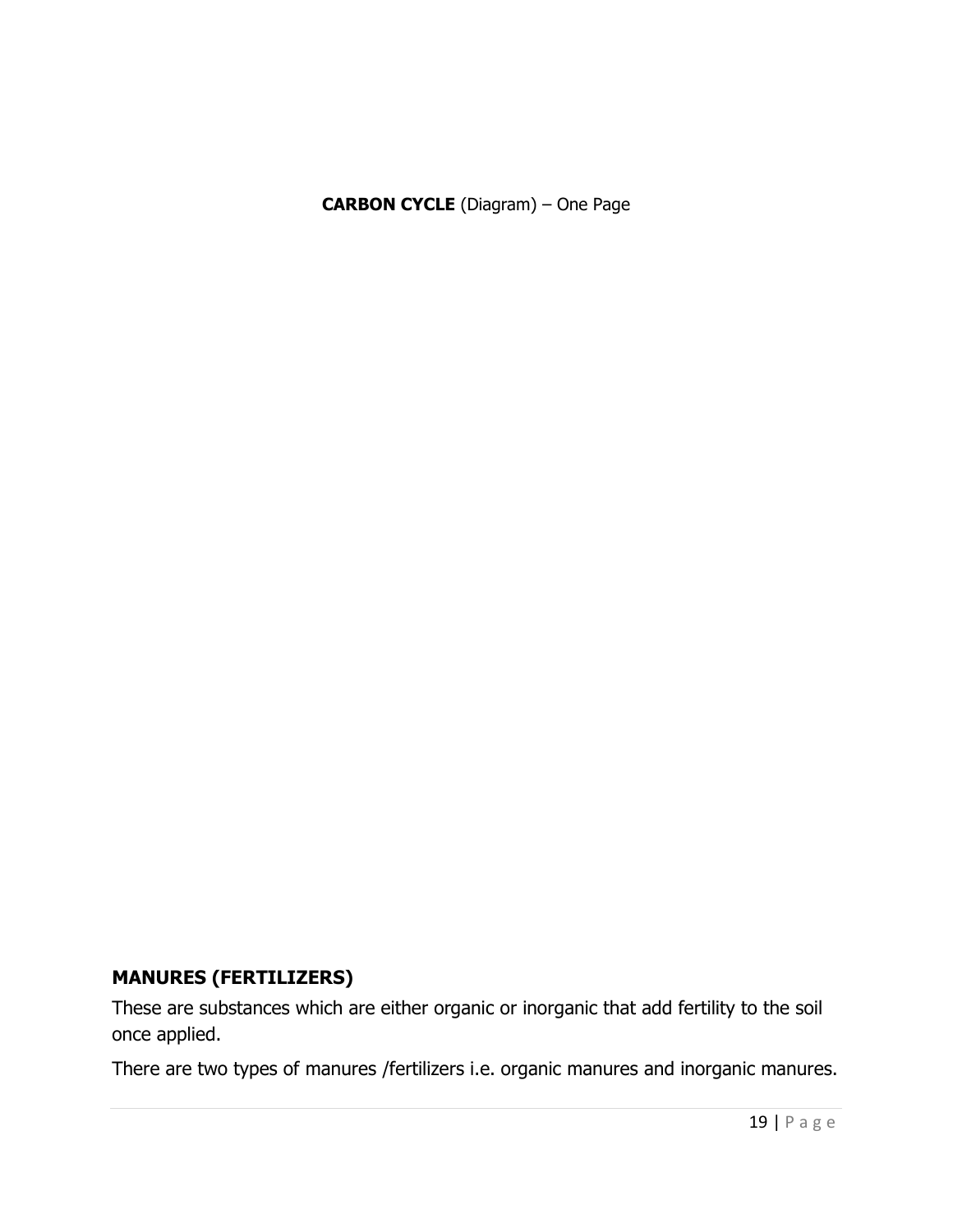CARBON CYCLE (Diagram) – One Page

## MANURES (FERTILIZERS)

These are substances which are either organic or inorganic that add fertility to the soil once applied.

There are two types of manures /fertilizers i.e. organic manures and inorganic manures.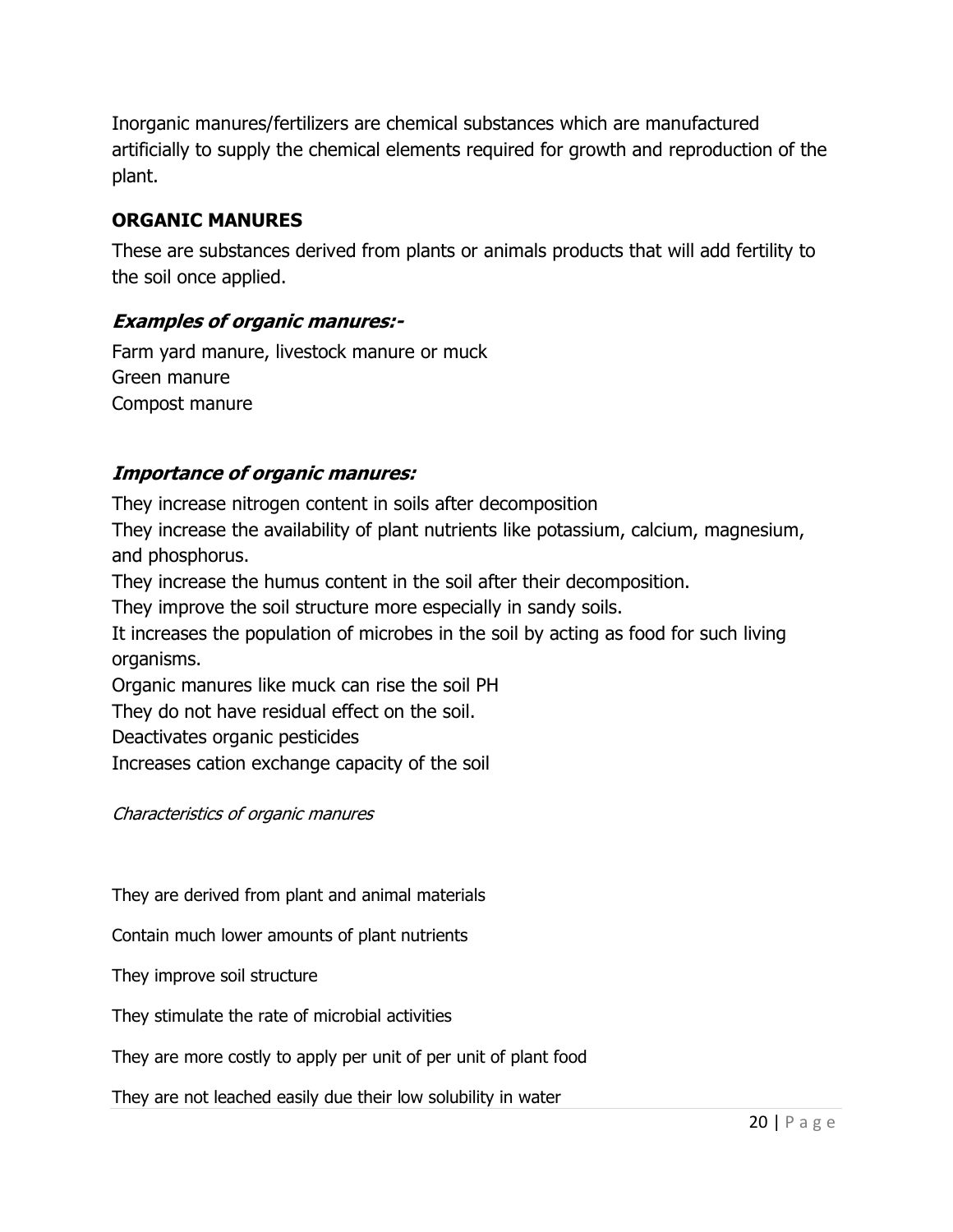Inorganic manures/fertilizers are chemical substances which are manufactured artificially to supply the chemical elements required for growth and reproduction of the plant.

## ORGANIC MANURES

These are substances derived from plants or animals products that will add fertility to the soil once applied.

## Examples of organic manures:-

Farm yard manure, livestock manure or muck Green manure Compost manure

## Importance of organic manures:

They increase nitrogen content in soils after decomposition They increase the availability of plant nutrients like potassium, calcium, magnesium, and phosphorus. They increase the humus content in the soil after their decomposition. They improve the soil structure more especially in sandy soils. It increases the population of microbes in the soil by acting as food for such living organisms. Organic manures like muck can rise the soil PH They do not have residual effect on the soil. Deactivates organic pesticides Increases cation exchange capacity of the soil

Characteristics of organic manures

They are derived from plant and animal materials

Contain much lower amounts of plant nutrients

They improve soil structure

They stimulate the rate of microbial activities

They are more costly to apply per unit of per unit of plant food

They are not leached easily due their low solubility in water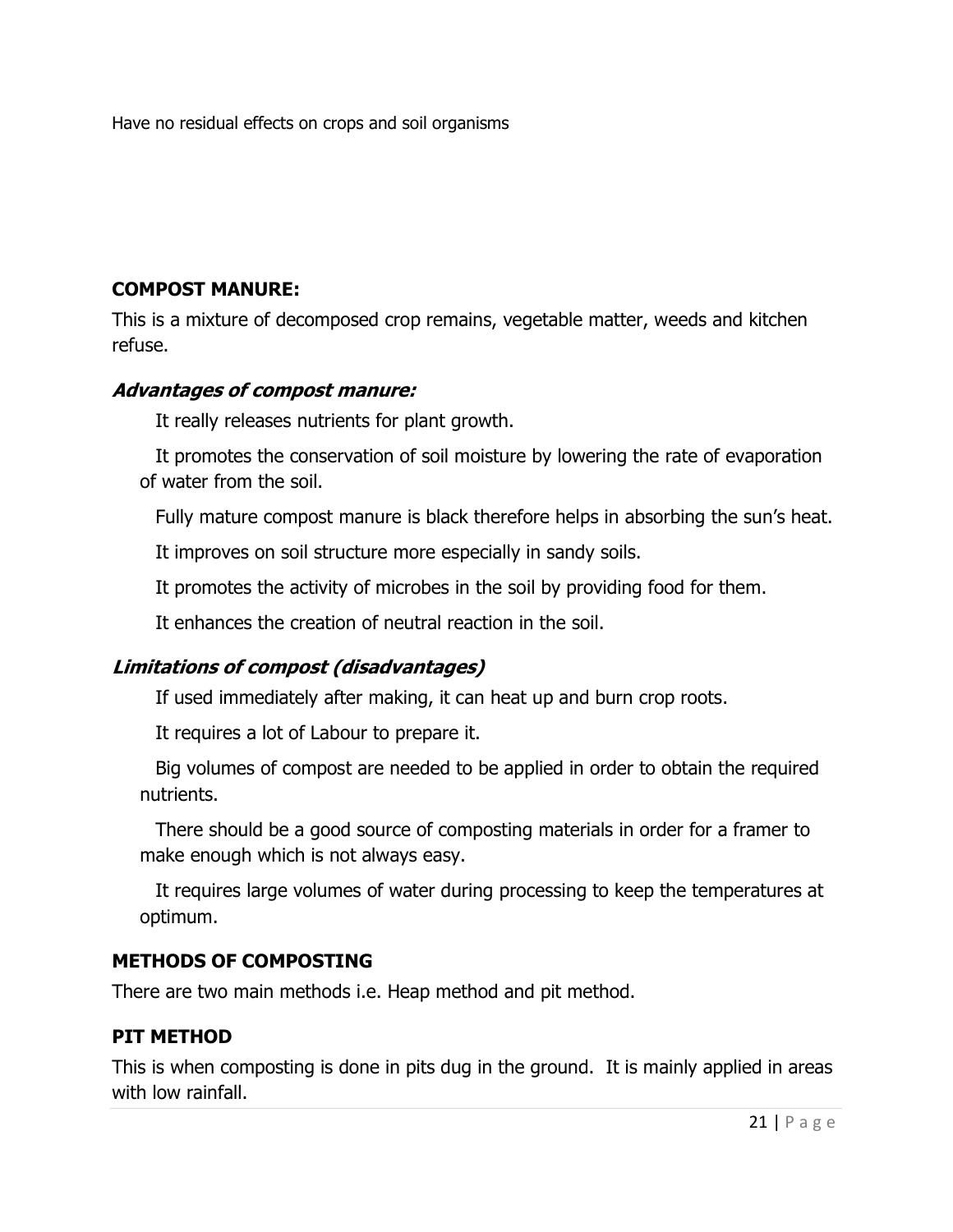Have no residual effects on crops and soil organisms

## COMPOST MANURE:

This is a mixture of decomposed crop remains, vegetable matter, weeds and kitchen refuse.

## Advantages of compost manure:

It really releases nutrients for plant growth.

It promotes the conservation of soil moisture by lowering the rate of evaporation of water from the soil.

Fully mature compost manure is black therefore helps in absorbing the sun's heat.

It improves on soil structure more especially in sandy soils.

It promotes the activity of microbes in the soil by providing food for them.

It enhances the creation of neutral reaction in the soil.

# Limitations of compost (disadvantages)

If used immediately after making, it can heat up and burn crop roots.

It requires a lot of Labour to prepare it.

Big volumes of compost are needed to be applied in order to obtain the required nutrients.

There should be a good source of composting materials in order for a framer to make enough which is not always easy.

It requires large volumes of water during processing to keep the temperatures at optimum.

## METHODS OF COMPOSTING

There are two main methods i.e. Heap method and pit method.

## PIT METHOD

This is when composting is done in pits dug in the ground. It is mainly applied in areas with low rainfall.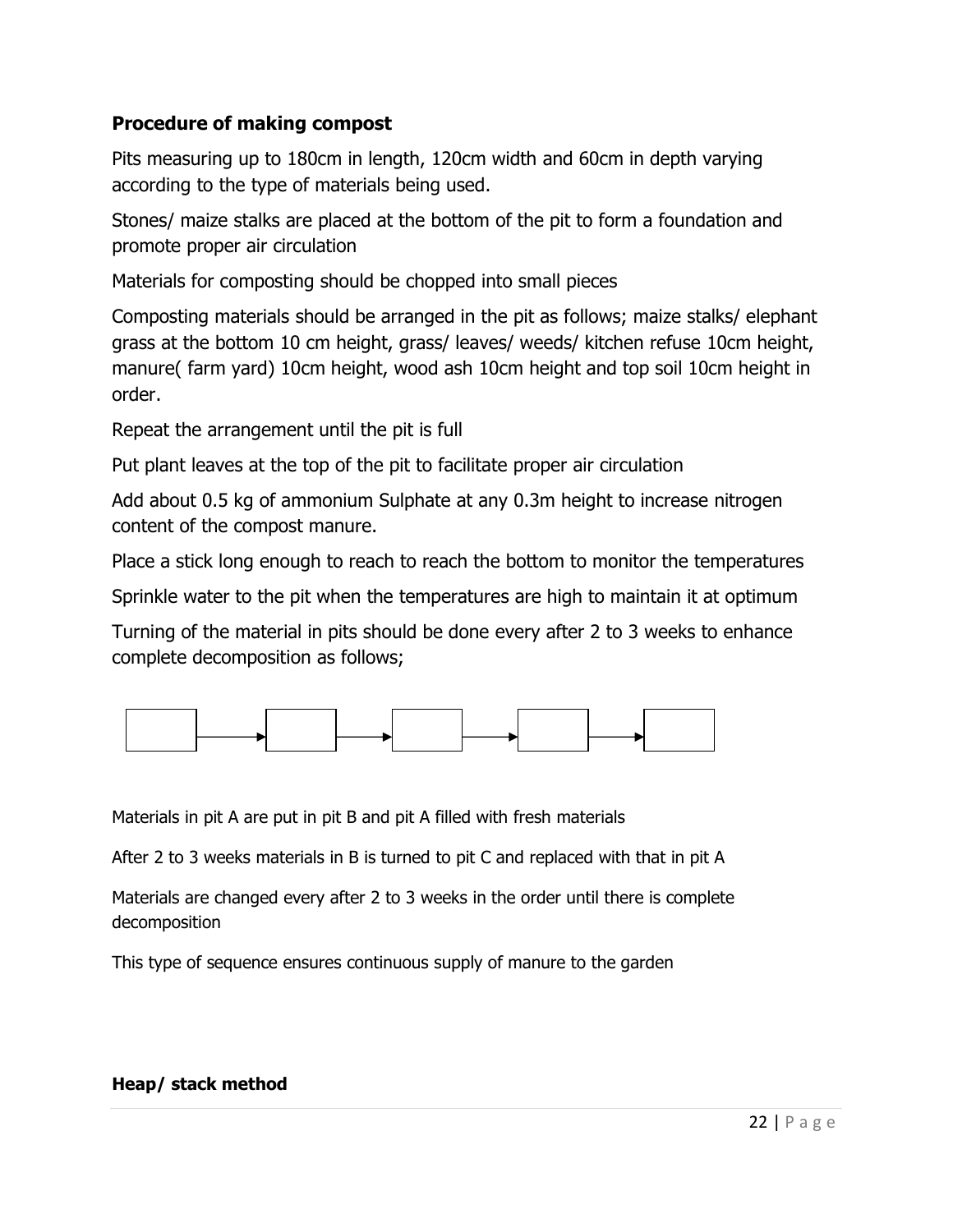## Procedure of making compost

Pits measuring up to 180cm in length, 120cm width and 60cm in depth varying according to the type of materials being used.

Stones/ maize stalks are placed at the bottom of the pit to form a foundation and promote proper air circulation

Materials for composting should be chopped into small pieces

Composting materials should be arranged in the pit as follows; maize stalks/ elephant grass at the bottom 10 cm height, grass/ leaves/ weeds/ kitchen refuse 10cm height, manure( farm yard) 10cm height, wood ash 10cm height and top soil 10cm height in order.

Repeat the arrangement until the pit is full

Put plant leaves at the top of the pit to facilitate proper air circulation

Add about 0.5 kg of ammonium Sulphate at any 0.3m height to increase nitrogen content of the compost manure.

Place a stick long enough to reach to reach the bottom to monitor the temperatures

Sprinkle water to the pit when the temperatures are high to maintain it at optimum

Turning of the material in pits should be done every after 2 to 3 weeks to enhance complete decomposition as follows;



Materials in pit A are put in pit B and pit A filled with fresh materials

After 2 to 3 weeks materials in B is turned to pit C and replaced with that in pit A

Materials are changed every after 2 to 3 weeks in the order until there is complete decomposition

This type of sequence ensures continuous supply of manure to the garden

## Heap/ stack method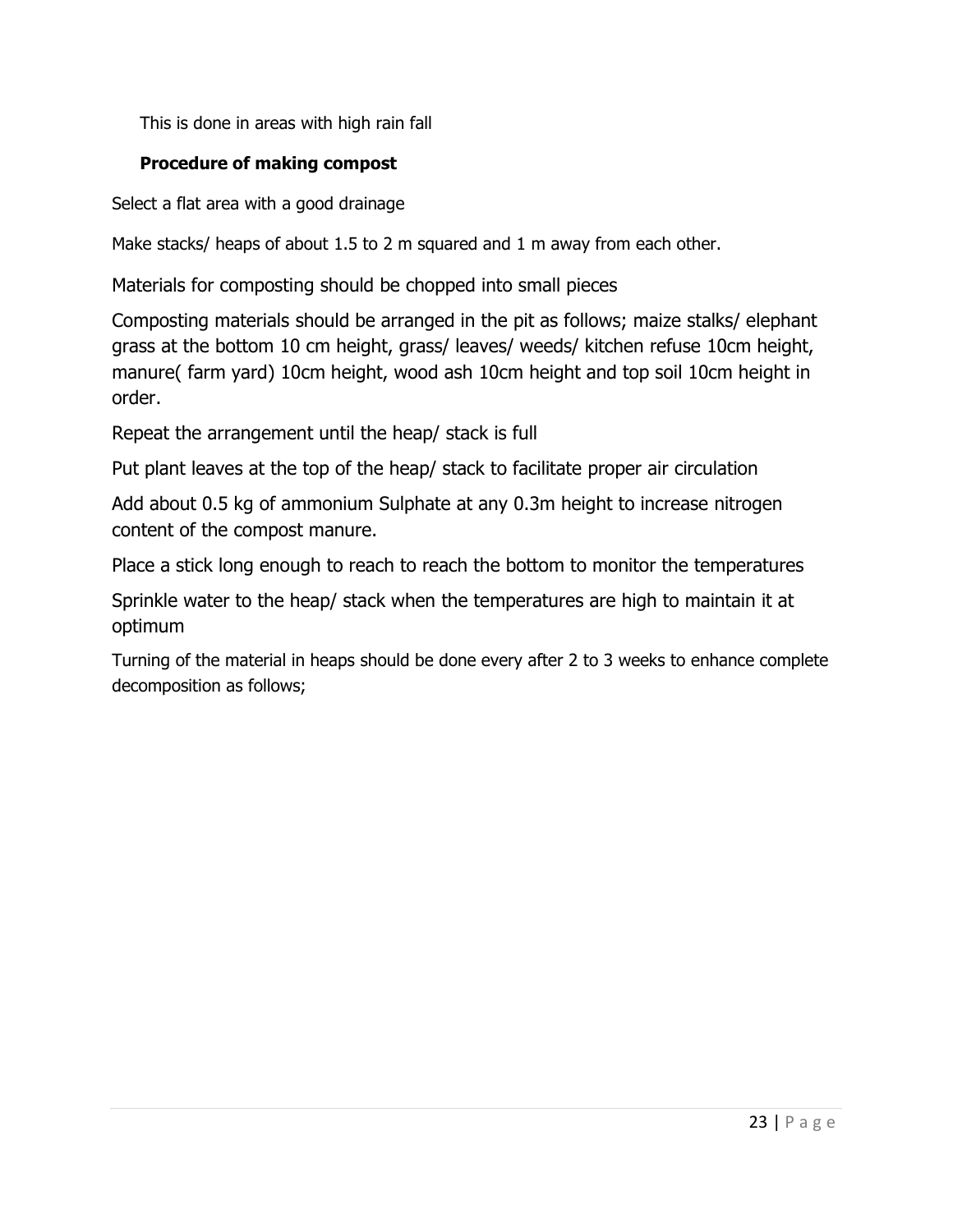This is done in areas with high rain fall

## Procedure of making compost

Select a flat area with a good drainage

Make stacks/ heaps of about 1.5 to 2 m squared and 1 m away from each other.

Materials for composting should be chopped into small pieces

Composting materials should be arranged in the pit as follows; maize stalks/ elephant grass at the bottom 10 cm height, grass/ leaves/ weeds/ kitchen refuse 10cm height, manure( farm yard) 10cm height, wood ash 10cm height and top soil 10cm height in order.

Repeat the arrangement until the heap/ stack is full

Put plant leaves at the top of the heap/ stack to facilitate proper air circulation

Add about 0.5 kg of ammonium Sulphate at any 0.3m height to increase nitrogen content of the compost manure.

Place a stick long enough to reach to reach the bottom to monitor the temperatures

Sprinkle water to the heap/ stack when the temperatures are high to maintain it at optimum

Turning of the material in heaps should be done every after 2 to 3 weeks to enhance complete decomposition as follows;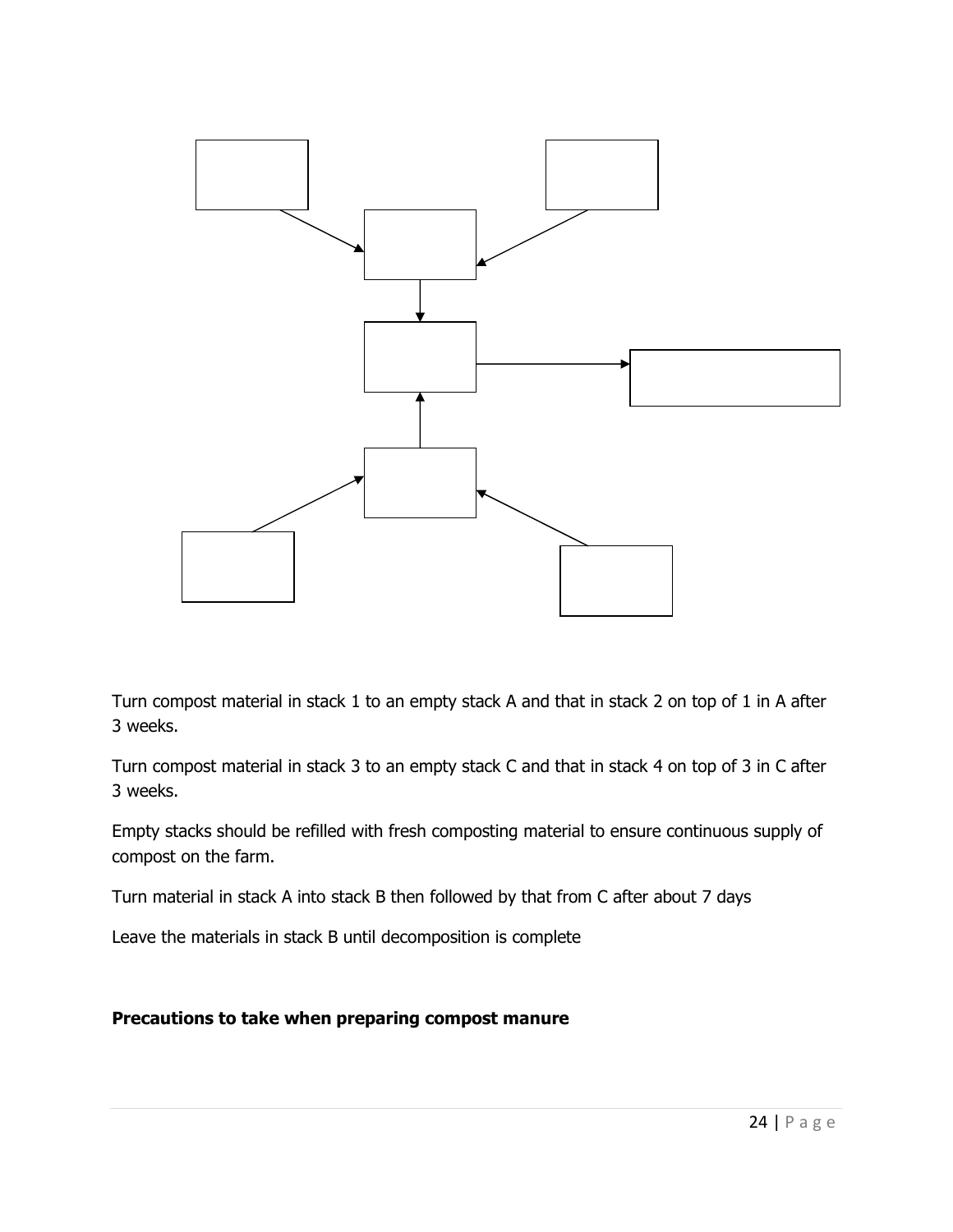

Turn compost material in stack 1 to an empty stack A and that in stack 2 on top of 1 in A after 3 weeks.

Turn compost material in stack 3 to an empty stack C and that in stack 4 on top of 3 in C after 3 weeks.

Empty stacks should be refilled with fresh composting material to ensure continuous supply of compost on the farm.

Turn material in stack A into stack B then followed by that from C after about 7 days

Leave the materials in stack B until decomposition is complete

Precautions to take when preparing compost manure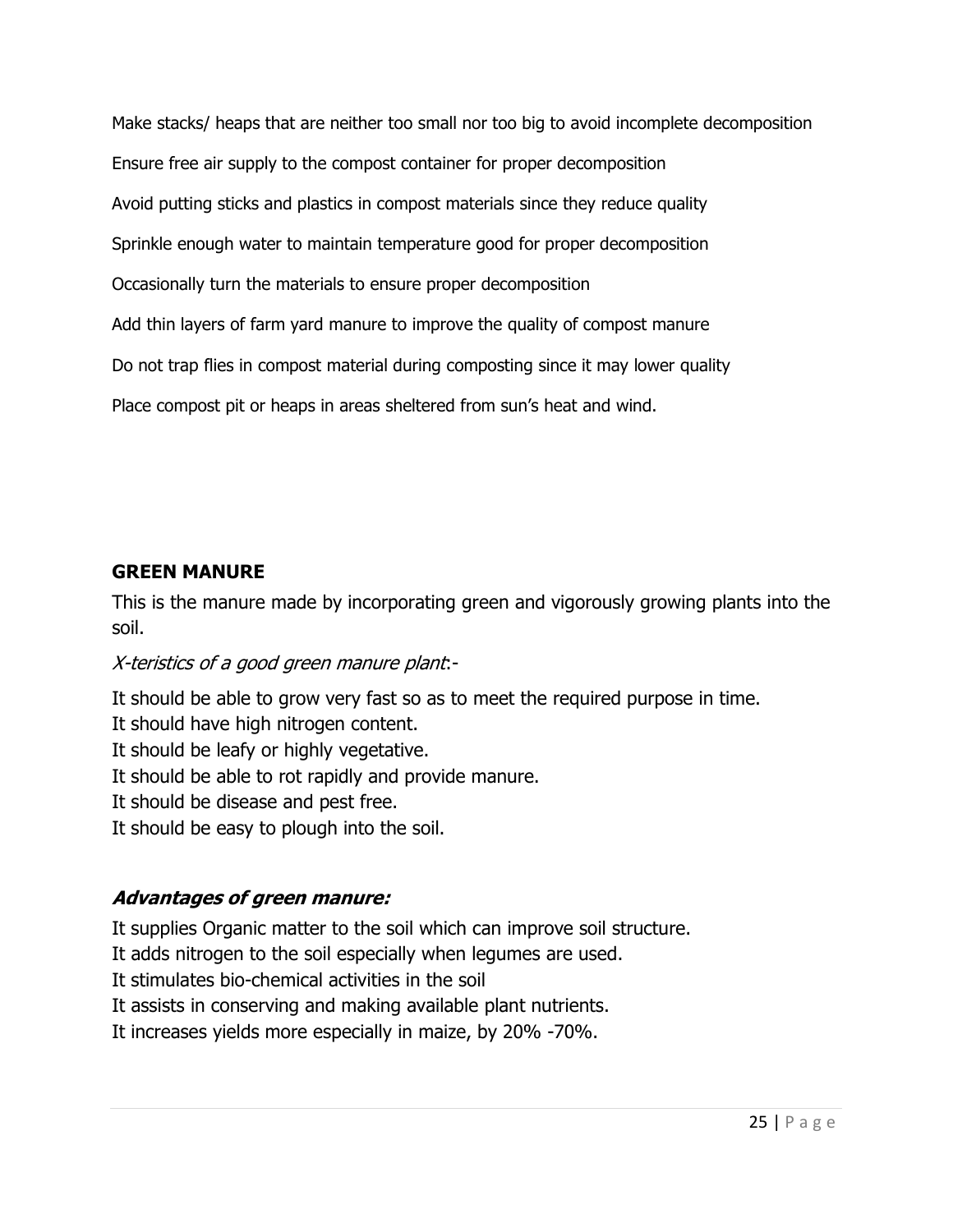Make stacks/ heaps that are neither too small nor too big to avoid incomplete decomposition Ensure free air supply to the compost container for proper decomposition Avoid putting sticks and plastics in compost materials since they reduce quality Sprinkle enough water to maintain temperature good for proper decomposition Occasionally turn the materials to ensure proper decomposition Add thin layers of farm yard manure to improve the quality of compost manure Do not trap flies in compost material during composting since it may lower quality Place compost pit or heaps in areas sheltered from sun's heat and wind.

## GREEN MANURE

This is the manure made by incorporating green and vigorously growing plants into the soil.

## X-teristics of a good green manure plant:-

It should be able to grow very fast so as to meet the required purpose in time. It should have high nitrogen content. It should be leafy or highly vegetative. It should be able to rot rapidly and provide manure. It should be disease and pest free. It should be easy to plough into the soil.

## Advantages of green manure:

It supplies Organic matter to the soil which can improve soil structure.

It adds nitrogen to the soil especially when legumes are used.

It stimulates bio-chemical activities in the soil

It assists in conserving and making available plant nutrients.

It increases yields more especially in maize, by 20% -70%.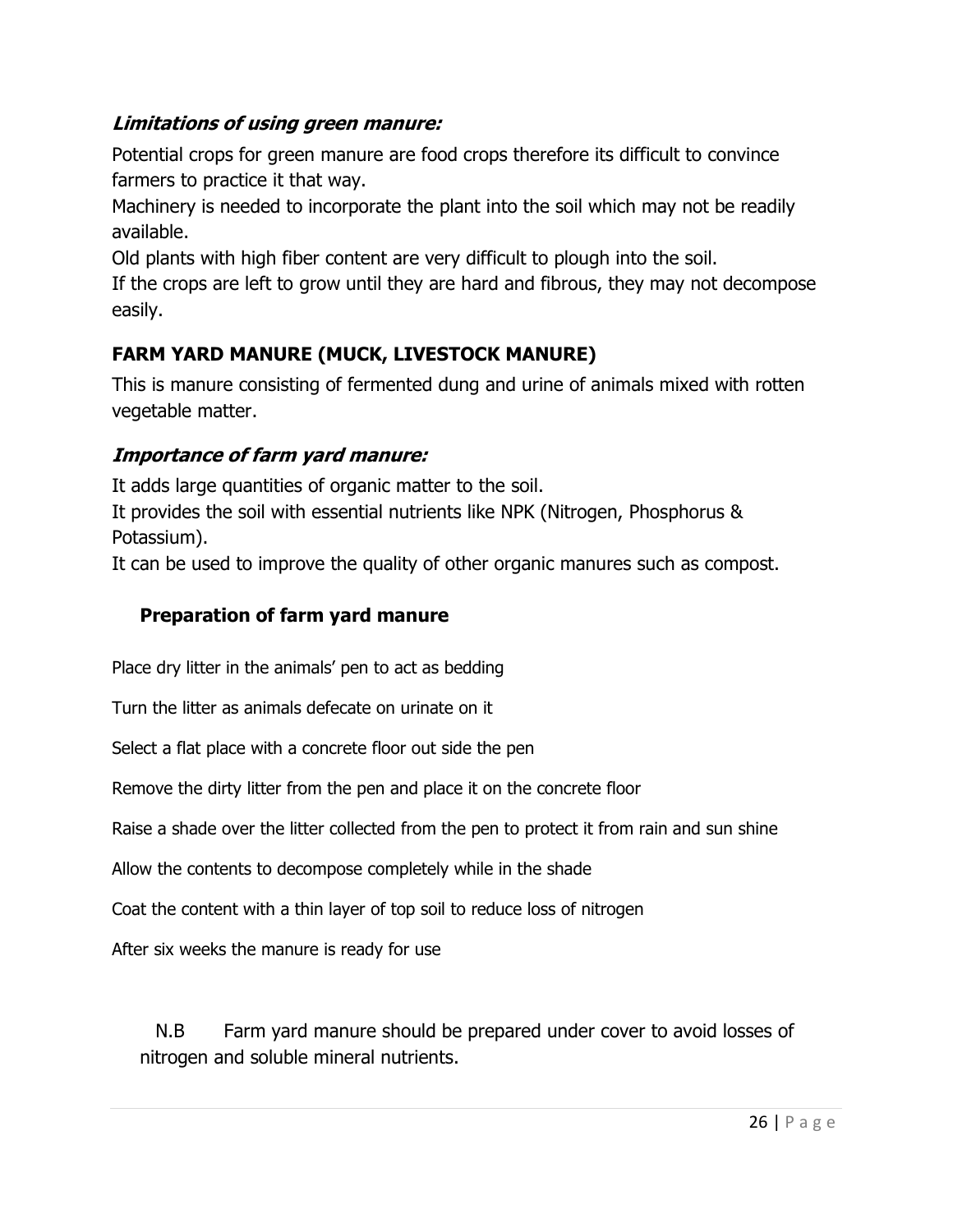## Limitations of using green manure:

Potential crops for green manure are food crops therefore its difficult to convince farmers to practice it that way.

Machinery is needed to incorporate the plant into the soil which may not be readily available.

Old plants with high fiber content are very difficult to plough into the soil.

If the crops are left to grow until they are hard and fibrous, they may not decompose easily.

# FARM YARD MANURE (MUCK, LIVESTOCK MANURE)

This is manure consisting of fermented dung and urine of animals mixed with rotten vegetable matter.

## Importance of farm yard manure:

It adds large quantities of organic matter to the soil.

It provides the soil with essential nutrients like NPK (Nitrogen, Phosphorus & Potassium).

It can be used to improve the quality of other organic manures such as compost.

## Preparation of farm yard manure

Place dry litter in the animals' pen to act as bedding

Turn the litter as animals defecate on urinate on it

Select a flat place with a concrete floor out side the pen

Remove the dirty litter from the pen and place it on the concrete floor

Raise a shade over the litter collected from the pen to protect it from rain and sun shine

Allow the contents to decompose completely while in the shade

Coat the content with a thin layer of top soil to reduce loss of nitrogen

After six weeks the manure is ready for use

N.B Farm yard manure should be prepared under cover to avoid losses of nitrogen and soluble mineral nutrients.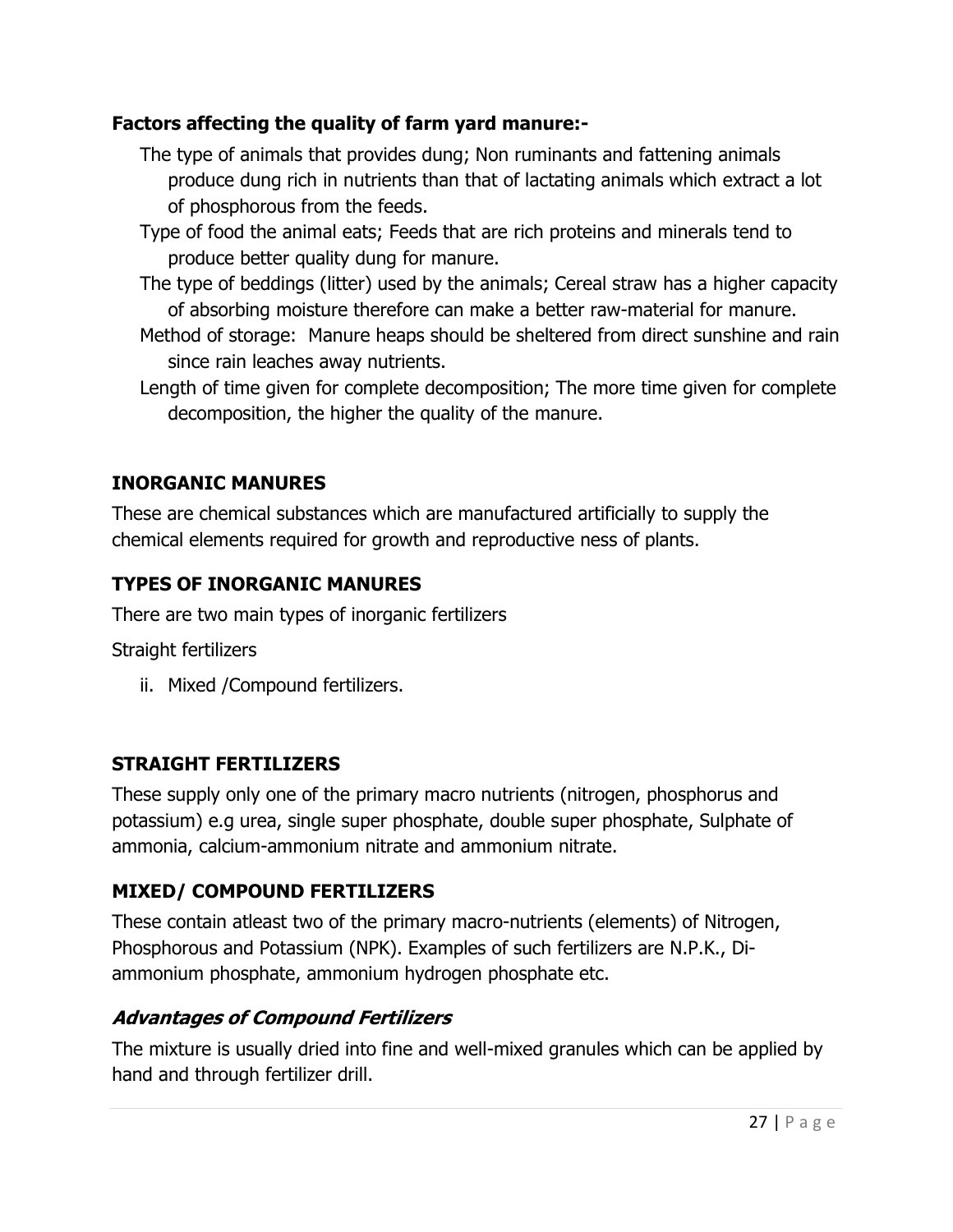## Factors affecting the quality of farm yard manure:-

- The type of animals that provides dung; Non ruminants and fattening animals produce dung rich in nutrients than that of lactating animals which extract a lot of phosphorous from the feeds.
- Type of food the animal eats; Feeds that are rich proteins and minerals tend to produce better quality dung for manure.
- The type of beddings (litter) used by the animals; Cereal straw has a higher capacity of absorbing moisture therefore can make a better raw-material for manure.
- Method of storage: Manure heaps should be sheltered from direct sunshine and rain since rain leaches away nutrients.
- Length of time given for complete decomposition; The more time given for complete decomposition, the higher the quality of the manure.

## INORGANIC MANURES

These are chemical substances which are manufactured artificially to supply the chemical elements required for growth and reproductive ness of plants.

# TYPES OF INORGANIC MANURES

There are two main types of inorganic fertilizers

Straight fertilizers

ii. Mixed /Compound fertilizers.

## STRAIGHT FERTILIZERS

These supply only one of the primary macro nutrients (nitrogen, phosphorus and potassium) e.g urea, single super phosphate, double super phosphate, Sulphate of ammonia, calcium-ammonium nitrate and ammonium nitrate.

## MIXED/ COMPOUND FERTILIZERS

These contain atleast two of the primary macro-nutrients (elements) of Nitrogen, Phosphorous and Potassium (NPK). Examples of such fertilizers are N.P.K., Diammonium phosphate, ammonium hydrogen phosphate etc.

# Advantages of Compound Fertilizers

The mixture is usually dried into fine and well-mixed granules which can be applied by hand and through fertilizer drill.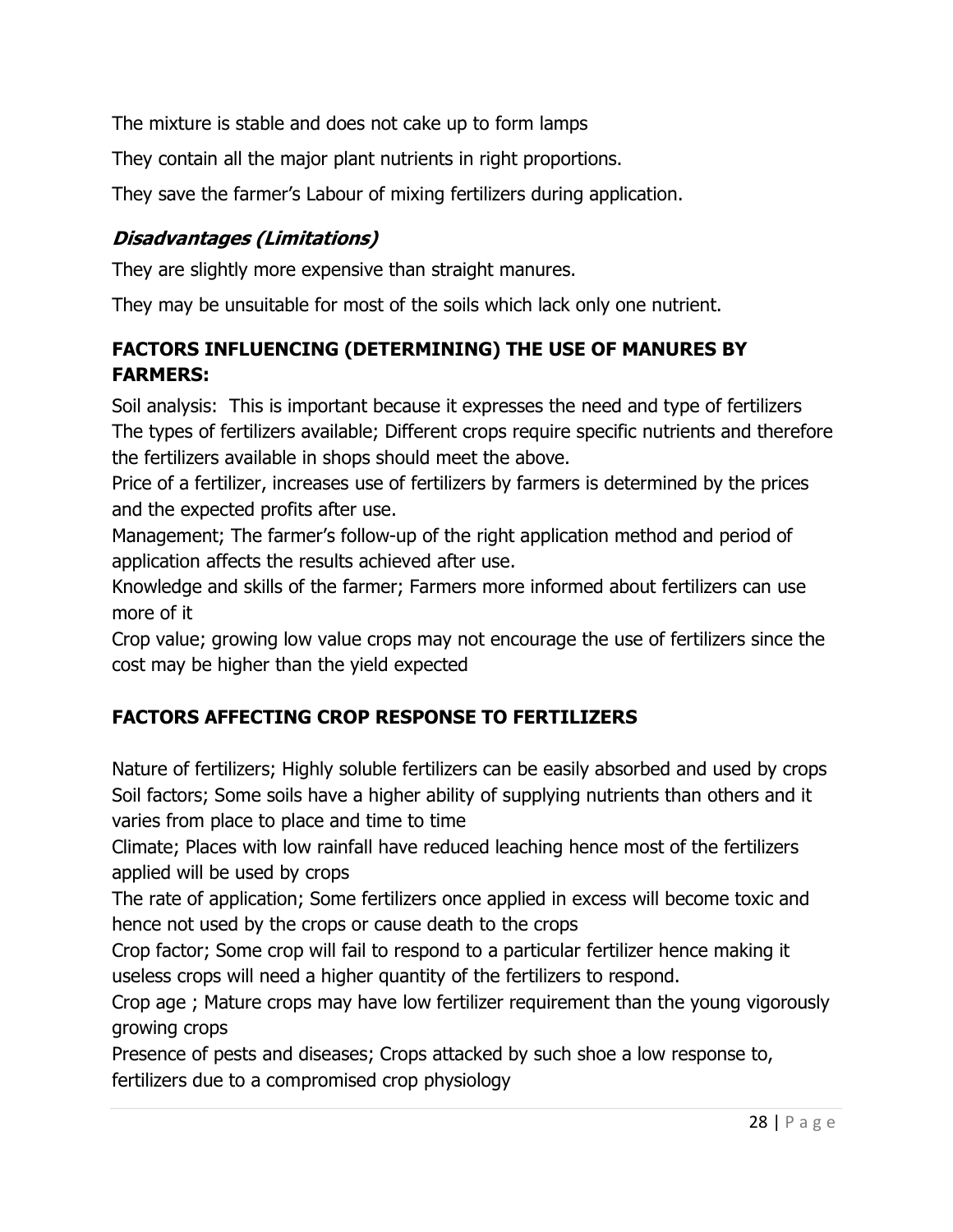The mixture is stable and does not cake up to form lamps

They contain all the major plant nutrients in right proportions.

They save the farmer's Labour of mixing fertilizers during application.

# Disadvantages (Limitations)

They are slightly more expensive than straight manures.

They may be unsuitable for most of the soils which lack only one nutrient.

# FACTORS INFLUENCING (DETERMINING) THE USE OF MANURES BY FARMERS:

Soil analysis: This is important because it expresses the need and type of fertilizers The types of fertilizers available; Different crops require specific nutrients and therefore the fertilizers available in shops should meet the above.

Price of a fertilizer, increases use of fertilizers by farmers is determined by the prices and the expected profits after use.

Management; The farmer's follow-up of the right application method and period of application affects the results achieved after use.

Knowledge and skills of the farmer; Farmers more informed about fertilizers can use more of it

Crop value; growing low value crops may not encourage the use of fertilizers since the cost may be higher than the yield expected

# FACTORS AFFECTING CROP RESPONSE TO FERTILIZERS

Nature of fertilizers; Highly soluble fertilizers can be easily absorbed and used by crops Soil factors; Some soils have a higher ability of supplying nutrients than others and it varies from place to place and time to time

Climate; Places with low rainfall have reduced leaching hence most of the fertilizers applied will be used by crops

The rate of application; Some fertilizers once applied in excess will become toxic and hence not used by the crops or cause death to the crops

Crop factor; Some crop will fail to respond to a particular fertilizer hence making it useless crops will need a higher quantity of the fertilizers to respond.

Crop age ; Mature crops may have low fertilizer requirement than the young vigorously growing crops

Presence of pests and diseases; Crops attacked by such shoe a low response to, fertilizers due to a compromised crop physiology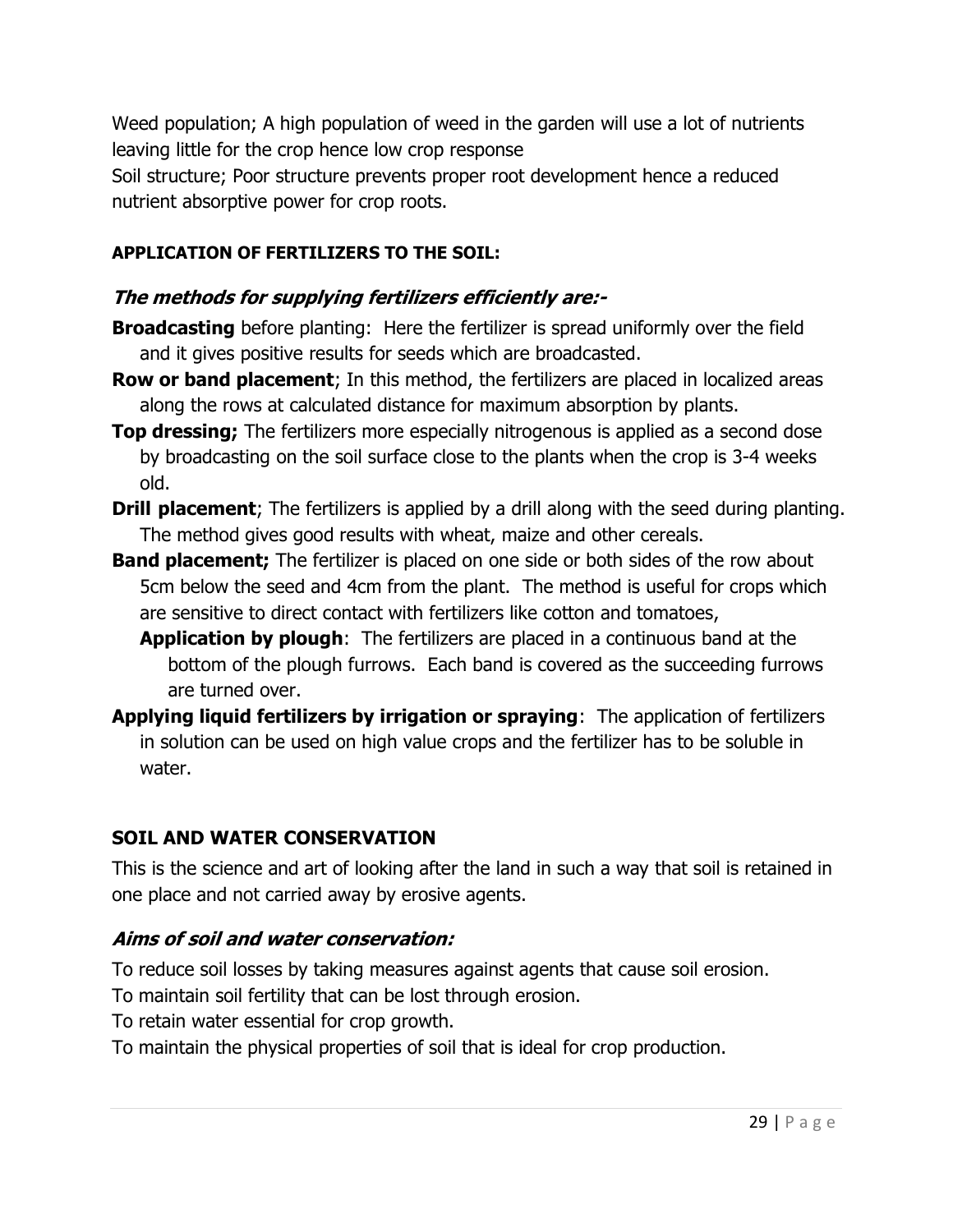Weed population; A high population of weed in the garden will use a lot of nutrients leaving little for the crop hence low crop response Soil structure; Poor structure prevents proper root development hence a reduced nutrient absorptive power for crop roots.

## APPLICATION OF FERTILIZERS TO THE SOIL:

## The methods for supplying fertilizers efficiently are:-

- **Broadcasting** before planting: Here the fertilizer is spread uniformly over the field and it gives positive results for seeds which are broadcasted.
- **Row or band placement**; In this method, the fertilizers are placed in localized areas along the rows at calculated distance for maximum absorption by plants.
- **Top dressing;** The fertilizers more especially nitrogenous is applied as a second dose by broadcasting on the soil surface close to the plants when the crop is 3-4 weeks old.
- **Drill placement**; The fertilizers is applied by a drill along with the seed during planting. The method gives good results with wheat, maize and other cereals.
- **Band placement;** The fertilizer is placed on one side or both sides of the row about 5cm below the seed and 4cm from the plant. The method is useful for crops which are sensitive to direct contact with fertilizers like cotton and tomatoes,
	- **Application by plough:** The fertilizers are placed in a continuous band at the bottom of the plough furrows. Each band is covered as the succeeding furrows are turned over.
- Applying liquid fertilizers by irrigation or spraying: The application of fertilizers in solution can be used on high value crops and the fertilizer has to be soluble in water.

## SOIL AND WATER CONSERVATION

This is the science and art of looking after the land in such a way that soil is retained in one place and not carried away by erosive agents.

## Aims of soil and water conservation:

- To reduce soil losses by taking measures against agents that cause soil erosion.
- To maintain soil fertility that can be lost through erosion.
- To retain water essential for crop growth.
- To maintain the physical properties of soil that is ideal for crop production.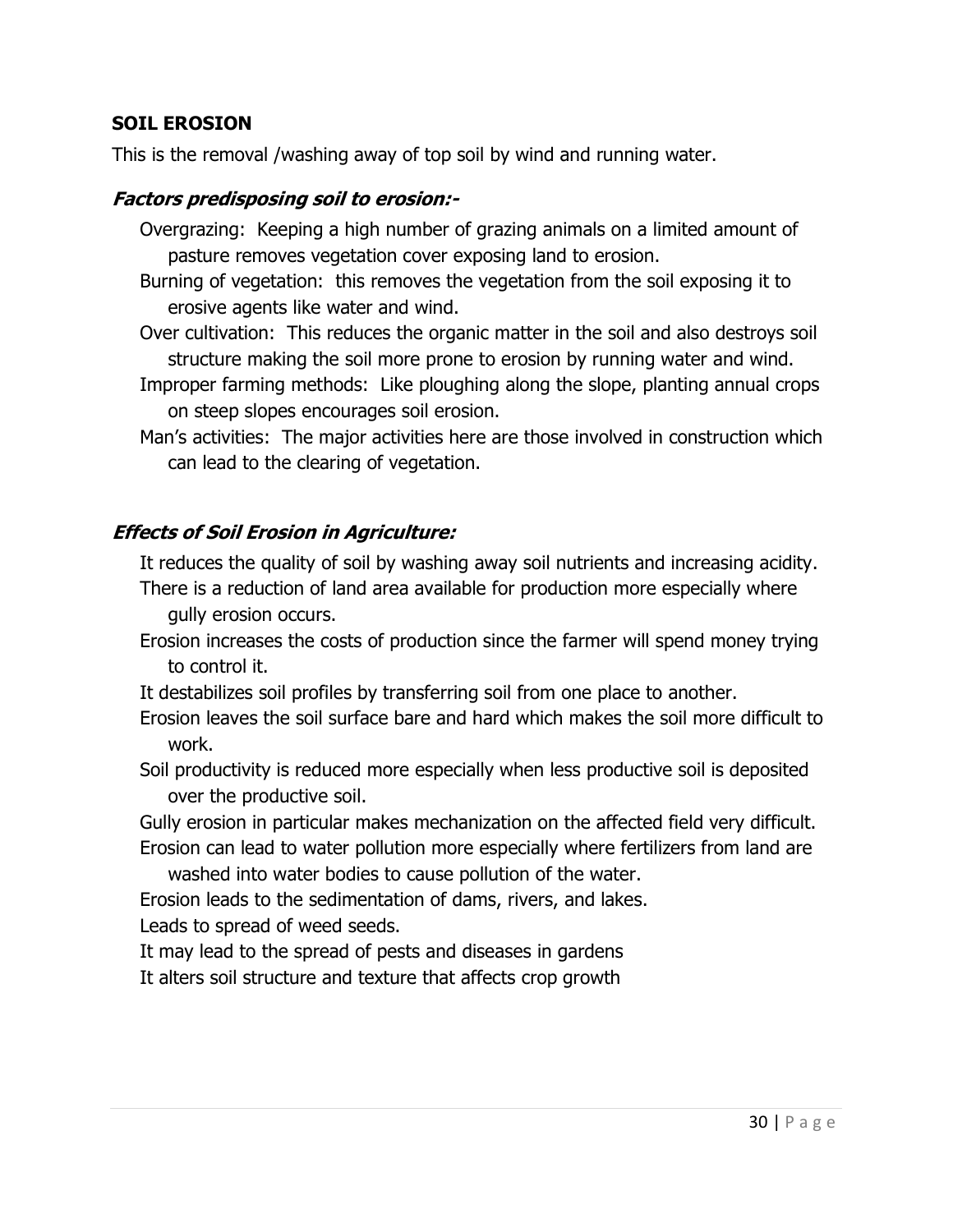## SOIL EROSION

This is the removal /washing away of top soil by wind and running water.

## Factors predisposing soil to erosion:-

- Overgrazing: Keeping a high number of grazing animals on a limited amount of pasture removes vegetation cover exposing land to erosion.
- Burning of vegetation: this removes the vegetation from the soil exposing it to erosive agents like water and wind.
- Over cultivation: This reduces the organic matter in the soil and also destroys soil structure making the soil more prone to erosion by running water and wind.
- Improper farming methods: Like ploughing along the slope, planting annual crops on steep slopes encourages soil erosion.
- Man's activities: The major activities here are those involved in construction which can lead to the clearing of vegetation.

## Effects of Soil Erosion in Agriculture:

It reduces the quality of soil by washing away soil nutrients and increasing acidity.

- There is a reduction of land area available for production more especially where gully erosion occurs.
- Erosion increases the costs of production since the farmer will spend money trying to control it.
- It destabilizes soil profiles by transferring soil from one place to another.
- Erosion leaves the soil surface bare and hard which makes the soil more difficult to work.
- Soil productivity is reduced more especially when less productive soil is deposited over the productive soil.

Gully erosion in particular makes mechanization on the affected field very difficult. Erosion can lead to water pollution more especially where fertilizers from land are

washed into water bodies to cause pollution of the water.

Erosion leads to the sedimentation of dams, rivers, and lakes.

Leads to spread of weed seeds.

It may lead to the spread of pests and diseases in gardens

It alters soil structure and texture that affects crop growth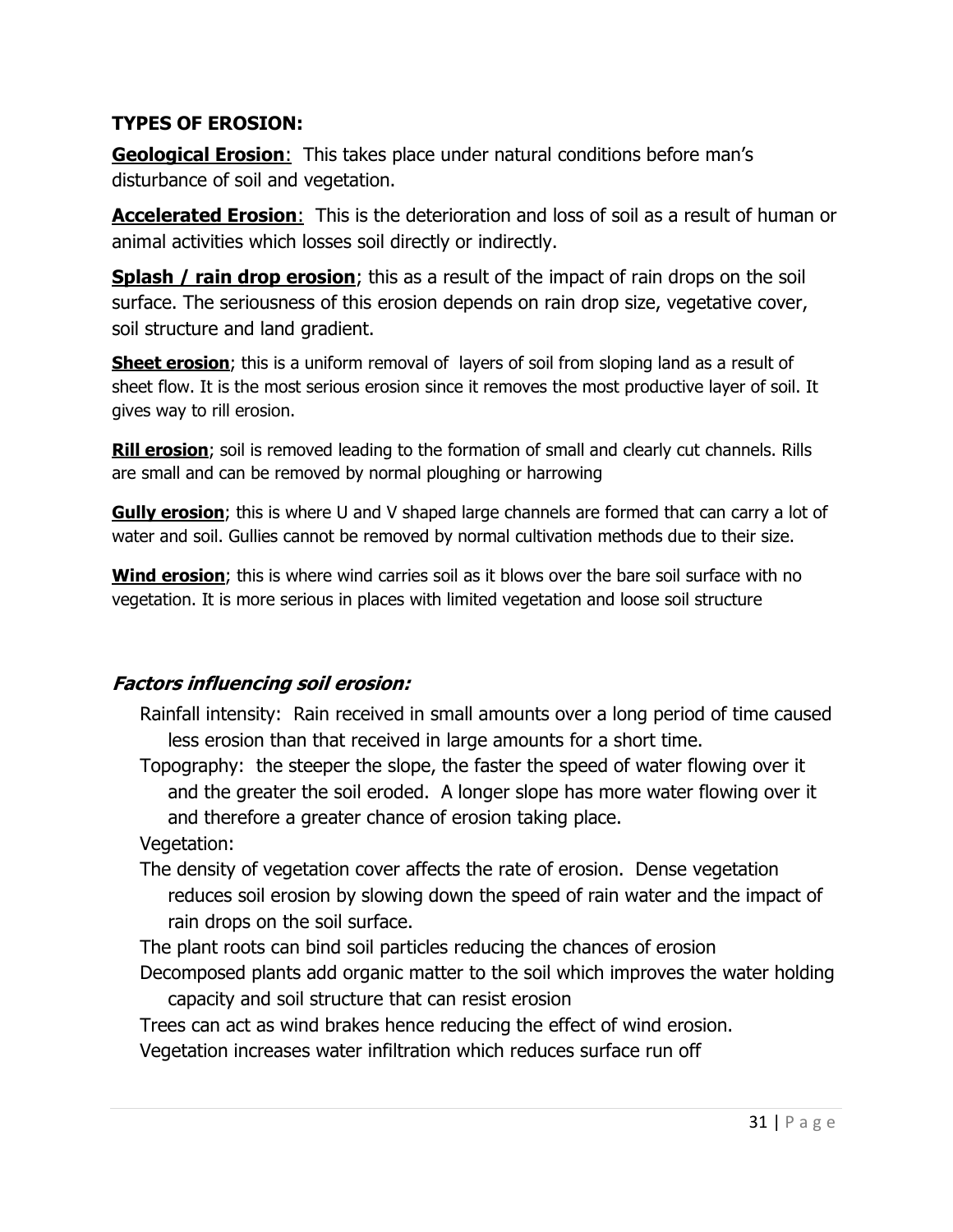## TYPES OF EROSION:

Geological Erosion: This takes place under natural conditions before man's disturbance of soil and vegetation.

Accelerated Erosion: This is the deterioration and loss of soil as a result of human or animal activities which losses soil directly or indirectly.

**Splash / rain drop erosion;** this as a result of the impact of rain drops on the soil surface. The seriousness of this erosion depends on rain drop size, vegetative cover, soil structure and land gradient.

**Sheet erosion**; this is a uniform removal of layers of soil from sloping land as a result of sheet flow. It is the most serious erosion since it removes the most productive layer of soil. It gives way to rill erosion.

**Rill erosion**; soil is removed leading to the formation of small and clearly cut channels. Rills are small and can be removed by normal ploughing or harrowing

Gully erosion; this is where U and V shaped large channels are formed that can carry a lot of water and soil. Gullies cannot be removed by normal cultivation methods due to their size.

**Wind erosion**; this is where wind carries soil as it blows over the bare soil surface with no vegetation. It is more serious in places with limited vegetation and loose soil structure

# Factors influencing soil erosion:

- Rainfall intensity: Rain received in small amounts over a long period of time caused less erosion than that received in large amounts for a short time.
- Topography: the steeper the slope, the faster the speed of water flowing over it and the greater the soil eroded. A longer slope has more water flowing over it and therefore a greater chance of erosion taking place.

Vegetation:

- The density of vegetation cover affects the rate of erosion. Dense vegetation reduces soil erosion by slowing down the speed of rain water and the impact of rain drops on the soil surface.
- The plant roots can bind soil particles reducing the chances of erosion
- Decomposed plants add organic matter to the soil which improves the water holding capacity and soil structure that can resist erosion

Trees can act as wind brakes hence reducing the effect of wind erosion.

Vegetation increases water infiltration which reduces surface run off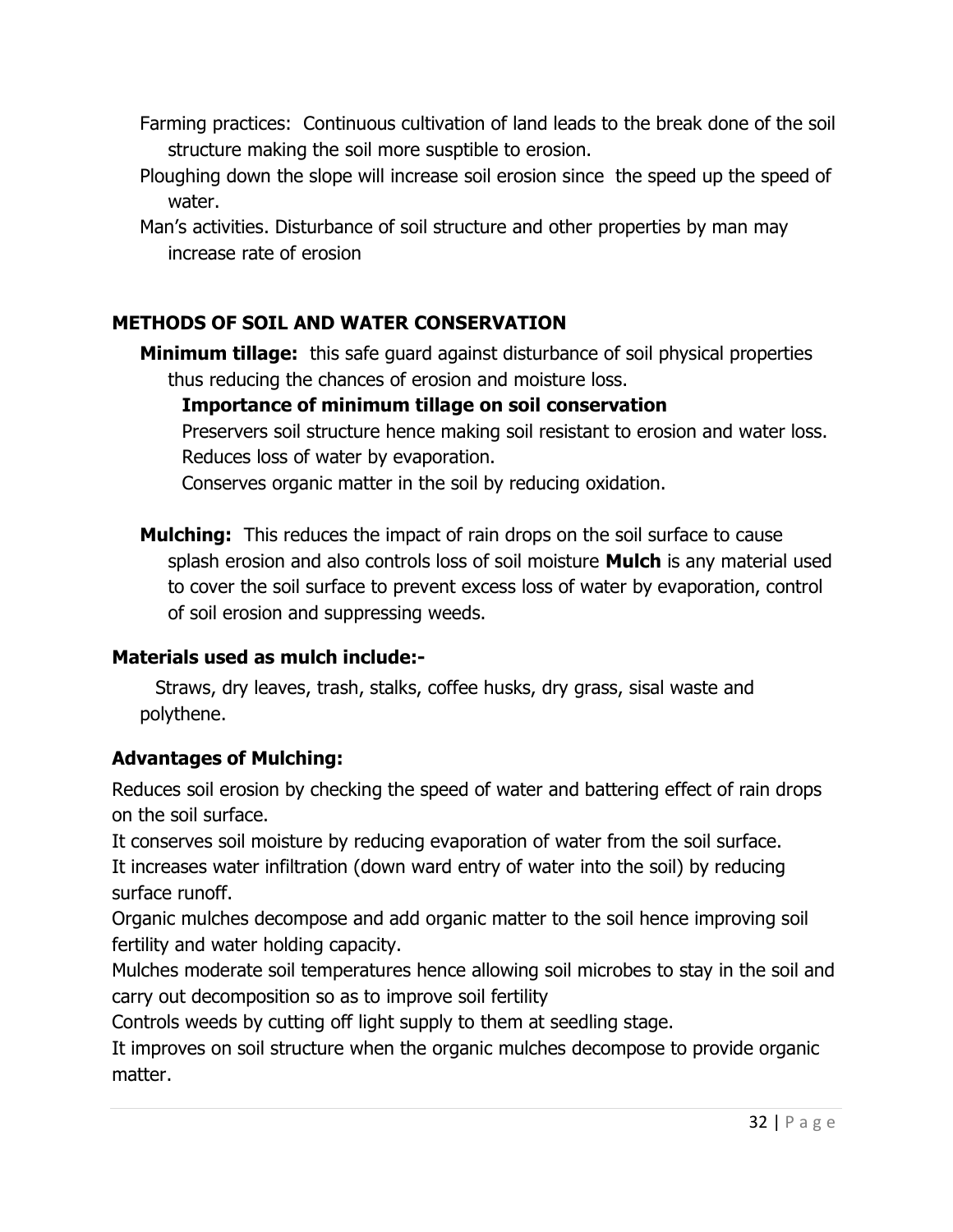- Farming practices: Continuous cultivation of land leads to the break done of the soil structure making the soil more susptible to erosion.
- Ploughing down the slope will increase soil erosion since the speed up the speed of water.
- Man's activities. Disturbance of soil structure and other properties by man may increase rate of erosion

# METHODS OF SOIL AND WATER CONSERVATION

**Minimum tillage:** this safe guard against disturbance of soil physical properties thus reducing the chances of erosion and moisture loss.

Importance of minimum tillage on soil conservation

Preservers soil structure hence making soil resistant to erosion and water loss. Reduces loss of water by evaporation.

Conserves organic matter in the soil by reducing oxidation.

**Mulching:** This reduces the impact of rain drops on the soil surface to cause splash erosion and also controls loss of soil moisture **Mulch** is any material used to cover the soil surface to prevent excess loss of water by evaporation, control of soil erosion and suppressing weeds.

## Materials used as mulch include:-

Straws, dry leaves, trash, stalks, coffee husks, dry grass, sisal waste and polythene.

## Advantages of Mulching:

Reduces soil erosion by checking the speed of water and battering effect of rain drops on the soil surface.

It conserves soil moisture by reducing evaporation of water from the soil surface. It increases water infiltration (down ward entry of water into the soil) by reducing surface runoff.

Organic mulches decompose and add organic matter to the soil hence improving soil fertility and water holding capacity.

Mulches moderate soil temperatures hence allowing soil microbes to stay in the soil and carry out decomposition so as to improve soil fertility

Controls weeds by cutting off light supply to them at seedling stage.

It improves on soil structure when the organic mulches decompose to provide organic matter.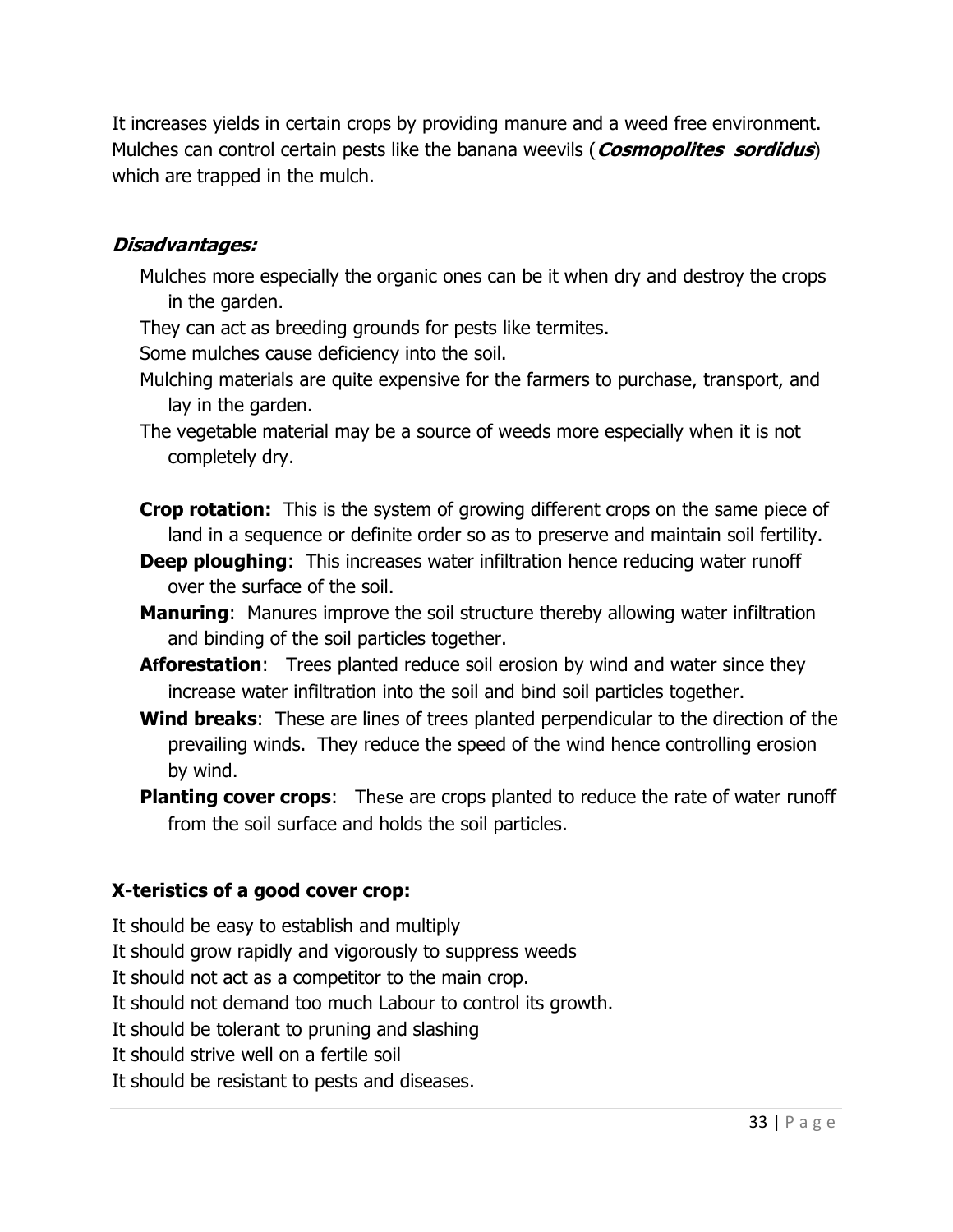It increases yields in certain crops by providing manure and a weed free environment. Mulches can control certain pests like the banana weevils (**Cosmopolites sordidus**) which are trapped in the mulch.

## Disadvantages:

- Mulches more especially the organic ones can be it when dry and destroy the crops in the garden.
- They can act as breeding grounds for pests like termites.

Some mulches cause deficiency into the soil.

- Mulching materials are quite expensive for the farmers to purchase, transport, and lay in the garden.
- The vegetable material may be a source of weeds more especially when it is not completely dry.
- **Crop rotation:** This is the system of growing different crops on the same piece of land in a sequence or definite order so as to preserve and maintain soil fertility.
- **Deep ploughing:** This increases water infiltration hence reducing water runoff over the surface of the soil.
- Manuring: Manures improve the soil structure thereby allowing water infiltration and binding of the soil particles together.
- **Afforestation:** Trees planted reduce soil erosion by wind and water since they increase water infiltration into the soil and bind soil particles together.
- Wind breaks: These are lines of trees planted perpendicular to the direction of the prevailing winds. They reduce the speed of the wind hence controlling erosion by wind.
- Planting cover crops: These are crops planted to reduce the rate of water runoff from the soil surface and holds the soil particles.

## X-teristics of a good cover crop:

It should be easy to establish and multiply

It should grow rapidly and vigorously to suppress weeds

It should not act as a competitor to the main crop.

It should not demand too much Labour to control its growth.

It should be tolerant to pruning and slashing

It should strive well on a fertile soil

It should be resistant to pests and diseases.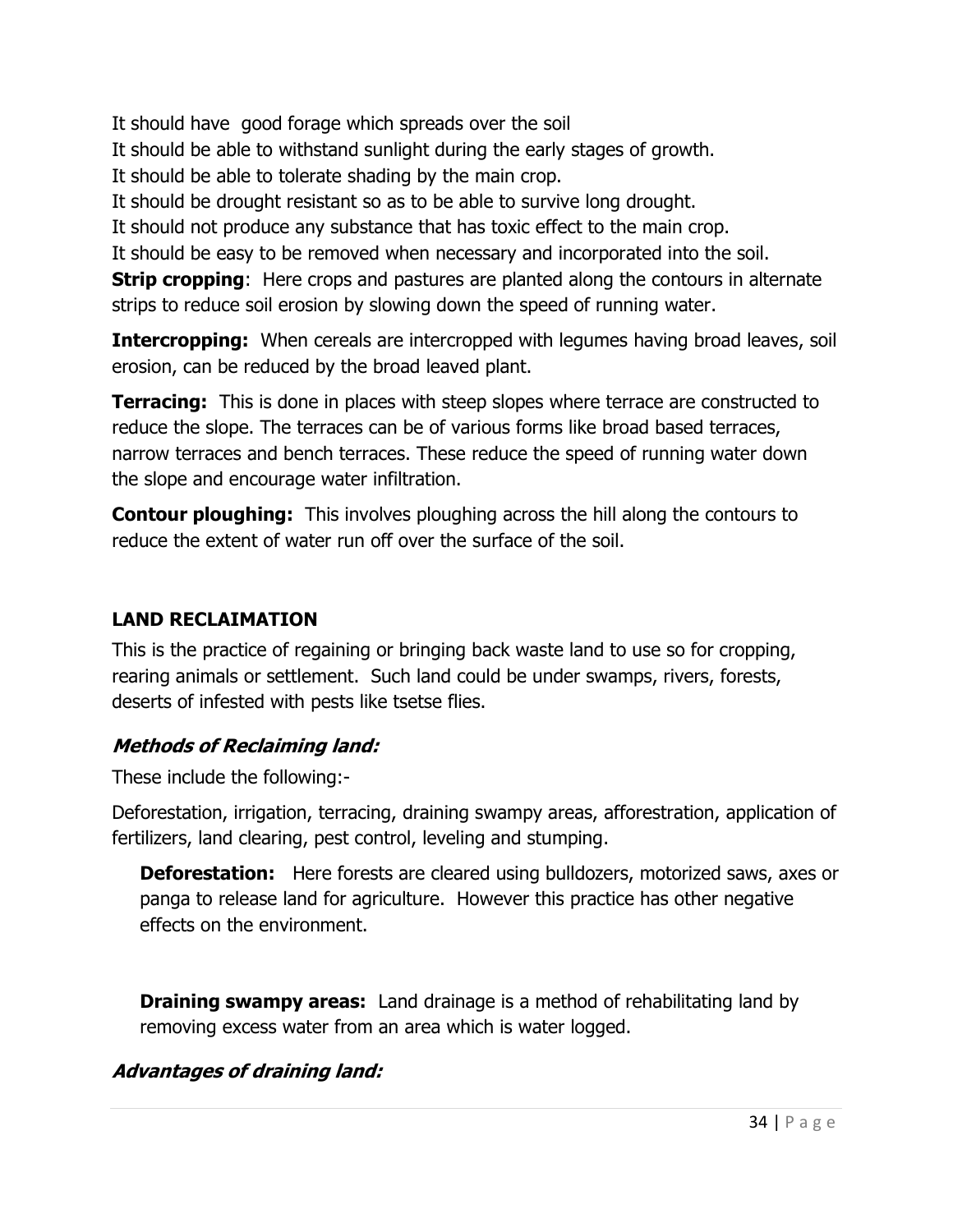It should have good forage which spreads over the soil It should be able to withstand sunlight during the early stages of growth. It should be able to tolerate shading by the main crop. It should be drought resistant so as to be able to survive long drought. It should not produce any substance that has toxic effect to the main crop. It should be easy to be removed when necessary and incorporated into the soil. **Strip cropping:** Here crops and pastures are planted along the contours in alternate strips to reduce soil erosion by slowing down the speed of running water.

**Intercropping:** When cereals are intercropped with legumes having broad leaves, soil erosion, can be reduced by the broad leaved plant.

**Terracing:** This is done in places with steep slopes where terrace are constructed to reduce the slope. The terraces can be of various forms like broad based terraces, narrow terraces and bench terraces. These reduce the speed of running water down the slope and encourage water infiltration.

**Contour ploughing:** This involves ploughing across the hill along the contours to reduce the extent of water run off over the surface of the soil.

## LAND RECLAIMATION

This is the practice of regaining or bringing back waste land to use so for cropping, rearing animals or settlement. Such land could be under swamps, rivers, forests, deserts of infested with pests like tsetse flies.

## Methods of Reclaiming land:

These include the following:-

Deforestation, irrigation, terracing, draining swampy areas, afforestration, application of fertilizers, land clearing, pest control, leveling and stumping.

**Deforestation:** Here forests are cleared using bulldozers, motorized saws, axes or panga to release land for agriculture. However this practice has other negative effects on the environment.

**Draining swampy areas:** Land drainage is a method of rehabilitating land by removing excess water from an area which is water logged.

# Advantages of draining land: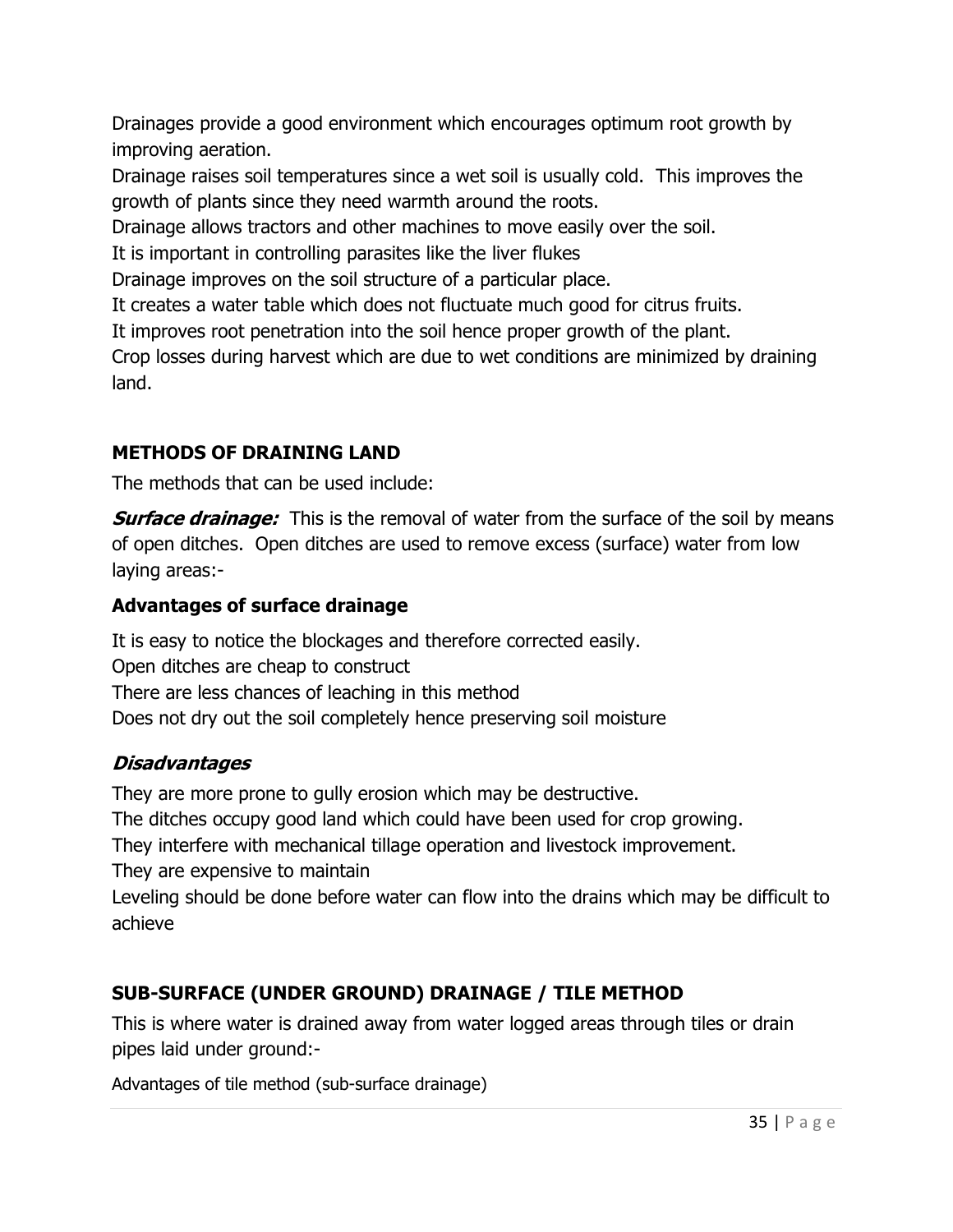Drainages provide a good environment which encourages optimum root growth by improving aeration.

Drainage raises soil temperatures since a wet soil is usually cold. This improves the growth of plants since they need warmth around the roots.

Drainage allows tractors and other machines to move easily over the soil.

It is important in controlling parasites like the liver flukes

Drainage improves on the soil structure of a particular place.

It creates a water table which does not fluctuate much good for citrus fruits.

It improves root penetration into the soil hence proper growth of the plant.

Crop losses during harvest which are due to wet conditions are minimized by draining land.

## METHODS OF DRAINING LAND

The methods that can be used include:

**Surface drainage:** This is the removal of water from the surface of the soil by means of open ditches. Open ditches are used to remove excess (surface) water from low laying areas:-

# Advantages of surface drainage

It is easy to notice the blockages and therefore corrected easily. Open ditches are cheap to construct There are less chances of leaching in this method Does not dry out the soil completely hence preserving soil moisture

# Disadvantages

They are more prone to gully erosion which may be destructive. The ditches occupy good land which could have been used for crop growing. They interfere with mechanical tillage operation and livestock improvement. They are expensive to maintain Leveling should be done before water can flow into the drains which may be difficult to achieve

# SUB-SURFACE (UNDER GROUND) DRAINAGE / TILE METHOD

This is where water is drained away from water logged areas through tiles or drain pipes laid under ground:-

Advantages of tile method (sub-surface drainage)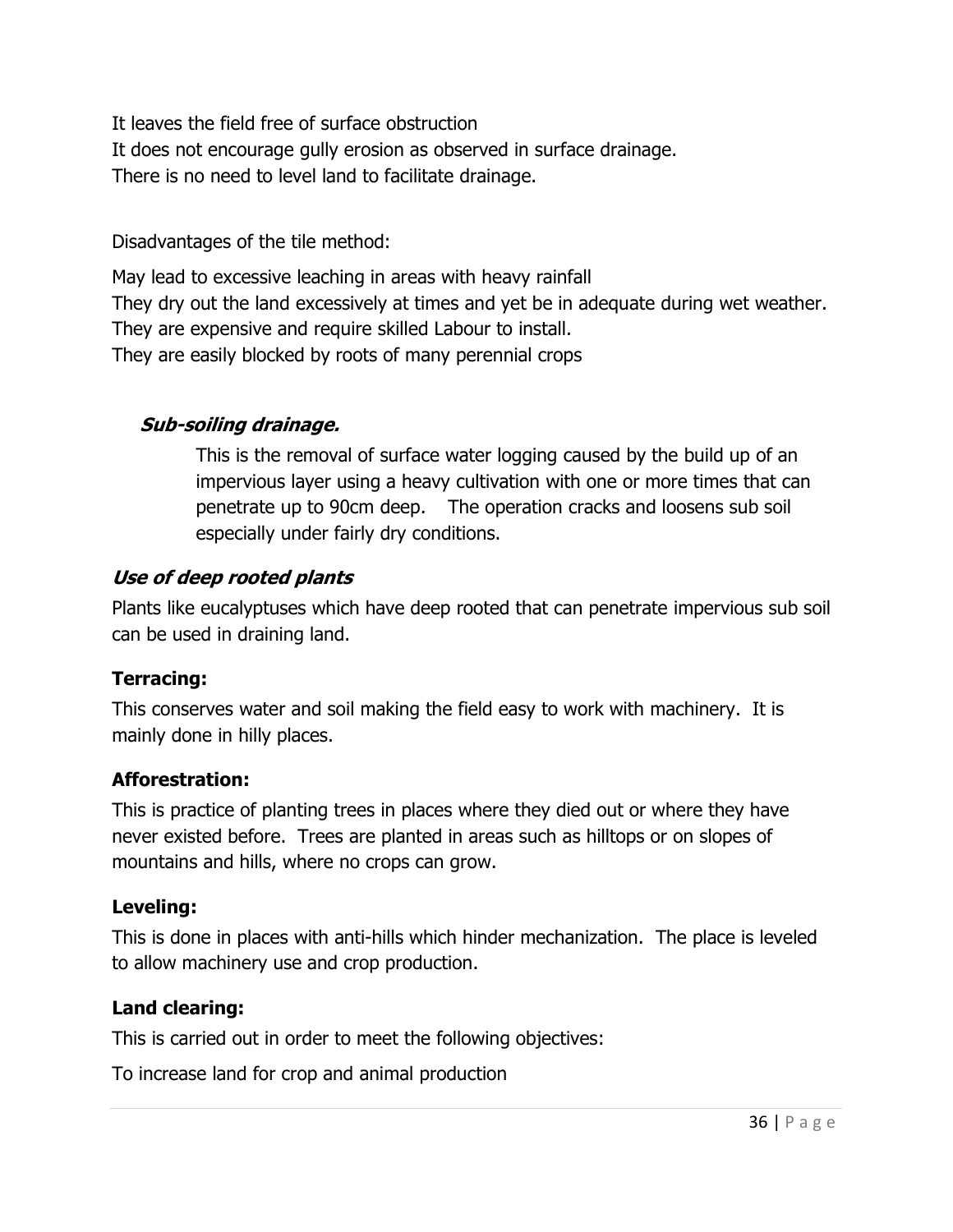It leaves the field free of surface obstruction It does not encourage gully erosion as observed in surface drainage. There is no need to level land to facilitate drainage.

Disadvantages of the tile method:

May lead to excessive leaching in areas with heavy rainfall They dry out the land excessively at times and yet be in adequate during wet weather. They are expensive and require skilled Labour to install. They are easily blocked by roots of many perennial crops

## Sub-soiling drainage.

This is the removal of surface water logging caused by the build up of an impervious layer using a heavy cultivation with one or more times that can penetrate up to 90cm deep. The operation cracks and loosens sub soil especially under fairly dry conditions.

## Use of deep rooted plants

Plants like eucalyptuses which have deep rooted that can penetrate impervious sub soil can be used in draining land.

## Terracing:

This conserves water and soil making the field easy to work with machinery. It is mainly done in hilly places.

## Afforestration:

This is practice of planting trees in places where they died out or where they have never existed before. Trees are planted in areas such as hilltops or on slopes of mountains and hills, where no crops can grow.

## Leveling:

This is done in places with anti-hills which hinder mechanization. The place is leveled to allow machinery use and crop production.

# Land clearing:

This is carried out in order to meet the following objectives:

To increase land for crop and animal production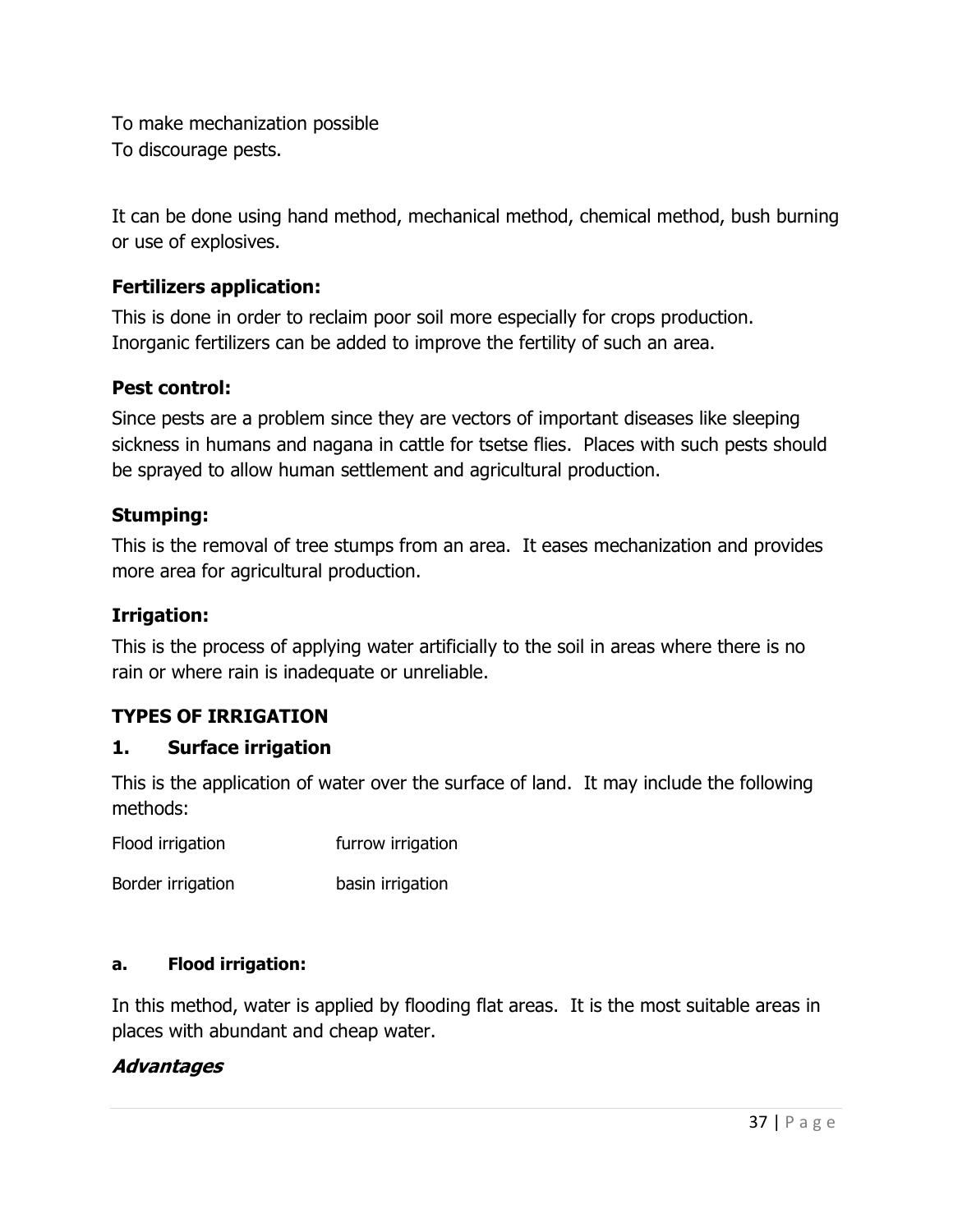To make mechanization possible To discourage pests.

It can be done using hand method, mechanical method, chemical method, bush burning or use of explosives.

## Fertilizers application:

This is done in order to reclaim poor soil more especially for crops production. Inorganic fertilizers can be added to improve the fertility of such an area.

## Pest control:

Since pests are a problem since they are vectors of important diseases like sleeping sickness in humans and nagana in cattle for tsetse flies. Places with such pests should be sprayed to allow human settlement and agricultural production.

### Stumping:

This is the removal of tree stumps from an area. It eases mechanization and provides more area for agricultural production.

### Irrigation:

This is the process of applying water artificially to the soil in areas where there is no rain or where rain is inadequate or unreliable.

## TYPES OF IRRIGATION

## 1. Surface irrigation

This is the application of water over the surface of land. It may include the following methods:

Flood irrigation **Flood** irrigation

Border irrigation basin irrigation

### a. Flood irrigation:

In this method, water is applied by flooding flat areas. It is the most suitable areas in places with abundant and cheap water.

## Advantages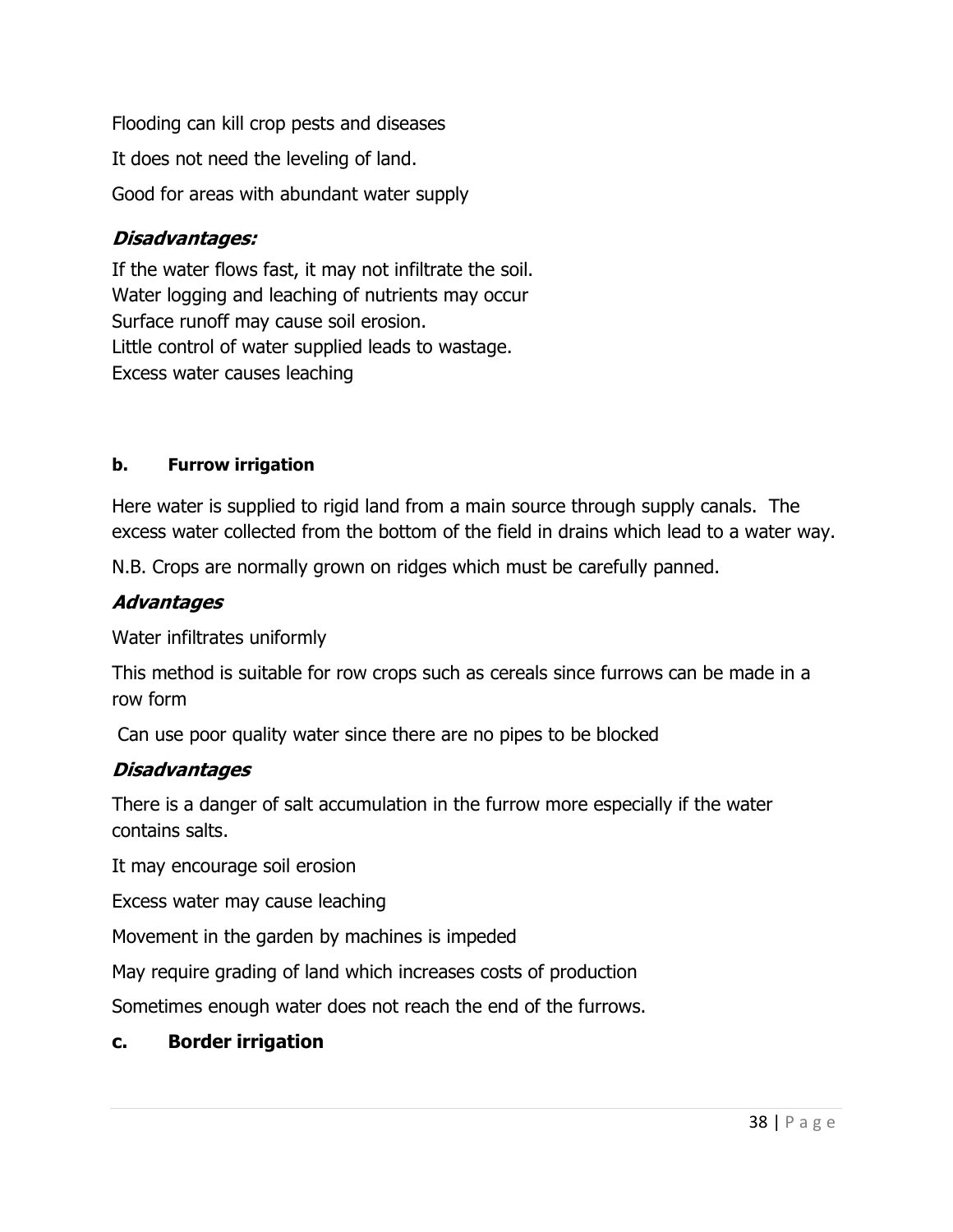Flooding can kill crop pests and diseases It does not need the leveling of land. Good for areas with abundant water supply

## Disadvantages:

If the water flows fast, it may not infiltrate the soil. Water logging and leaching of nutrients may occur Surface runoff may cause soil erosion. Little control of water supplied leads to wastage. Excess water causes leaching

### b. Furrow irrigation

Here water is supplied to rigid land from a main source through supply canals. The excess water collected from the bottom of the field in drains which lead to a water way.

N.B. Crops are normally grown on ridges which must be carefully panned.

## **Advantages**

Water infiltrates uniformly

This method is suitable for row crops such as cereals since furrows can be made in a row form

Can use poor quality water since there are no pipes to be blocked

## Disadvantages

There is a danger of salt accumulation in the furrow more especially if the water contains salts.

It may encourage soil erosion

Excess water may cause leaching

Movement in the garden by machines is impeded

May require grading of land which increases costs of production

Sometimes enough water does not reach the end of the furrows.

## c. Border irrigation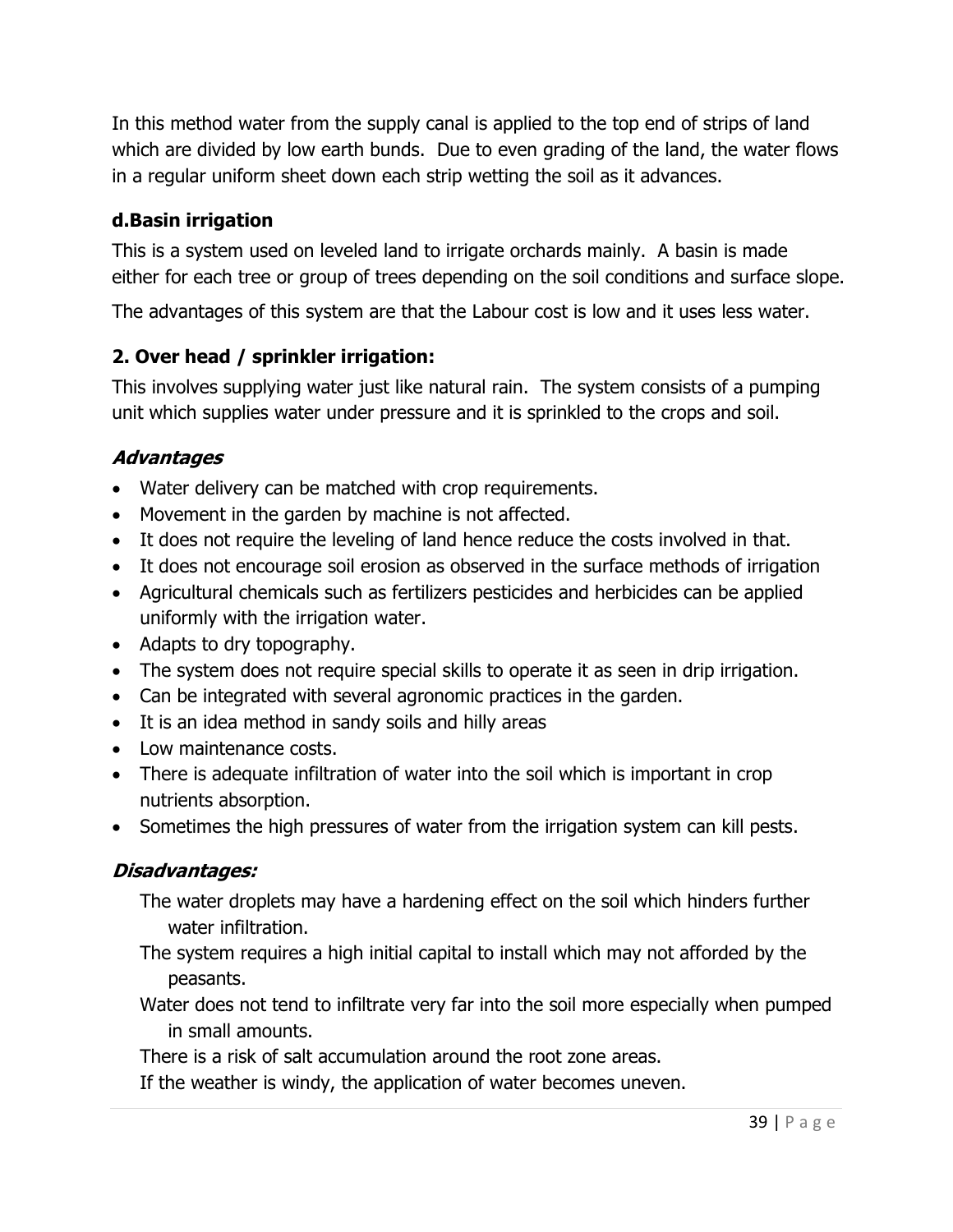In this method water from the supply canal is applied to the top end of strips of land which are divided by low earth bunds. Due to even grading of the land, the water flows in a regular uniform sheet down each strip wetting the soil as it advances.

## d.Basin irrigation

This is a system used on leveled land to irrigate orchards mainly. A basin is made either for each tree or group of trees depending on the soil conditions and surface slope.

The advantages of this system are that the Labour cost is low and it uses less water.

# 2. Over head / sprinkler irrigation:

This involves supplying water just like natural rain. The system consists of a pumping unit which supplies water under pressure and it is sprinkled to the crops and soil.

## Advantages

- Water delivery can be matched with crop requirements.
- Movement in the garden by machine is not affected.
- It does not require the leveling of land hence reduce the costs involved in that.
- It does not encourage soil erosion as observed in the surface methods of irrigation
- Agricultural chemicals such as fertilizers pesticides and herbicides can be applied uniformly with the irrigation water.
- Adapts to dry topography.
- The system does not require special skills to operate it as seen in drip irrigation.
- Can be integrated with several agronomic practices in the garden.
- It is an idea method in sandy soils and hilly areas
- Low maintenance costs.
- There is adequate infiltration of water into the soil which is important in crop nutrients absorption.
- Sometimes the high pressures of water from the irrigation system can kill pests.

## Disadvantages:

- The water droplets may have a hardening effect on the soil which hinders further water infiltration.
- The system requires a high initial capital to install which may not afforded by the peasants.
- Water does not tend to infiltrate very far into the soil more especially when pumped in small amounts.
- There is a risk of salt accumulation around the root zone areas.
- If the weather is windy, the application of water becomes uneven.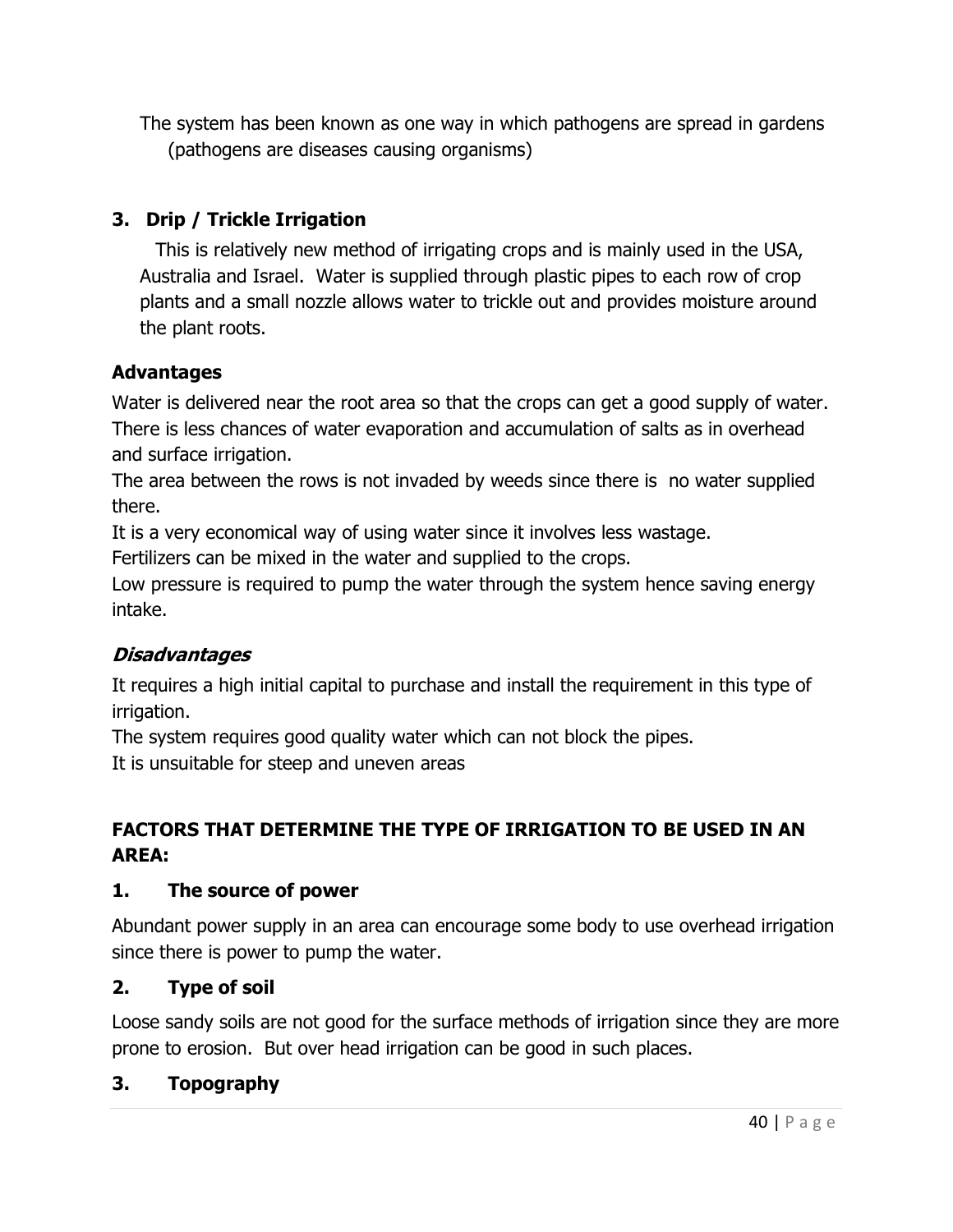The system has been known as one way in which pathogens are spread in gardens (pathogens are diseases causing organisms)

# 3. Drip / Trickle Irrigation

This is relatively new method of irrigating crops and is mainly used in the USA, Australia and Israel. Water is supplied through plastic pipes to each row of crop plants and a small nozzle allows water to trickle out and provides moisture around the plant roots.

## Advantages

Water is delivered near the root area so that the crops can get a good supply of water. There is less chances of water evaporation and accumulation of salts as in overhead and surface irrigation.

The area between the rows is not invaded by weeds since there is no water supplied there.

It is a very economical way of using water since it involves less wastage.

Fertilizers can be mixed in the water and supplied to the crops.

Low pressure is required to pump the water through the system hence saving energy intake.

## **Disadvantages**

It requires a high initial capital to purchase and install the requirement in this type of irrigation.

The system requires good quality water which can not block the pipes.

It is unsuitable for steep and uneven areas

# FACTORS THAT DETERMINE THE TYPE OF IRRIGATION TO BE USED IN AN AREA:

## 1. The source of power

Abundant power supply in an area can encourage some body to use overhead irrigation since there is power to pump the water.

## 2. Type of soil

Loose sandy soils are not good for the surface methods of irrigation since they are more prone to erosion. But over head irrigation can be good in such places.

## 3. Topography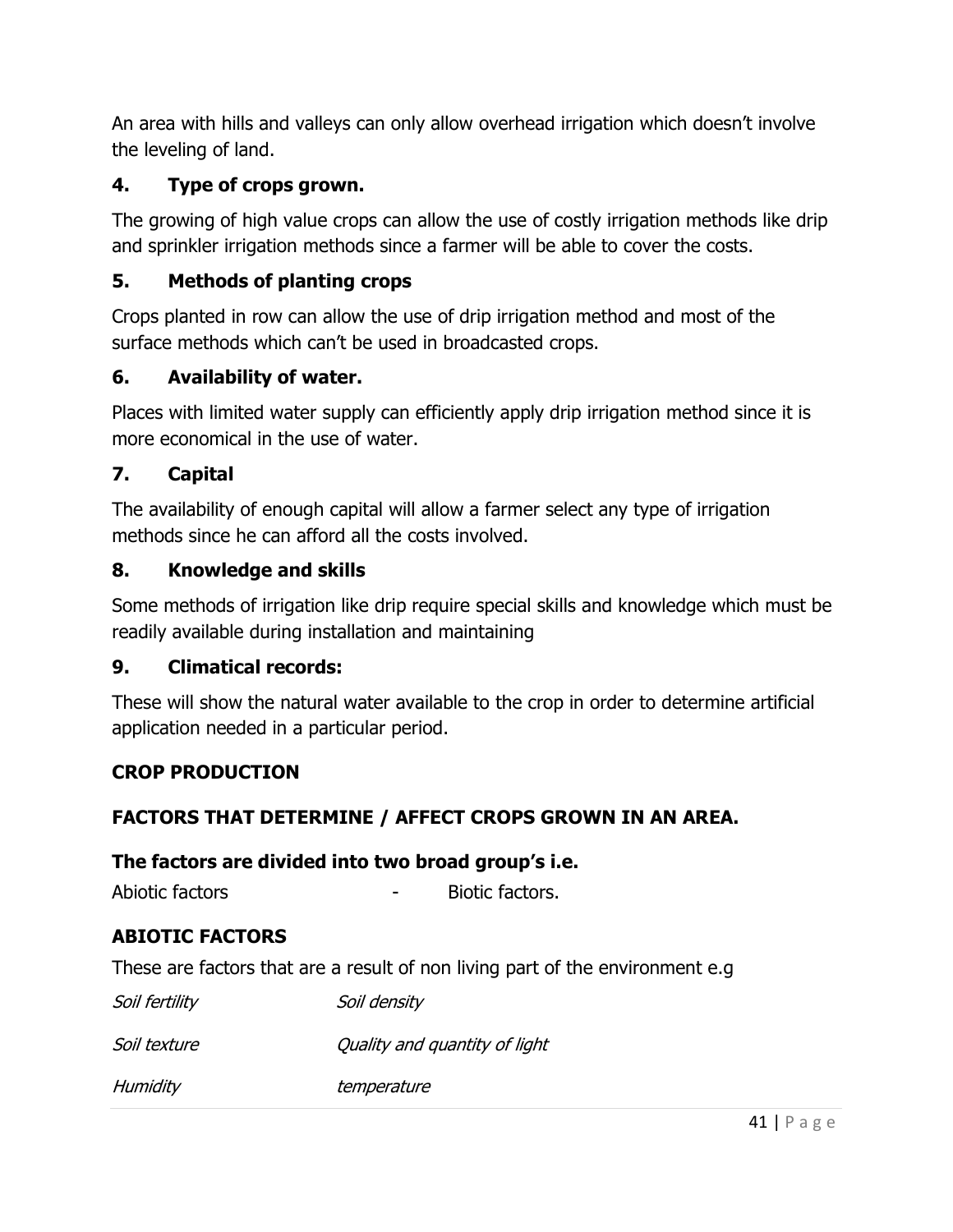An area with hills and valleys can only allow overhead irrigation which doesn't involve the leveling of land.

## 4. Type of crops grown.

The growing of high value crops can allow the use of costly irrigation methods like drip and sprinkler irrigation methods since a farmer will be able to cover the costs.

# 5. Methods of planting crops

Crops planted in row can allow the use of drip irrigation method and most of the surface methods which can't be used in broadcasted crops.

## 6. Availability of water.

Places with limited water supply can efficiently apply drip irrigation method since it is more economical in the use of water.

## 7. Capital

The availability of enough capital will allow a farmer select any type of irrigation methods since he can afford all the costs involved.

## 8. Knowledge and skills

Some methods of irrigation like drip require special skills and knowledge which must be readily available during installation and maintaining

## 9. Climatical records:

These will show the natural water available to the crop in order to determine artificial application needed in a particular period.

## CROP PRODUCTION

## FACTORS THAT DETERMINE / AFFECT CROPS GROWN IN AN AREA.

## The factors are divided into two broad group's i.e.

Abiotic factors **and a** Biotic factors.

## ABIOTIC FACTORS

These are factors that are a result of non living part of the environment e.g

| Soil fertility | Soil density                  |
|----------------|-------------------------------|
| Soil texture   | Quality and quantity of light |
| Humidity       | temperature                   |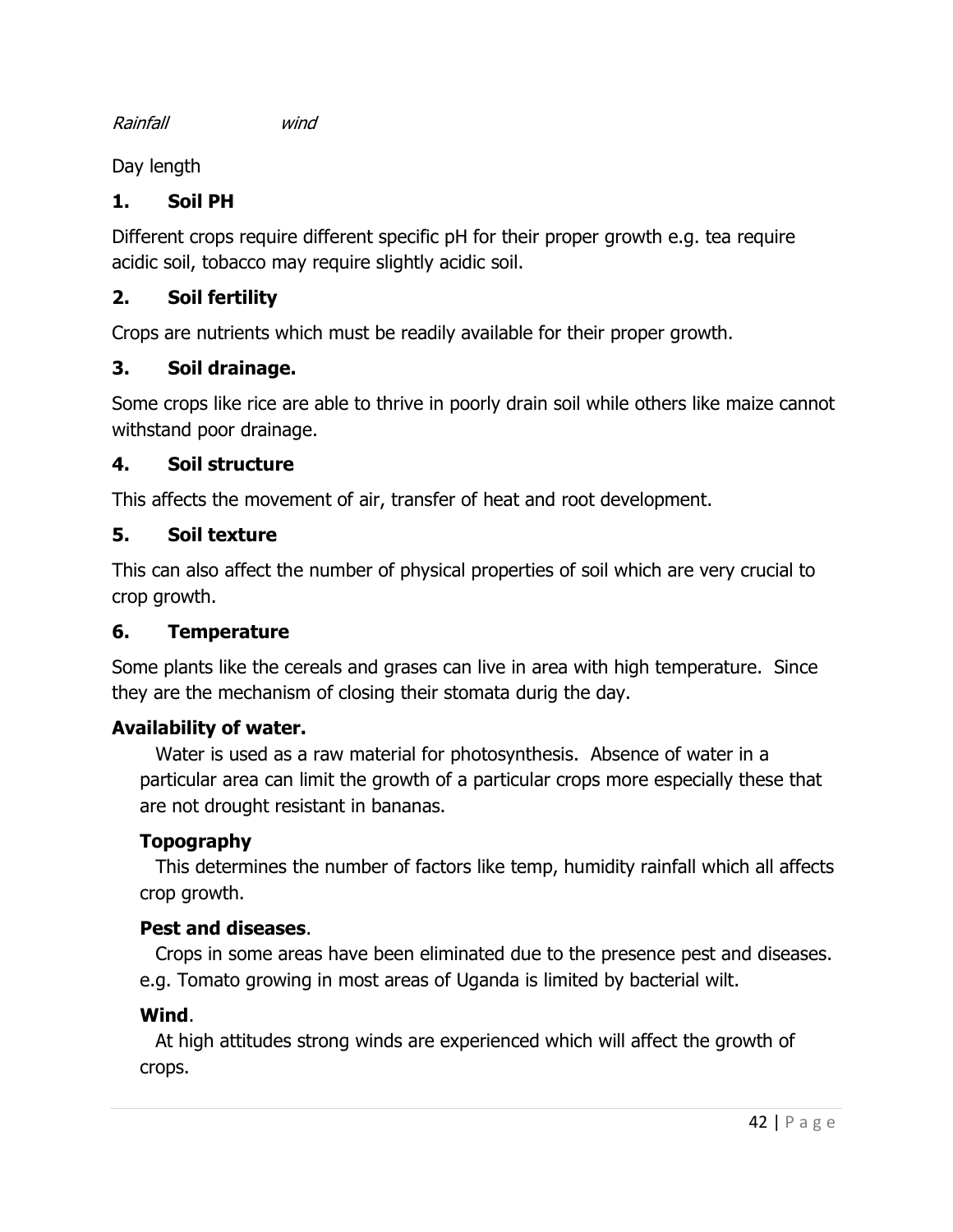Rainfall wind

Day length

## 1. Soil PH

Different crops require different specific pH for their proper growth e.g. tea require acidic soil, tobacco may require slightly acidic soil.

## 2. Soil fertility

Crops are nutrients which must be readily available for their proper growth.

## 3. Soil drainage.

Some crops like rice are able to thrive in poorly drain soil while others like maize cannot withstand poor drainage.

## 4. Soil structure

This affects the movement of air, transfer of heat and root development.

## 5. Soil texture

This can also affect the number of physical properties of soil which are very crucial to crop growth.

## 6. Temperature

Some plants like the cereals and grases can live in area with high temperature. Since they are the mechanism of closing their stomata durig the day.

## Availability of water.

Water is used as a raw material for photosynthesis. Absence of water in a particular area can limit the growth of a particular crops more especially these that are not drought resistant in bananas.

# Topography

This determines the number of factors like temp, humidity rainfall which all affects crop growth.

## Pest and diseases.

Crops in some areas have been eliminated due to the presence pest and diseases. e.g. Tomato growing in most areas of Uganda is limited by bacterial wilt.

## Wind.

At high attitudes strong winds are experienced which will affect the growth of crops.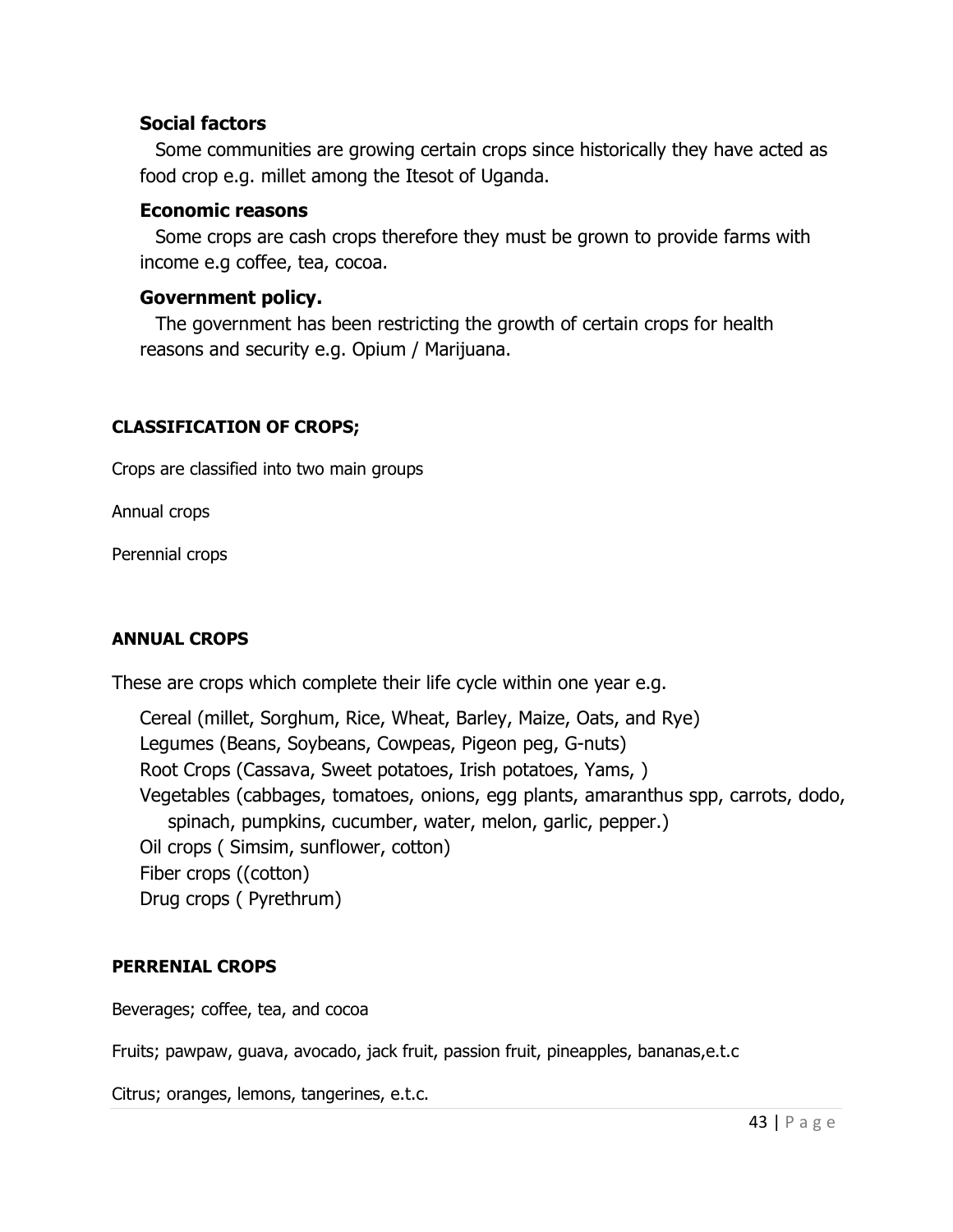### Social factors

Some communities are growing certain crops since historically they have acted as food crop e.g. millet among the Itesot of Uganda.

#### Economic reasons

Some crops are cash crops therefore they must be grown to provide farms with income e.g coffee, tea, cocoa.

### Government policy.

The government has been restricting the growth of certain crops for health reasons and security e.g. Opium / Marijuana.

#### CLASSIFICATION OF CROPS;

Crops are classified into two main groups

Annual crops

Perennial crops

### ANNUAL CROPS

These are crops which complete their life cycle within one year e.g.

Cereal (millet, Sorghum, Rice, Wheat, Barley, Maize, Oats, and Rye) Legumes (Beans, Soybeans, Cowpeas, Pigeon peg, G-nuts) Root Crops (Cassava, Sweet potatoes, Irish potatoes, Yams, ) Vegetables (cabbages, tomatoes, onions, egg plants, amaranthus spp, carrots, dodo, spinach, pumpkins, cucumber, water, melon, garlic, pepper.) Oil crops ( Simsim, sunflower, cotton) Fiber crops ((cotton) Drug crops ( Pyrethrum)

### PERRENIAL CROPS

Beverages; coffee, tea, and cocoa

Fruits; pawpaw, guava, avocado, jack fruit, passion fruit, pineapples, bananas,e.t.c

Citrus; oranges, lemons, tangerines, e.t.c.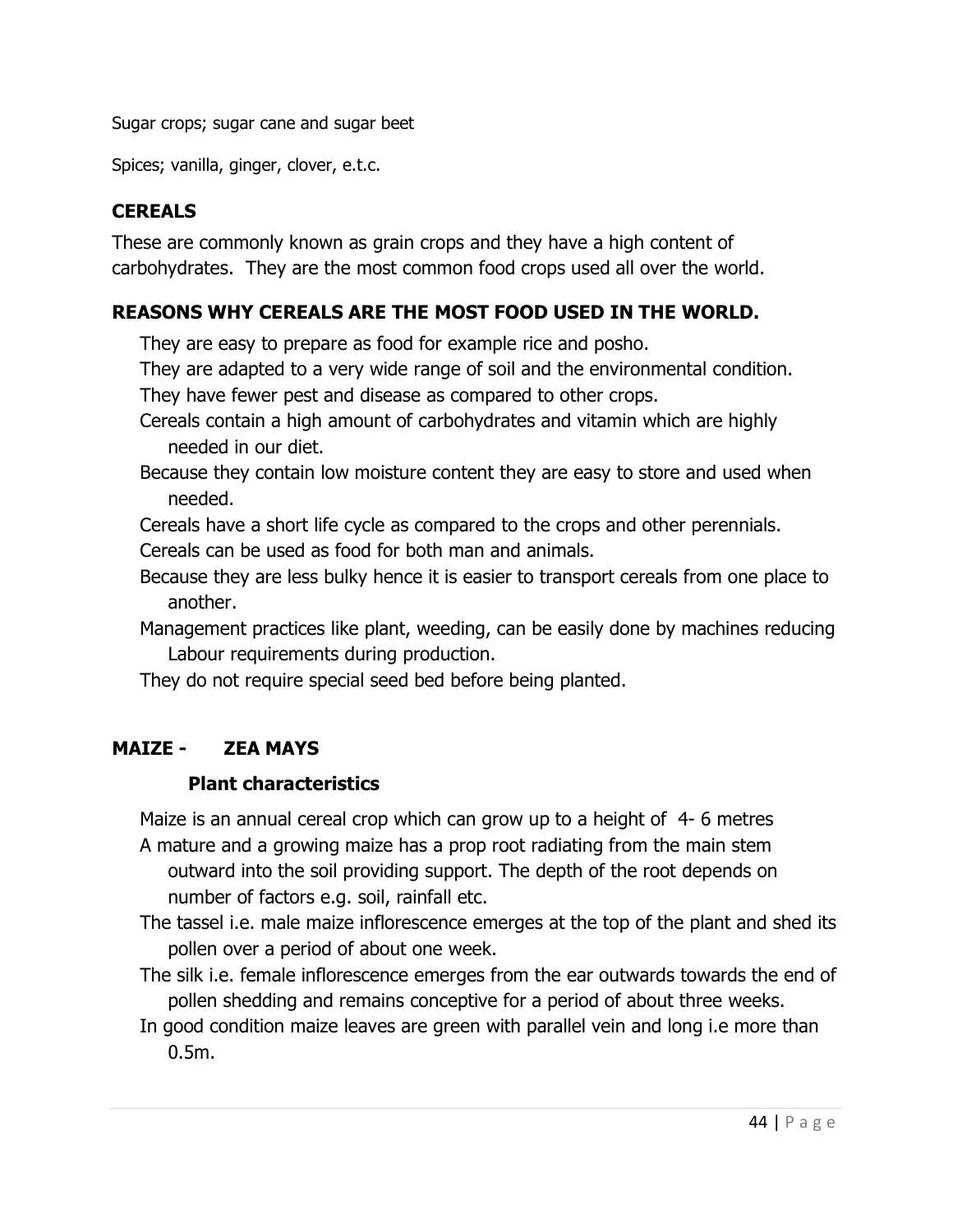Sugar crops; sugar cane and sugar beet

Spices; vanilla, ginger, clover, e.t.c.

## **CEREALS**

These are commonly known as grain crops and they have a high content of carbohydrates. They are the most common food crops used all over the world.

## REASONS WHY CEREALS ARE THE MOST FOOD USED IN THE WORLD.

They are easy to prepare as food for example rice and posho.

They are adapted to a very wide range of soil and the environmental condition.

They have fewer pest and disease as compared to other crops.

- Cereals contain a high amount of carbohydrates and vitamin which are highly needed in our diet.
- Because they contain low moisture content they are easy to store and used when needed.

Cereals have a short life cycle as compared to the crops and other perennials. Cereals can be used as food for both man and animals.

- Because they are less bulky hence it is easier to transport cereals from one place to another.
- Management practices like plant, weeding, can be easily done by machines reducing Labour requirements during production.

They do not require special seed bed before being planted.

## MAIZE - ZEA MAYS

## Plant characteristics

Maize is an annual cereal crop which can grow up to a height of 4- 6 metres A mature and a growing maize has a prop root radiating from the main stem outward into the soil providing support. The depth of the root depends on number of factors e.g. soil, rainfall etc.

The tassel i.e. male maize inflorescence emerges at the top of the plant and shed its pollen over a period of about one week.

The silk i.e. female inflorescence emerges from the ear outwards towards the end of pollen shedding and remains conceptive for a period of about three weeks.

In good condition maize leaves are green with parallel vein and long i.e more than 0.5m.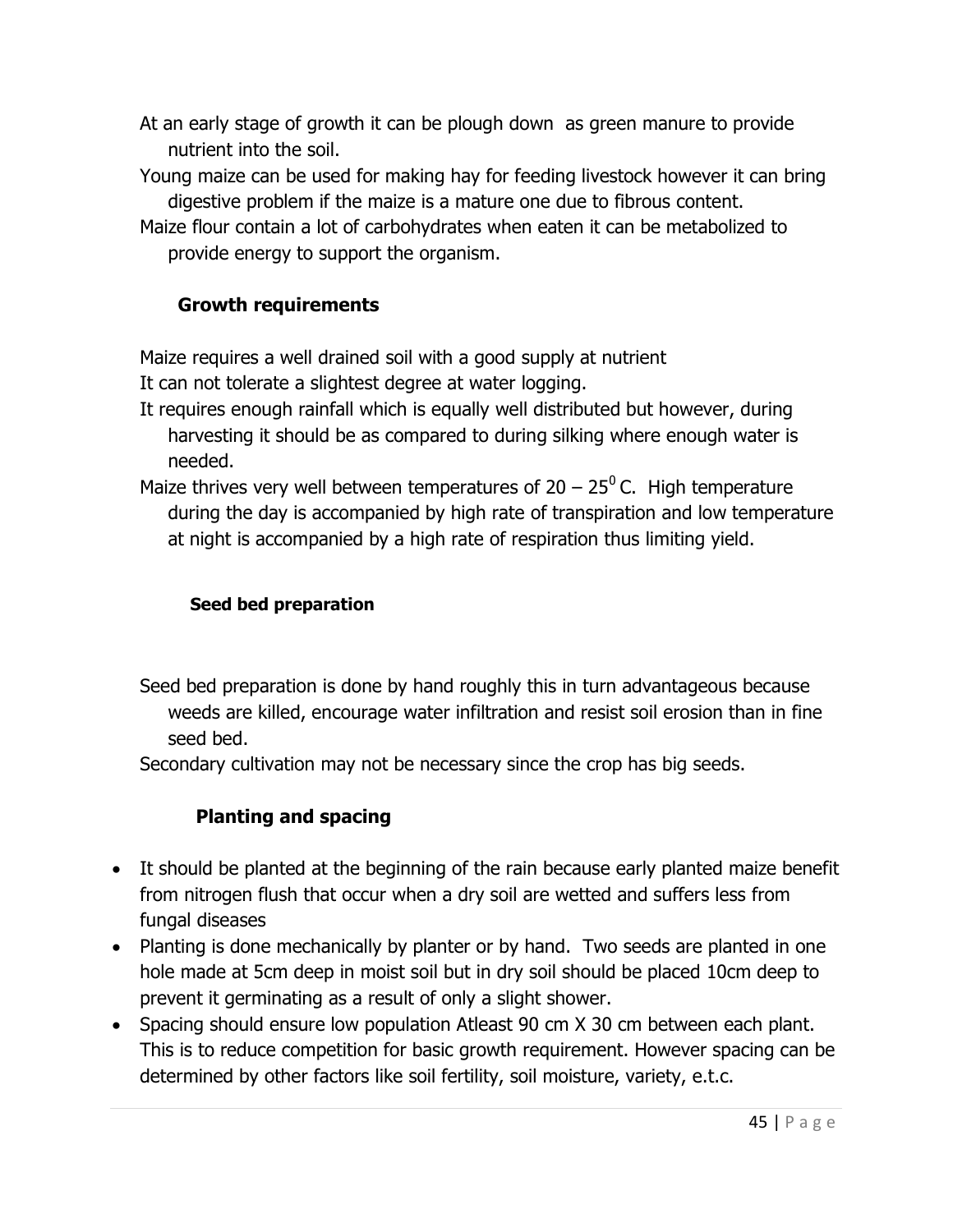- At an early stage of growth it can be plough down as green manure to provide nutrient into the soil.
- Young maize can be used for making hay for feeding livestock however it can bring digestive problem if the maize is a mature one due to fibrous content.
- Maize flour contain a lot of carbohydrates when eaten it can be metabolized to provide energy to support the organism.

# Growth requirements

Maize requires a well drained soil with a good supply at nutrient

It can not tolerate a slightest degree at water logging.

- It requires enough rainfall which is equally well distributed but however, during harvesting it should be as compared to during silking where enough water is needed.
- Maize thrives very well between temperatures of  $20 25^{\circ}$  C. High temperature during the day is accompanied by high rate of transpiration and low temperature at night is accompanied by a high rate of respiration thus limiting yield.

## Seed bed preparation

Seed bed preparation is done by hand roughly this in turn advantageous because weeds are killed, encourage water infiltration and resist soil erosion than in fine seed bed.

Secondary cultivation may not be necessary since the crop has big seeds.

# Planting and spacing

- It should be planted at the beginning of the rain because early planted maize benefit from nitrogen flush that occur when a dry soil are wetted and suffers less from fungal diseases
- Planting is done mechanically by planter or by hand. Two seeds are planted in one hole made at 5cm deep in moist soil but in dry soil should be placed 10cm deep to prevent it germinating as a result of only a slight shower.
- Spacing should ensure low population Atleast 90 cm X 30 cm between each plant. This is to reduce competition for basic growth requirement. However spacing can be determined by other factors like soil fertility, soil moisture, variety, e.t.c.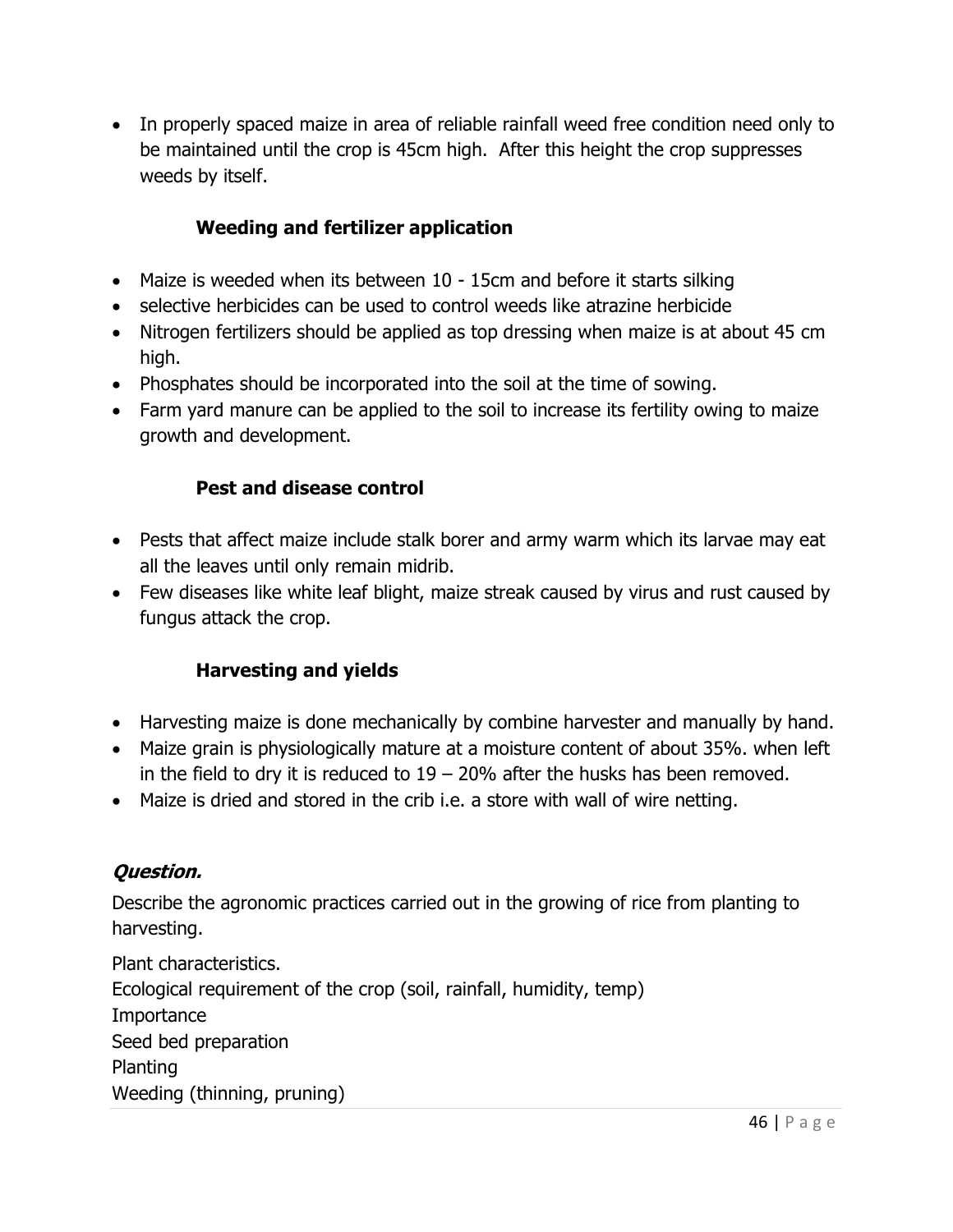In properly spaced maize in area of reliable rainfall weed free condition need only to be maintained until the crop is 45cm high. After this height the crop suppresses weeds by itself.

## Weeding and fertilizer application

- Maize is weeded when its between 10 15cm and before it starts silking
- selective herbicides can be used to control weeds like atrazine herbicide
- Nitrogen fertilizers should be applied as top dressing when maize is at about 45 cm high.
- Phosphates should be incorporated into the soil at the time of sowing.
- Farm yard manure can be applied to the soil to increase its fertility owing to maize growth and development.

## Pest and disease control

- Pests that affect maize include stalk borer and army warm which its larvae may eat all the leaves until only remain midrib.
- Few diseases like white leaf blight, maize streak caused by virus and rust caused by fungus attack the crop.

## Harvesting and yields

- Harvesting maize is done mechanically by combine harvester and manually by hand.
- Maize grain is physiologically mature at a moisture content of about 35%. when left in the field to dry it is reduced to  $19 - 20\%$  after the husks has been removed.
- Maize is dried and stored in the crib i.e. a store with wall of wire netting.

## Question.

Describe the agronomic practices carried out in the growing of rice from planting to harvesting.

Plant characteristics. Ecological requirement of the crop (soil, rainfall, humidity, temp) **Importance** Seed bed preparation Planting Weeding (thinning, pruning)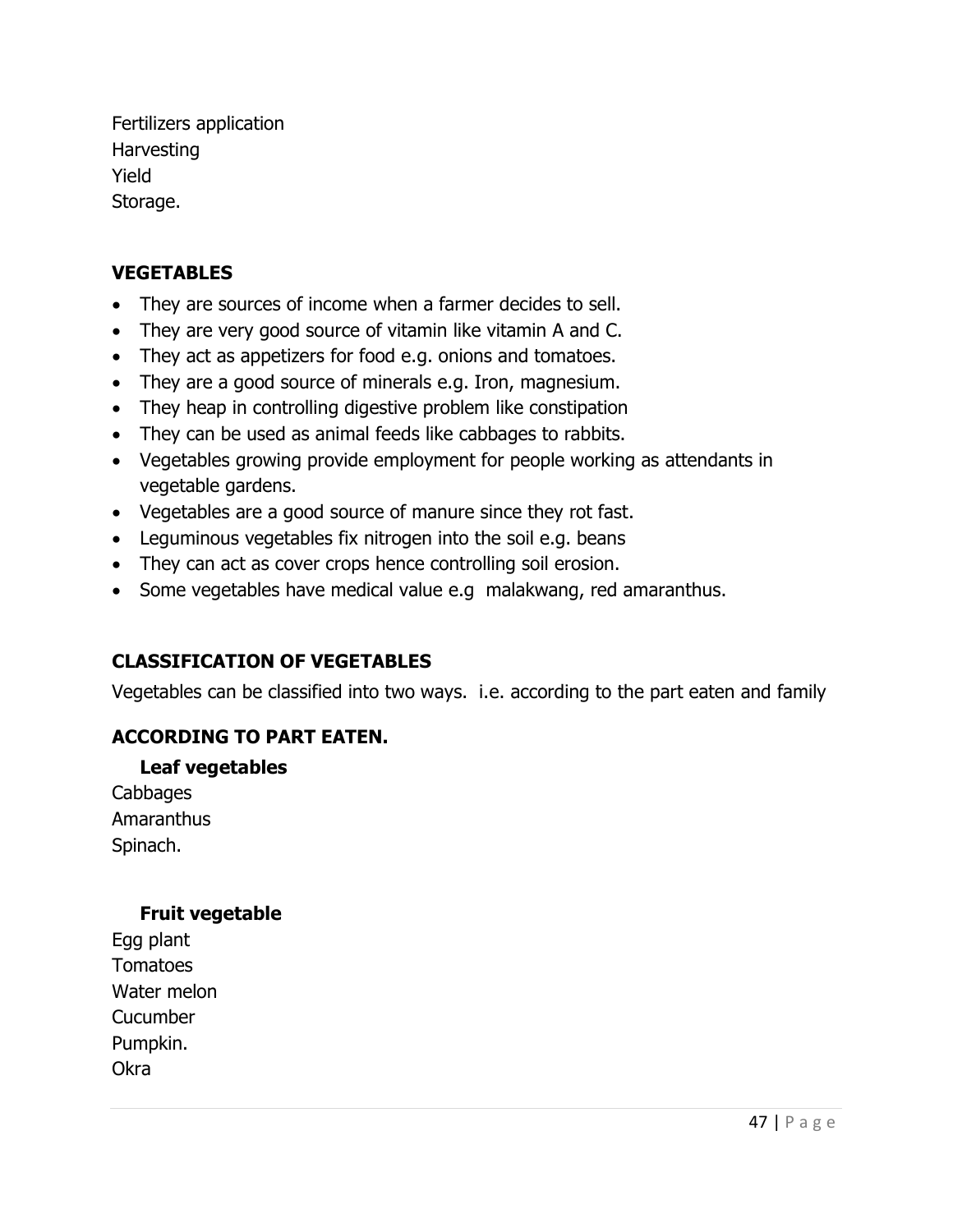Fertilizers application **Harvesting** Yield Storage.

### **VEGETABLES**

- They are sources of income when a farmer decides to sell.
- They are very good source of vitamin like vitamin A and C.
- They act as appetizers for food e.g. onions and tomatoes.
- They are a good source of minerals e.g. Iron, magnesium.
- They heap in controlling digestive problem like constipation
- They can be used as animal feeds like cabbages to rabbits.
- Vegetables growing provide employment for people working as attendants in vegetable gardens.
- Vegetables are a good source of manure since they rot fast.
- Leguminous vegetables fix nitrogen into the soil e.g. beans
- They can act as cover crops hence controlling soil erosion.
- Some vegetables have medical value e.g malakwang, red amaranthus.

## CLASSIFICATION OF VEGETABLES

Vegetables can be classified into two ways. i.e. according to the part eaten and family

## ACCORDING TO PART EATEN.

## Leaf vegetables

Cabbages Amaranthus Spinach.

## Fruit vegetable

Egg plant Tomatoes Water melon **Cucumber** Pumpkin. Okra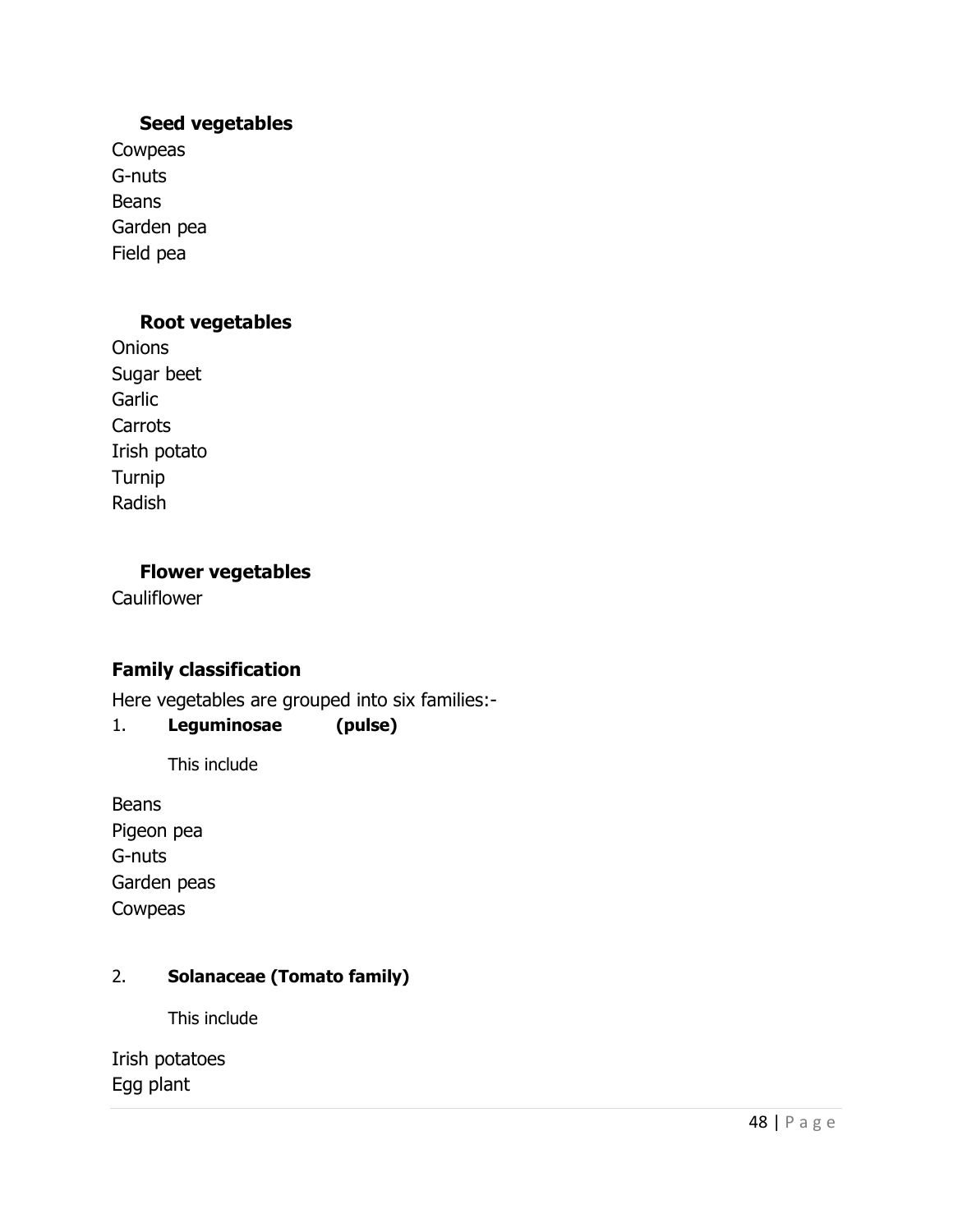### Seed vegetables

Cowpeas G-nuts Beans Garden pea Field pea

### Root vegetables

**Onions** Sugar beet **Garlic Carrots** Irish potato Turnip Radish

### Flower vegetables

**Cauliflower** 

## Family classification

Here vegetables are grouped into six families:-

### 1. Leguminosae (pulse)

This include

Beans Pigeon pea G-nuts Garden peas Cowpeas

## 2. Solanaceae (Tomato family)

This include

Irish potatoes Egg plant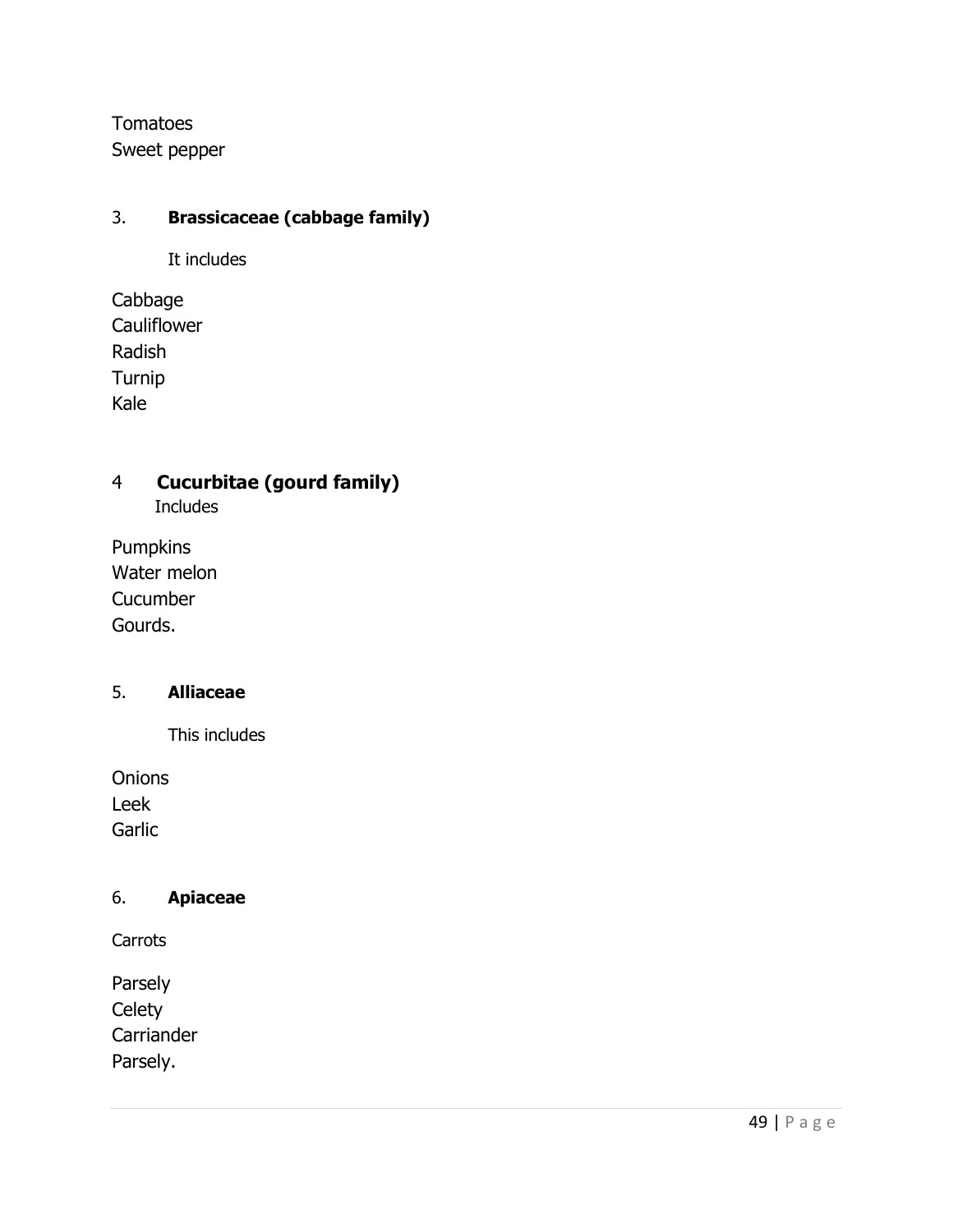**Tomatoes** Sweet pepper

## 3. Brassicaceae (cabbage family)

It includes

Cabbage **Cauliflower** Radish Turnip Kale

# 4 Cucurbitae (gourd family)

Includes

Pumpkins Water melon **Cucumber** Gourds.

### 5. Alliaceae

This includes

**Onions** Leek Garlic

### 6. Apiaceae

**Carrots** 

Parsely **Celety Carriander** Parsely.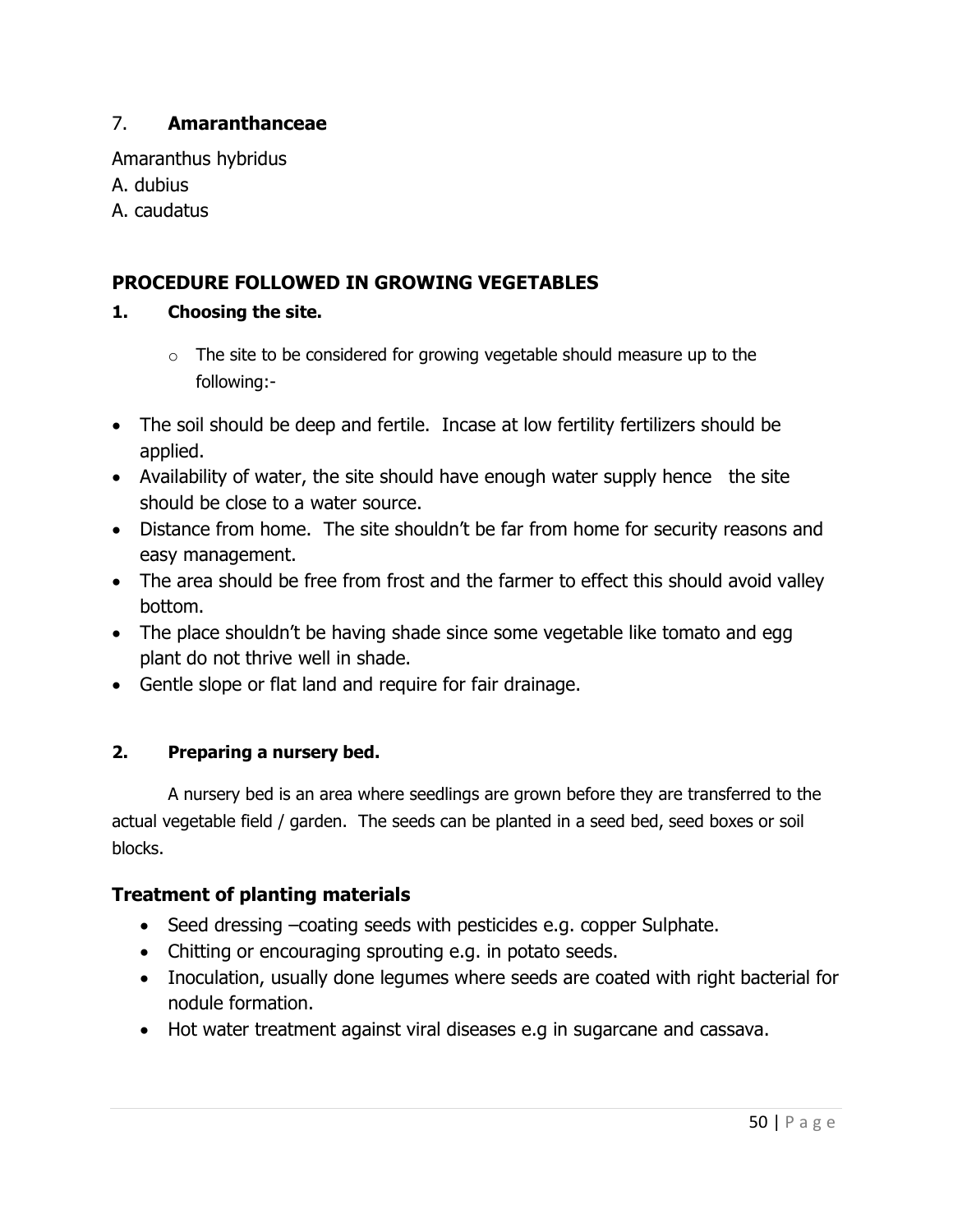## 7. Amaranthanceae

Amaranthus hybridus A. dubius A. caudatus

## PROCEDURE FOLLOWED IN GROWING VEGETABLES

### 1. Choosing the site.

- $\circ$  The site to be considered for growing vegetable should measure up to the following:-
- The soil should be deep and fertile. Incase at low fertility fertilizers should be applied.
- Availability of water, the site should have enough water supply hence the site should be close to a water source.
- Distance from home. The site shouldn't be far from home for security reasons and easy management.
- The area should be free from frost and the farmer to effect this should avoid valley bottom.
- The place shouldn't be having shade since some vegetable like tomato and egg plant do not thrive well in shade.
- Gentle slope or flat land and require for fair drainage.

## 2. Preparing a nursery bed.

A nursery bed is an area where seedlings are grown before they are transferred to the actual vegetable field / garden. The seeds can be planted in a seed bed, seed boxes or soil blocks.

## Treatment of planting materials

- Seed dressing –coating seeds with pesticides e.g. copper Sulphate.
- Chitting or encouraging sprouting e.g. in potato seeds.
- Inoculation, usually done legumes where seeds are coated with right bacterial for nodule formation.
- Hot water treatment against viral diseases e.g in sugarcane and cassava.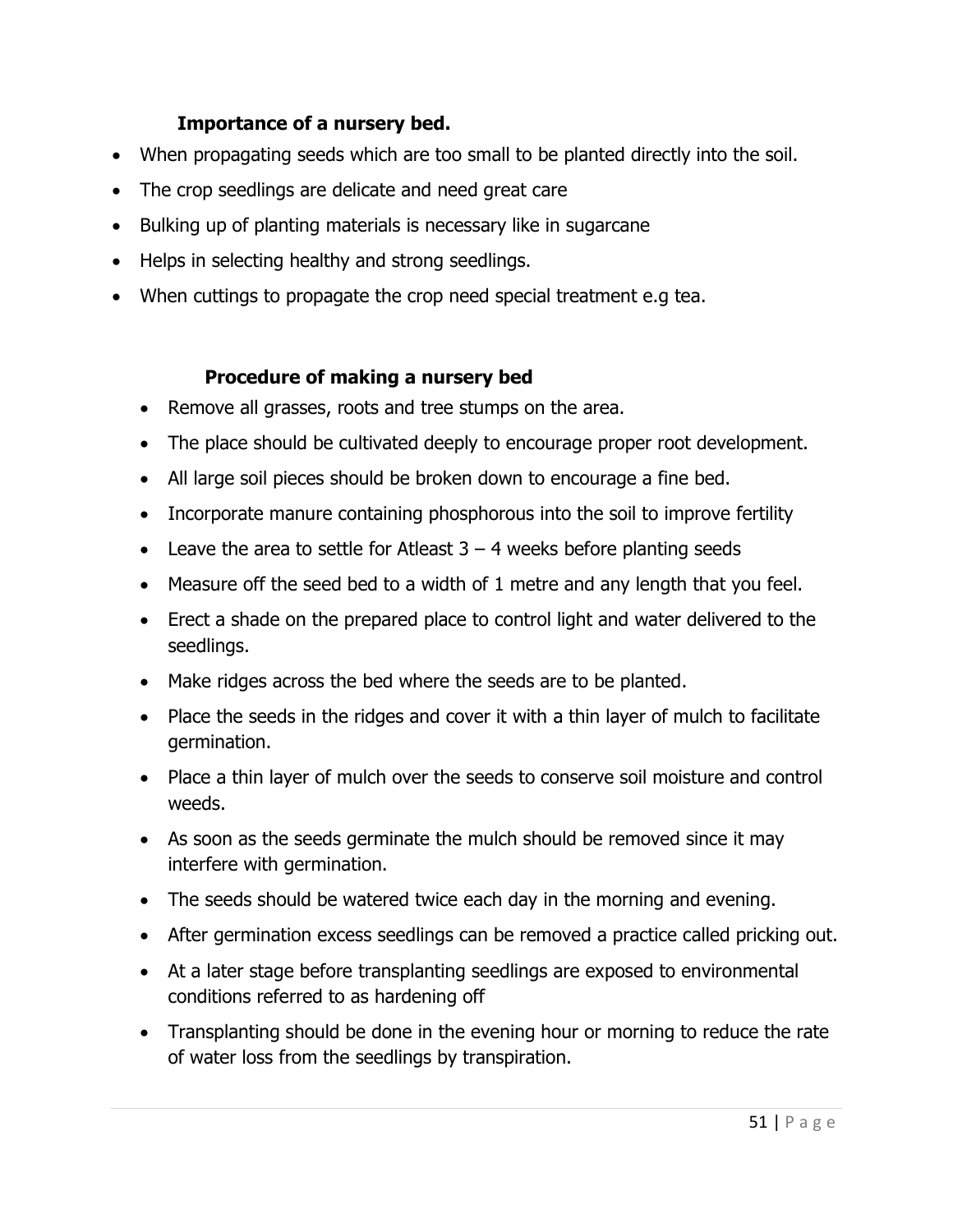## Importance of a nursery bed.

- When propagating seeds which are too small to be planted directly into the soil.
- The crop seedlings are delicate and need great care
- Bulking up of planting materials is necessary like in sugarcane
- Helps in selecting healthy and strong seedlings.
- When cuttings to propagate the crop need special treatment e.g tea.

## Procedure of making a nursery bed

- Remove all grasses, roots and tree stumps on the area.
- The place should be cultivated deeply to encourage proper root development.
- All large soil pieces should be broken down to encourage a fine bed.
- Incorporate manure containing phosphorous into the soil to improve fertility
- Eleave the area to settle for Atleast  $3 4$  weeks before planting seeds
- Measure off the seed bed to a width of 1 metre and any length that you feel.
- Erect a shade on the prepared place to control light and water delivered to the seedlings.
- Make ridges across the bed where the seeds are to be planted.
- Place the seeds in the ridges and cover it with a thin layer of mulch to facilitate germination.
- Place a thin layer of mulch over the seeds to conserve soil moisture and control weeds.
- As soon as the seeds germinate the mulch should be removed since it may interfere with germination.
- The seeds should be watered twice each day in the morning and evening.
- After germination excess seedlings can be removed a practice called pricking out.
- At a later stage before transplanting seedlings are exposed to environmental conditions referred to as hardening off
- Transplanting should be done in the evening hour or morning to reduce the rate of water loss from the seedlings by transpiration.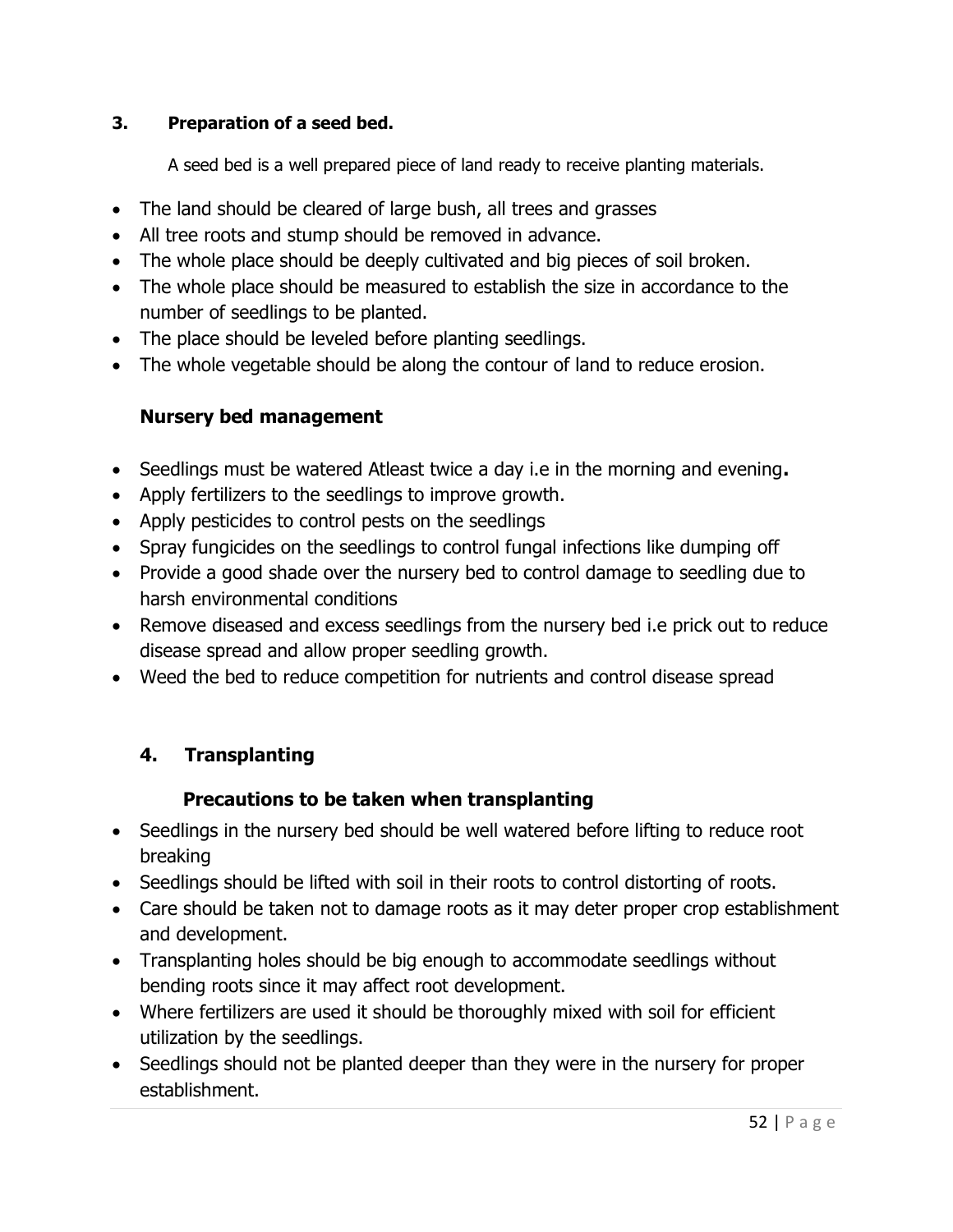## 3. Preparation of a seed bed.

A seed bed is a well prepared piece of land ready to receive planting materials.

- The land should be cleared of large bush, all trees and grasses
- All tree roots and stump should be removed in advance.
- The whole place should be deeply cultivated and big pieces of soil broken.
- The whole place should be measured to establish the size in accordance to the number of seedlings to be planted.
- The place should be leveled before planting seedlings.
- The whole vegetable should be along the contour of land to reduce erosion.

## Nursery bed management

- Seedlings must be watered Atleast twice a day i.e in the morning and evening.
- Apply fertilizers to the seedlings to improve growth.
- Apply pesticides to control pests on the seedlings
- Spray fungicides on the seedlings to control fungal infections like dumping off
- Provide a good shade over the nursery bed to control damage to seedling due to harsh environmental conditions
- Remove diseased and excess seedlings from the nursery bed i.e prick out to reduce disease spread and allow proper seedling growth.
- Weed the bed to reduce competition for nutrients and control disease spread

# 4. Transplanting

# Precautions to be taken when transplanting

- Seedlings in the nursery bed should be well watered before lifting to reduce root breaking
- Seedlings should be lifted with soil in their roots to control distorting of roots.
- Care should be taken not to damage roots as it may deter proper crop establishment and development.
- Transplanting holes should be big enough to accommodate seedlings without bending roots since it may affect root development.
- Where fertilizers are used it should be thoroughly mixed with soil for efficient utilization by the seedlings.
- Seedlings should not be planted deeper than they were in the nursery for proper establishment.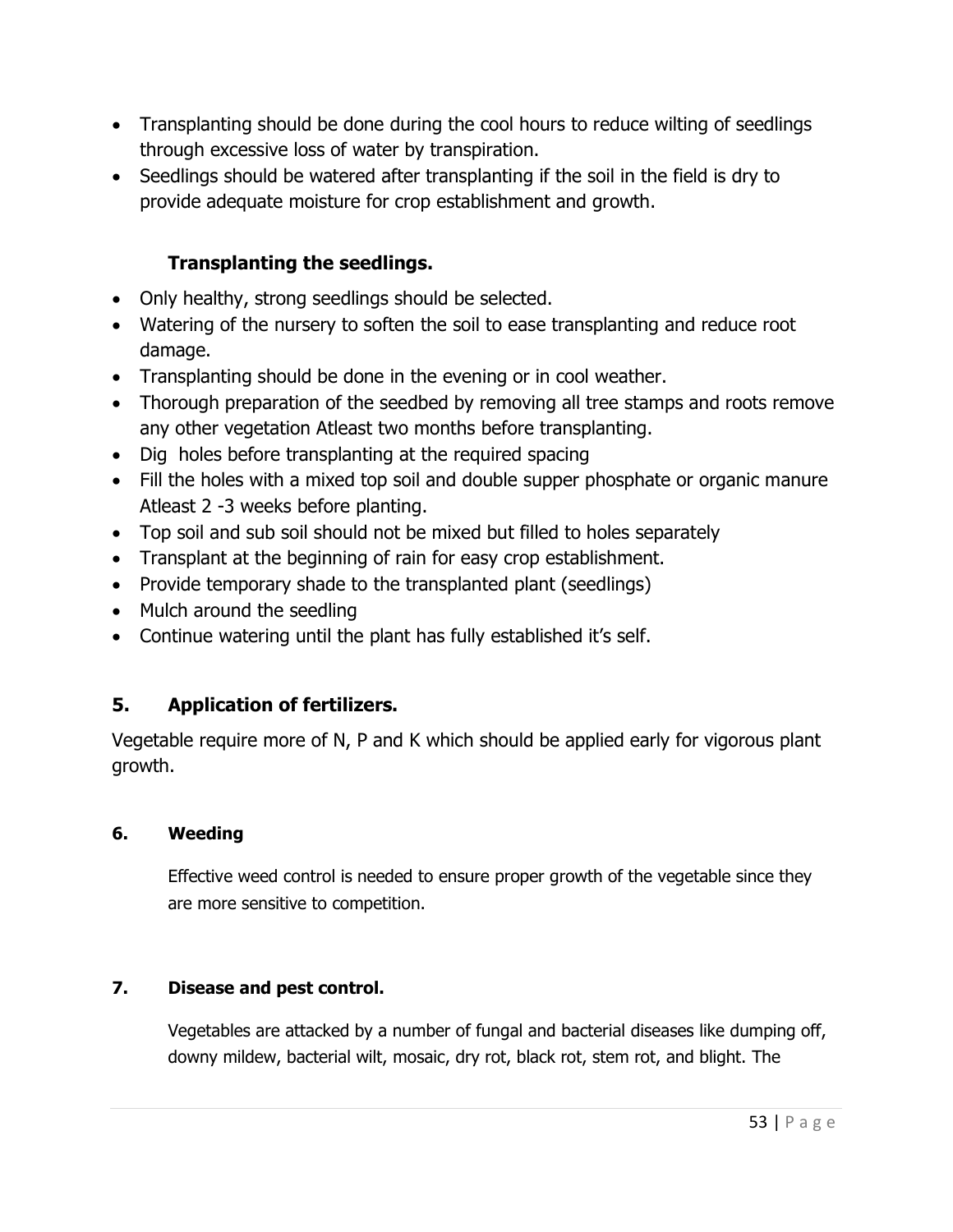- Transplanting should be done during the cool hours to reduce wilting of seedlings through excessive loss of water by transpiration.
- Seedlings should be watered after transplanting if the soil in the field is dry to provide adequate moisture for crop establishment and growth.

## Transplanting the seedlings.

- Only healthy, strong seedlings should be selected.
- Watering of the nursery to soften the soil to ease transplanting and reduce root damage.
- Transplanting should be done in the evening or in cool weather.
- Thorough preparation of the seedbed by removing all tree stamps and roots remove any other vegetation Atleast two months before transplanting.
- Dig holes before transplanting at the required spacing
- Fill the holes with a mixed top soil and double supper phosphate or organic manure Atleast 2 -3 weeks before planting.
- Top soil and sub soil should not be mixed but filled to holes separately
- Transplant at the beginning of rain for easy crop establishment.
- Provide temporary shade to the transplanted plant (seedlings)
- Mulch around the seedling
- Continue watering until the plant has fully established it's self.

# 5. Application of fertilizers.

Vegetable require more of N, P and K which should be applied early for vigorous plant growth.

## 6. Weeding

Effective weed control is needed to ensure proper growth of the vegetable since they are more sensitive to competition.

## 7. Disease and pest control.

Vegetables are attacked by a number of fungal and bacterial diseases like dumping off, downy mildew, bacterial wilt, mosaic, dry rot, black rot, stem rot, and blight. The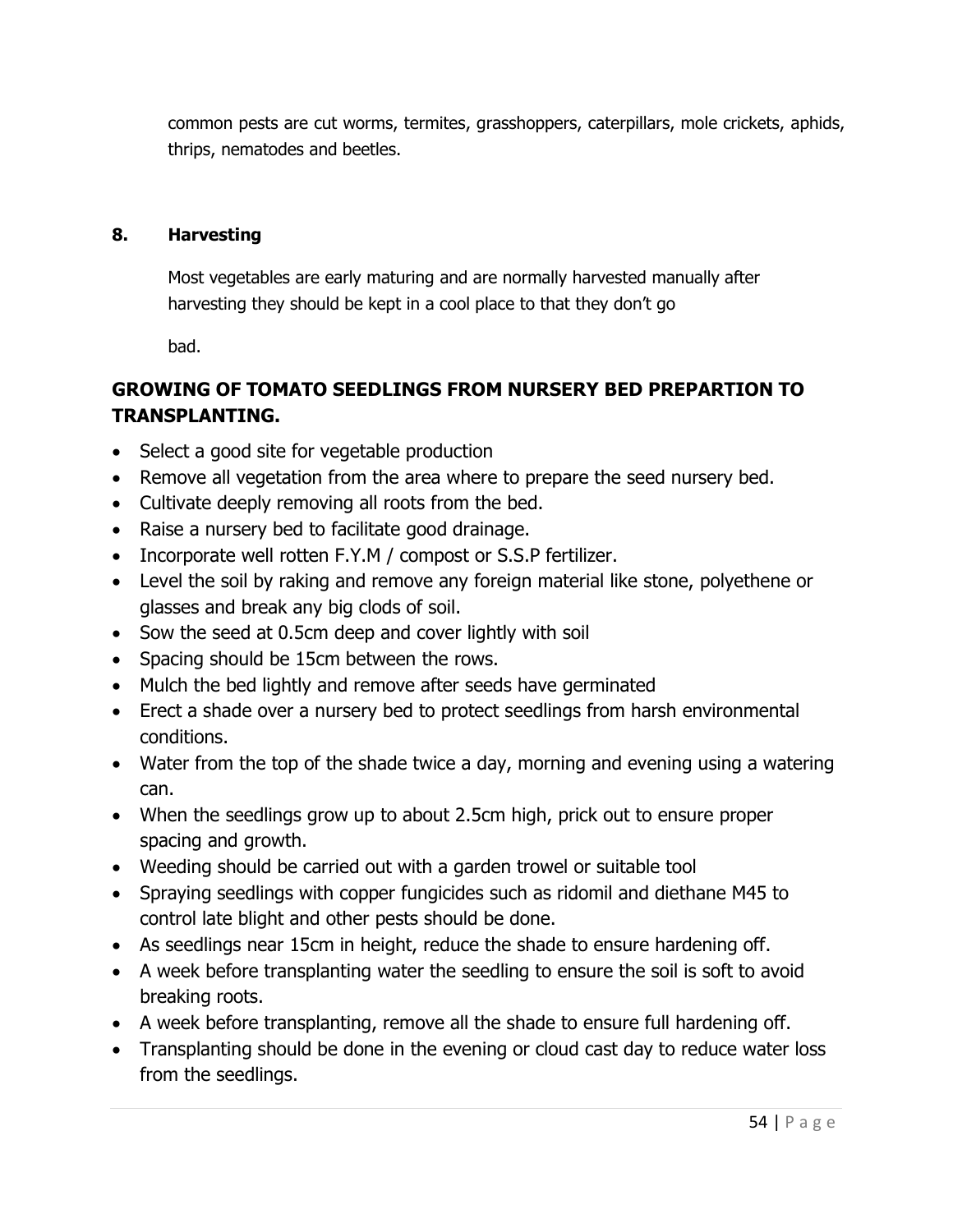common pests are cut worms, termites, grasshoppers, caterpillars, mole crickets, aphids, thrips, nematodes and beetles.

### 8. Harvesting

Most vegetables are early maturing and are normally harvested manually after harvesting they should be kept in a cool place to that they don't go

bad.

# GROWING OF TOMATO SEEDLINGS FROM NURSERY BED PREPARTION TO TRANSPLANTING.

- Select a good site for vegetable production
- Remove all vegetation from the area where to prepare the seed nursery bed.
- Cultivate deeply removing all roots from the bed.
- Raise a nursery bed to facilitate good drainage.
- Incorporate well rotten F.Y.M / compost or S.S.P fertilizer.
- Level the soil by raking and remove any foreign material like stone, polyethene or glasses and break any big clods of soil.
- Sow the seed at 0.5cm deep and cover lightly with soil
- Spacing should be 15cm between the rows.
- Mulch the bed lightly and remove after seeds have germinated
- Erect a shade over a nursery bed to protect seedlings from harsh environmental conditions.
- Water from the top of the shade twice a day, morning and evening using a watering can.
- When the seedlings grow up to about 2.5cm high, prick out to ensure proper spacing and growth.
- Weeding should be carried out with a garden trowel or suitable tool
- Spraying seedlings with copper fungicides such as ridomil and diethane M45 to control late blight and other pests should be done.
- As seedlings near 15cm in height, reduce the shade to ensure hardening off.
- A week before transplanting water the seedling to ensure the soil is soft to avoid breaking roots.
- A week before transplanting, remove all the shade to ensure full hardening off.
- Transplanting should be done in the evening or cloud cast day to reduce water loss from the seedlings.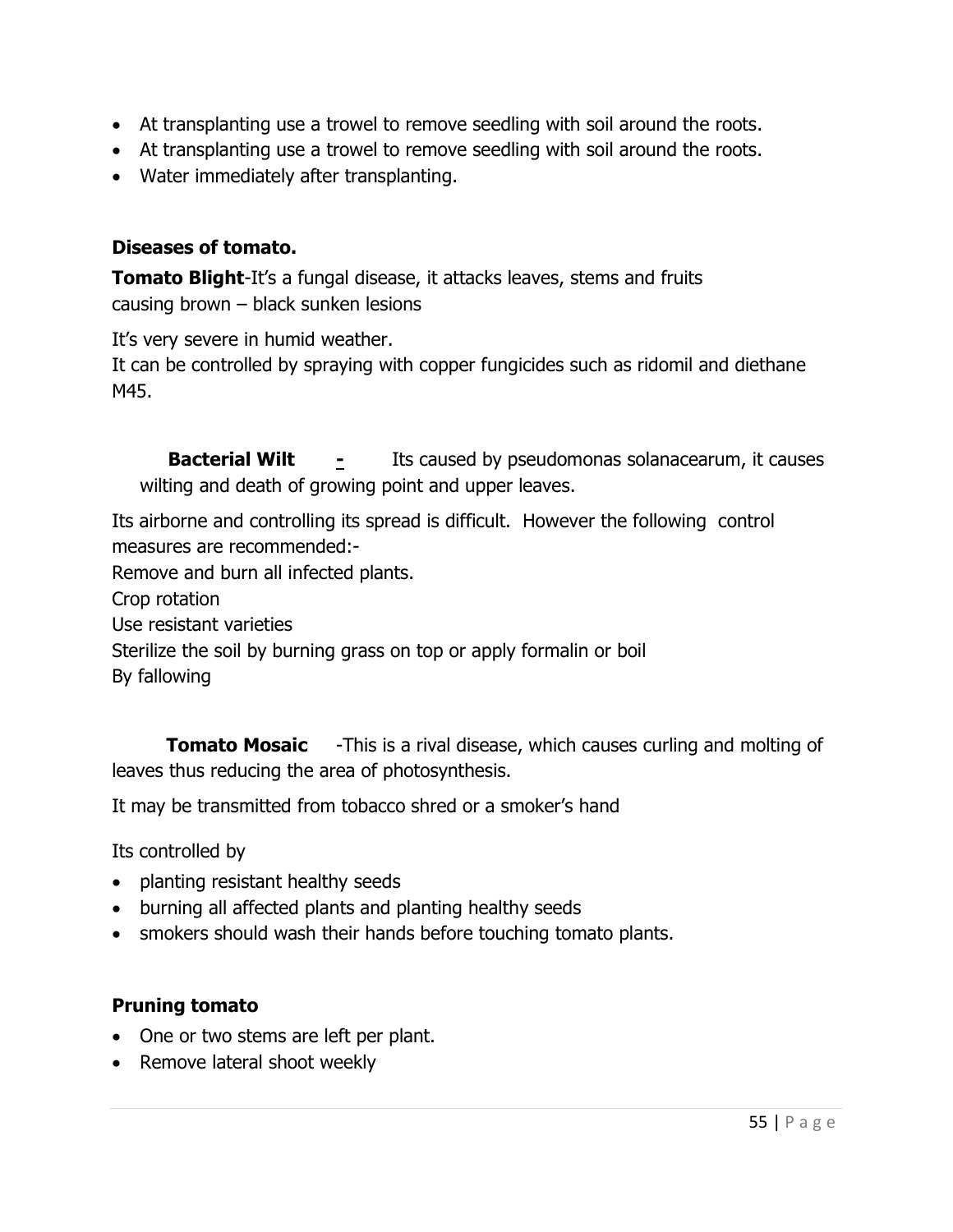- At transplanting use a trowel to remove seedling with soil around the roots.
- At transplanting use a trowel to remove seedling with soil around the roots.
- Water immediately after transplanting.

## Diseases of tomato.

**Tomato Blight-It's a fungal disease, it attacks leaves, stems and fruits** causing brown – black sunken lesions

It's very severe in humid weather.

It can be controlled by spraying with copper fungicides such as ridomil and diethane M45.

**Bacterial Wilt**  $\qquad \frac{1}{2}$  Its caused by pseudomonas solanacearum, it causes wilting and death of growing point and upper leaves.

Its airborne and controlling its spread is difficult. However the following control measures are recommended:-

Remove and burn all infected plants.

Crop rotation

Use resistant varieties

Sterilize the soil by burning grass on top or apply formalin or boil

By fallowing

**Tomato Mosaic** -This is a rival disease, which causes curling and molting of leaves thus reducing the area of photosynthesis.

It may be transmitted from tobacco shred or a smoker's hand

Its controlled by

- planting resistant healthy seeds
- burning all affected plants and planting healthy seeds
- smokers should wash their hands before touching tomato plants.

## Pruning tomato

- One or two stems are left per plant.
- Remove lateral shoot weekly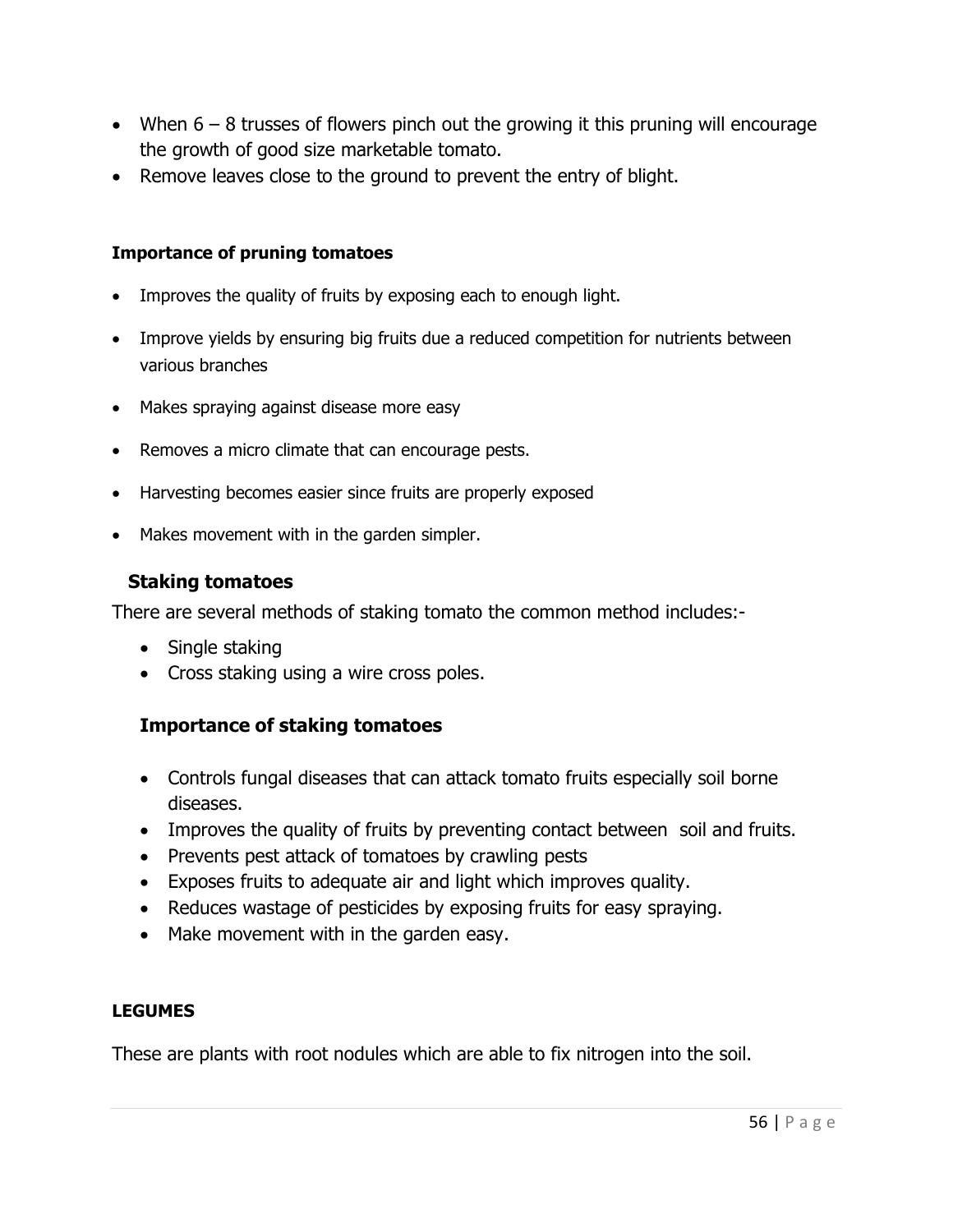- When  $6 8$  trusses of flowers pinch out the growing it this pruning will encourage the growth of good size marketable tomato.
- Remove leaves close to the ground to prevent the entry of blight.

### Importance of pruning tomatoes

- Improves the quality of fruits by exposing each to enough light.
- Improve yields by ensuring big fruits due a reduced competition for nutrients between various branches
- Makes spraying against disease more easy
- Removes a micro climate that can encourage pests.
- Harvesting becomes easier since fruits are properly exposed
- Makes movement with in the garden simpler.

## Staking tomatoes

There are several methods of staking tomato the common method includes:-

- Single staking
- Cross staking using a wire cross poles.

## Importance of staking tomatoes

- Controls fungal diseases that can attack tomato fruits especially soil borne diseases.
- Improves the quality of fruits by preventing contact between soil and fruits.
- Prevents pest attack of tomatoes by crawling pests
- Exposes fruits to adequate air and light which improves quality.
- Reduces wastage of pesticides by exposing fruits for easy spraying.
- Make movement with in the garden easy.

### LEGUMES

These are plants with root nodules which are able to fix nitrogen into the soil.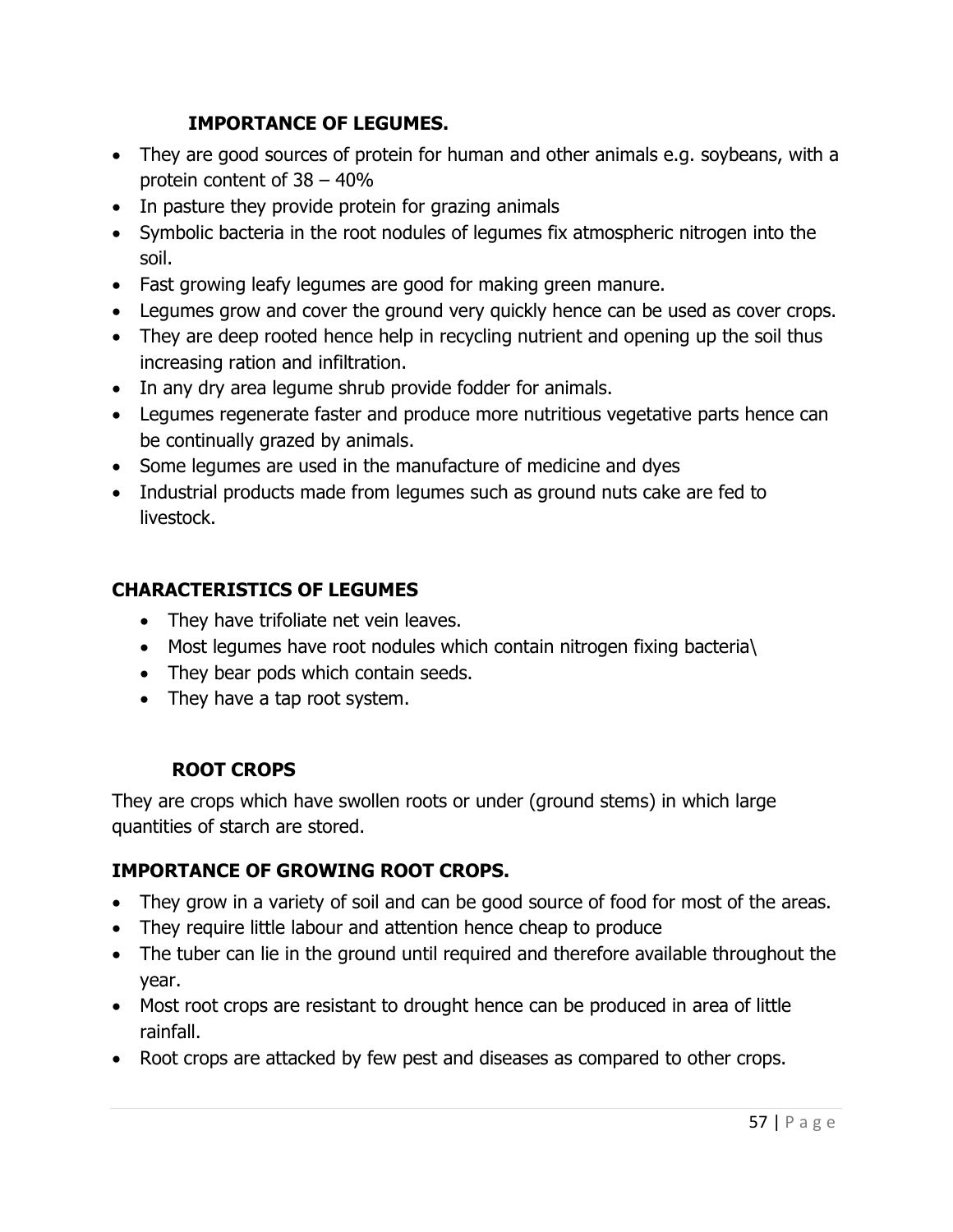## IMPORTANCE OF LEGUMES.

- They are good sources of protein for human and other animals e.g. soybeans, with a protein content of 38 – 40%
- In pasture they provide protein for grazing animals
- Symbolic bacteria in the root nodules of legumes fix atmospheric nitrogen into the soil.
- Fast growing leafy legumes are good for making green manure.
- Legumes grow and cover the ground very quickly hence can be used as cover crops.
- They are deep rooted hence help in recycling nutrient and opening up the soil thus increasing ration and infiltration.
- In any dry area legume shrub provide fodder for animals.
- Legumes regenerate faster and produce more nutritious vegetative parts hence can be continually grazed by animals.
- Some legumes are used in the manufacture of medicine and dyes
- Industrial products made from legumes such as ground nuts cake are fed to livestock.

## CHARACTERISTICS OF LEGUMES

- They have trifoliate net vein leaves.
- Most legumes have root nodules which contain nitrogen fixing bacteria\
- They bear pods which contain seeds.
- They have a tap root system.

# ROOT CROPS

They are crops which have swollen roots or under (ground stems) in which large quantities of starch are stored.

# IMPORTANCE OF GROWING ROOT CROPS.

- They grow in a variety of soil and can be good source of food for most of the areas.
- They require little labour and attention hence cheap to produce
- The tuber can lie in the ground until required and therefore available throughout the year.
- Most root crops are resistant to drought hence can be produced in area of little rainfall.
- Root crops are attacked by few pest and diseases as compared to other crops.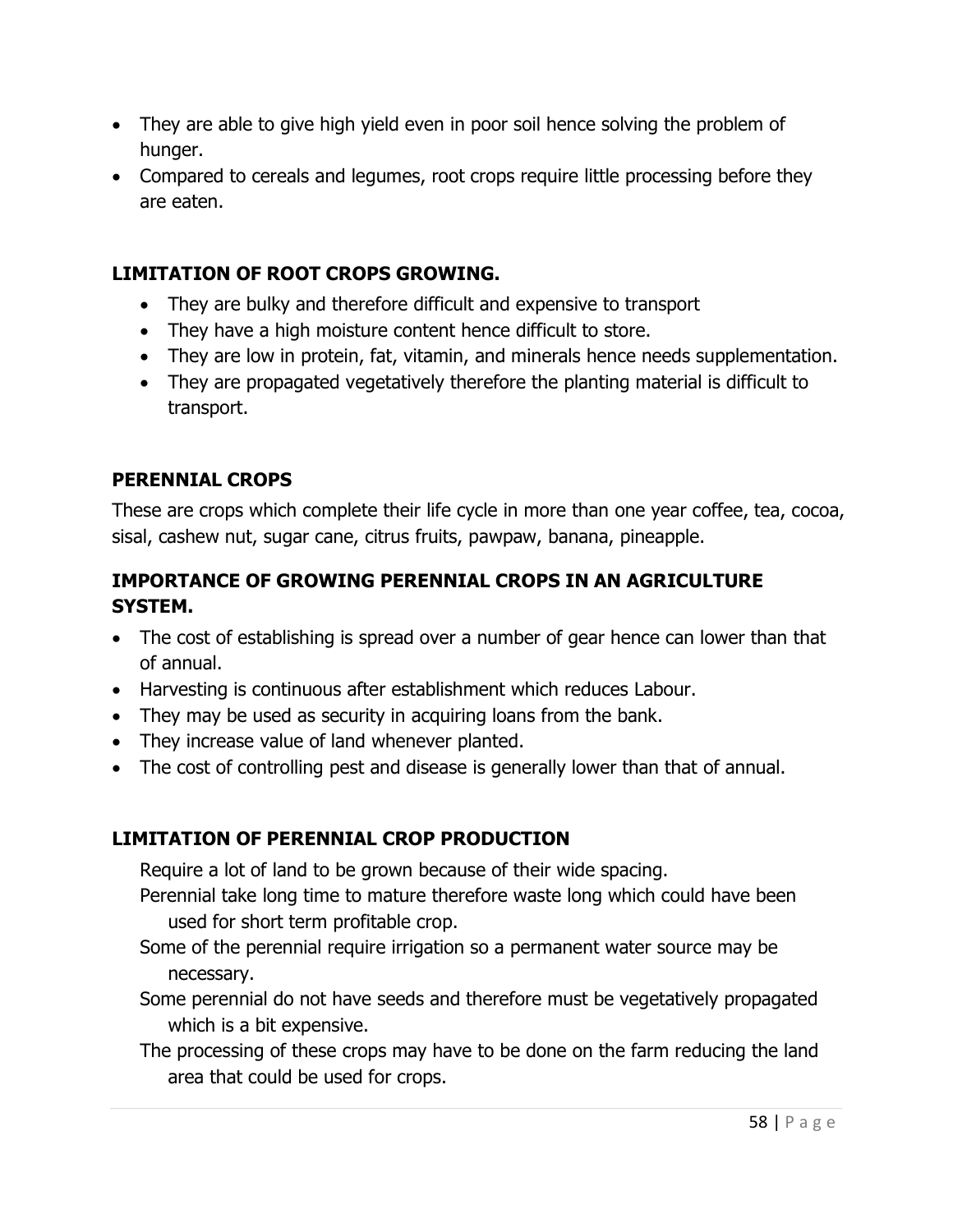- They are able to give high yield even in poor soil hence solving the problem of hunger.
- Compared to cereals and legumes, root crops require little processing before they are eaten.

## LIMITATION OF ROOT CROPS GROWING.

- They are bulky and therefore difficult and expensive to transport
- They have a high moisture content hence difficult to store.
- They are low in protein, fat, vitamin, and minerals hence needs supplementation.
- They are propagated vegetatively therefore the planting material is difficult to transport.

## PERENNIAL CROPS

These are crops which complete their life cycle in more than one year coffee, tea, cocoa, sisal, cashew nut, sugar cane, citrus fruits, pawpaw, banana, pineapple.

# IMPORTANCE OF GROWING PERENNIAL CROPS IN AN AGRICULTURE SYSTEM.

- The cost of establishing is spread over a number of gear hence can lower than that of annual.
- Harvesting is continuous after establishment which reduces Labour.
- They may be used as security in acquiring loans from the bank.
- They increase value of land whenever planted.
- The cost of controlling pest and disease is generally lower than that of annual.

## LIMITATION OF PERENNIAL CROP PRODUCTION

Require a lot of land to be grown because of their wide spacing.

- Perennial take long time to mature therefore waste long which could have been used for short term profitable crop.
- Some of the perennial require irrigation so a permanent water source may be necessary.
- Some perennial do not have seeds and therefore must be vegetatively propagated which is a bit expensive.
- The processing of these crops may have to be done on the farm reducing the land area that could be used for crops.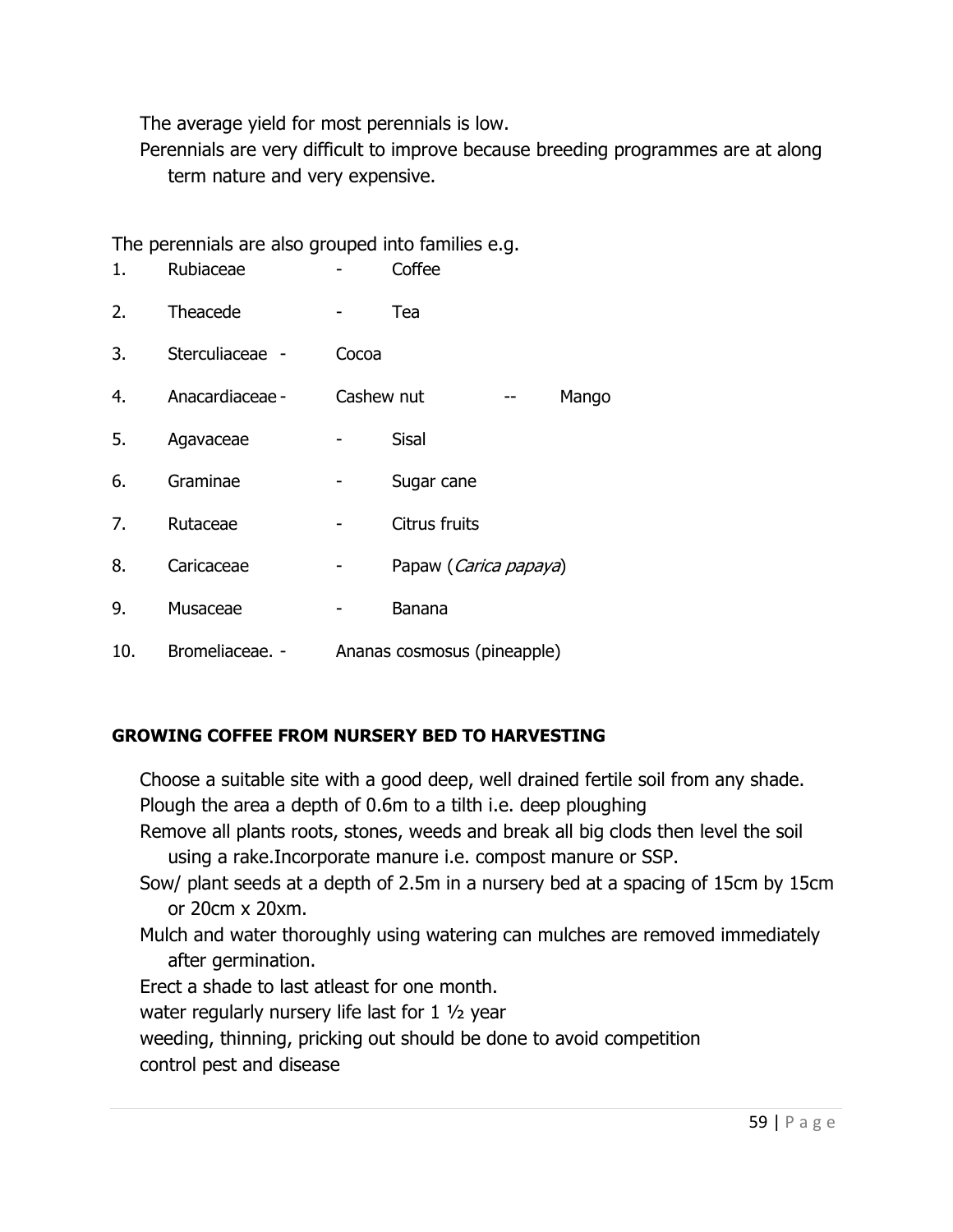The average yield for most perennials is low.

Perennials are very difficult to improve because breeding programmes are at along term nature and very expensive.

The perennials are also grouped into families e.g.

| 1.  | Rubiaceae       |       | Coffee                      |  |
|-----|-----------------|-------|-----------------------------|--|
| 2.  | Theacede        |       | Tea                         |  |
| 3.  | Sterculiaceae - | Cocoa |                             |  |
| 4.  | Anacardiaceae - |       | Cashew nut<br>Mango         |  |
| 5.  | Agavaceae       |       | <b>Sisal</b>                |  |
| 6.  | Graminae        |       | Sugar cane                  |  |
| 7.  | Rutaceae        |       | Citrus fruits               |  |
| 8.  | Caricaceae      |       | Papaw (Carica papaya)       |  |
| 9.  | Musaceae        |       | Banana                      |  |
| 10. | Bromeliaceae. - |       | Ananas cosmosus (pineapple) |  |

## GROWING COFFEE FROM NURSERY BED TO HARVESTING

Choose a suitable site with a good deep, well drained fertile soil from any shade. Plough the area a depth of 0.6m to a tilth i.e. deep ploughing Remove all plants roots, stones, weeds and break all big clods then level the soil using a rake.Incorporate manure i.e. compost manure or SSP. Sow/ plant seeds at a depth of 2.5m in a nursery bed at a spacing of 15cm by 15cm or 20cm x 20xm. Mulch and water thoroughly using watering can mulches are removed immediately after germination. Erect a shade to last atleast for one month. water regularly nursery life last for 1 ½ year weeding, thinning, pricking out should be done to avoid competition

control pest and disease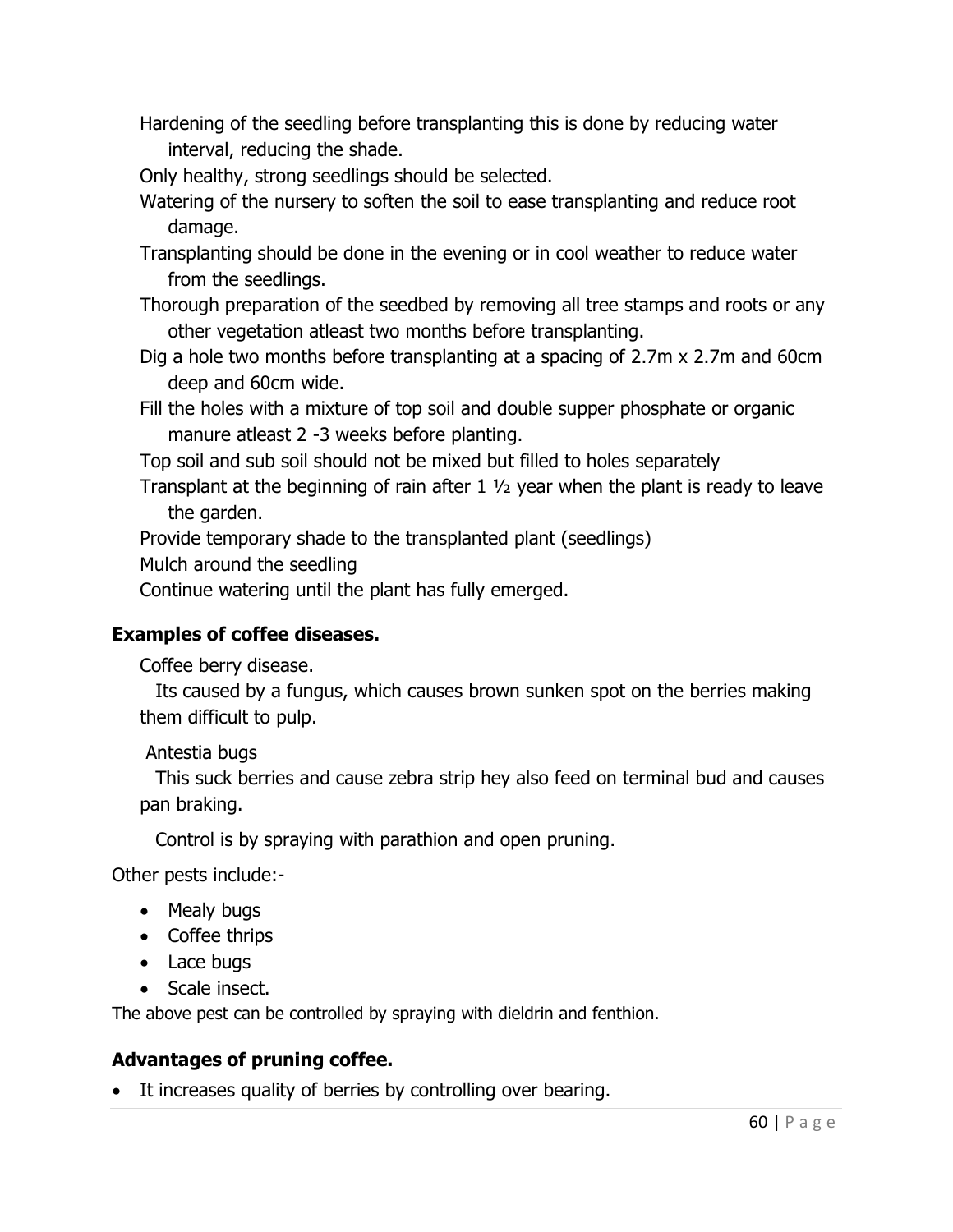- Hardening of the seedling before transplanting this is done by reducing water interval, reducing the shade.
- Only healthy, strong seedlings should be selected.
- Watering of the nursery to soften the soil to ease transplanting and reduce root damage.
- Transplanting should be done in the evening or in cool weather to reduce water from the seedlings.
- Thorough preparation of the seedbed by removing all tree stamps and roots or any other vegetation atleast two months before transplanting.
- Dig a hole two months before transplanting at a spacing of 2.7m x 2.7m and 60cm deep and 60cm wide.
- Fill the holes with a mixture of top soil and double supper phosphate or organic manure atleast 2 -3 weeks before planting.

Top soil and sub soil should not be mixed but filled to holes separately

Transplant at the beginning of rain after 1 ½ year when the plant is ready to leave the garden.

Provide temporary shade to the transplanted plant (seedlings)

Mulch around the seedling

Continue watering until the plant has fully emerged.

## Examples of coffee diseases.

Coffee berry disease.

Its caused by a fungus, which causes brown sunken spot on the berries making them difficult to pulp.

## Antestia bugs

This suck berries and cause zebra strip hey also feed on terminal bud and causes pan braking.

Control is by spraying with parathion and open pruning.

Other pests include:-

- Mealy bugs
- Coffee thrips
- Lace bugs
- Scale insect.

The above pest can be controlled by spraying with dieldrin and fenthion.

## Advantages of pruning coffee.

• It increases quality of berries by controlling over bearing.